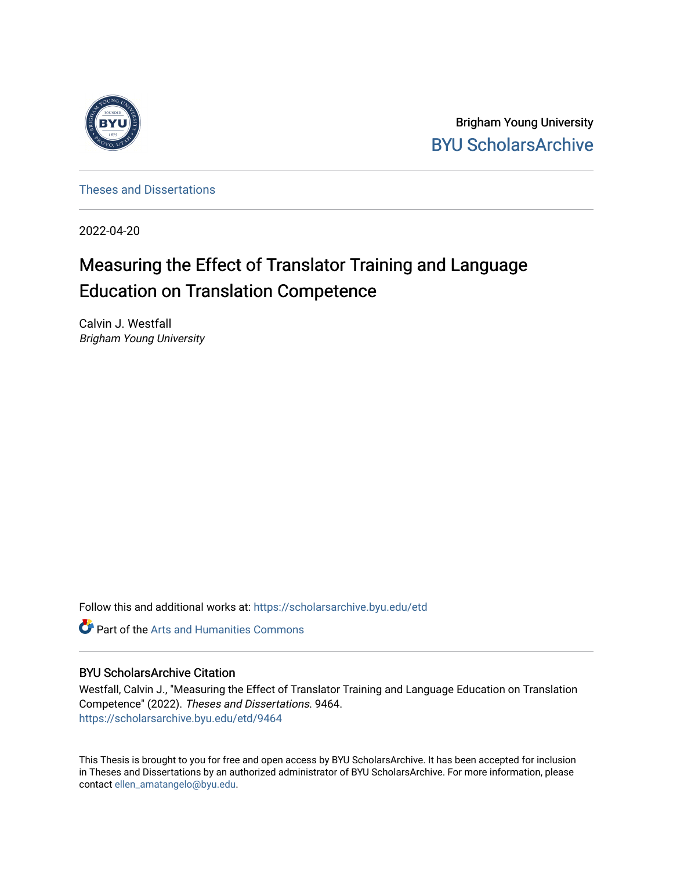

Brigham Young University [BYU ScholarsArchive](https://scholarsarchive.byu.edu/) 

[Theses and Dissertations](https://scholarsarchive.byu.edu/etd)

2022-04-20

# Measuring the Effect of Translator Training and Language Education on Translation Competence

Calvin J. Westfall Brigham Young University

Follow this and additional works at: [https://scholarsarchive.byu.edu/etd](https://scholarsarchive.byu.edu/etd?utm_source=scholarsarchive.byu.edu%2Fetd%2F9464&utm_medium=PDF&utm_campaign=PDFCoverPages)

**Part of the Arts and Humanities Commons** 

## BYU ScholarsArchive Citation

Westfall, Calvin J., "Measuring the Effect of Translator Training and Language Education on Translation Competence" (2022). Theses and Dissertations. 9464. [https://scholarsarchive.byu.edu/etd/9464](https://scholarsarchive.byu.edu/etd/9464?utm_source=scholarsarchive.byu.edu%2Fetd%2F9464&utm_medium=PDF&utm_campaign=PDFCoverPages) 

This Thesis is brought to you for free and open access by BYU ScholarsArchive. It has been accepted for inclusion in Theses and Dissertations by an authorized administrator of BYU ScholarsArchive. For more information, please contact [ellen\\_amatangelo@byu.edu.](mailto:ellen_amatangelo@byu.edu)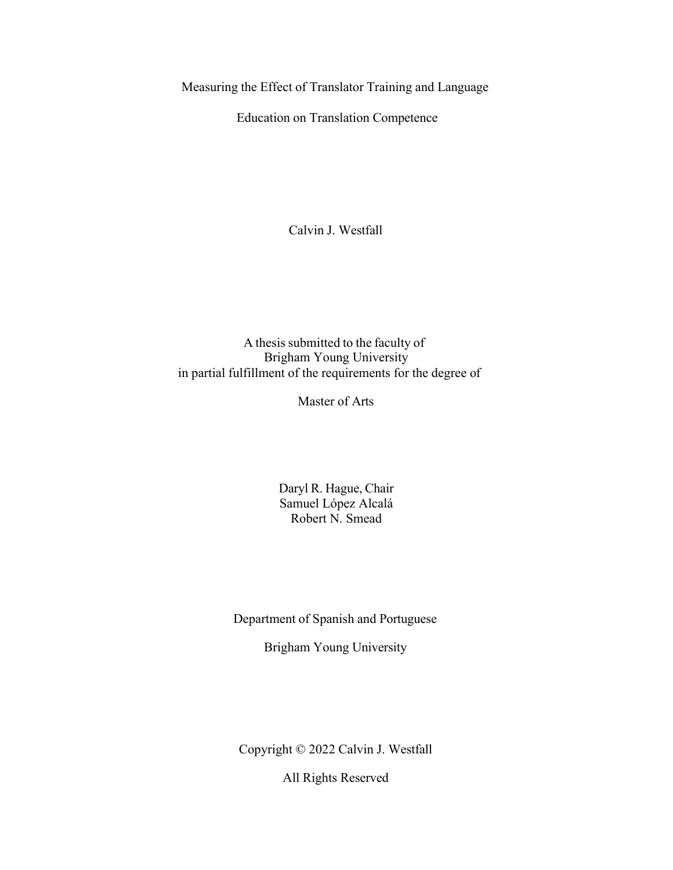Measuring the Effect of Translator Training and Language

Education on Translation Competence

Calvin J. Westfall

A thesis submitted to the faculty of Brigham Young University in partial fulfillment of the requirements for the degree of

Master of Arts

Daryl R. Hague, Chair Samuel López Alcalá Robert N. Smead

Department of Spanish and Portuguese

Brigham Young University

Copyright © 2022 Calvin J. Westfall

All Rights Reserved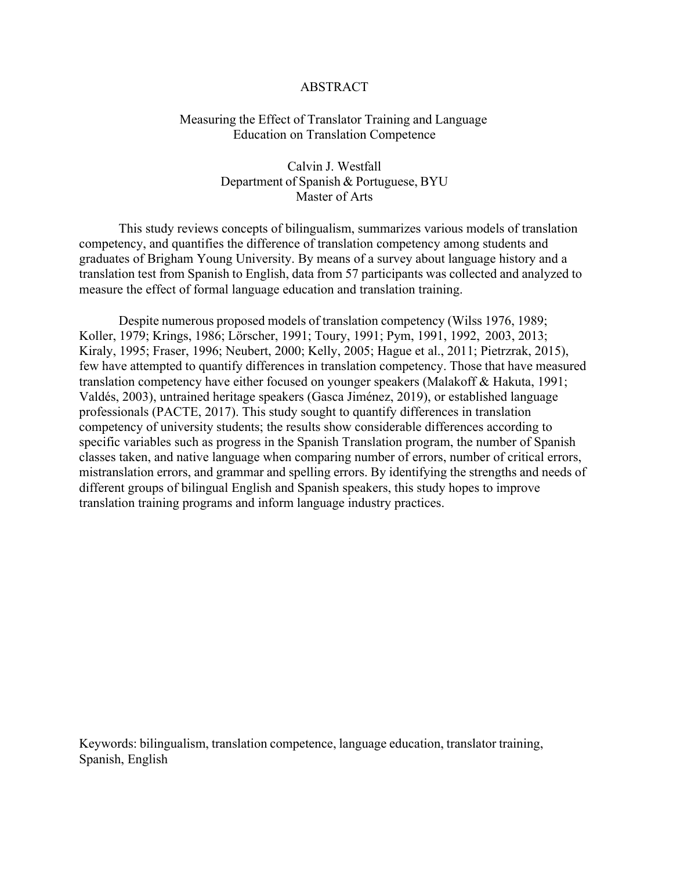## ABSTRACT

## Measuring the Effect of Translator Training and Language Education on Translation Competence

Calvin J. Westfall Department of Spanish & Portuguese, BYU Master of Arts

This study reviews concepts of bilingualism, summarizes various models of translation competency, and quantifies the difference of translation competency among students and graduates of Brigham Young University. By means of a survey about language history and a translation test from Spanish to English, data from 57 participants was collected and analyzed to measure the effect of formal language education and translation training.

Despite numerous proposed models of translation competency (Wilss 1976, 1989; Koller, 1979; Krings, 1986; Lörscher, 1991; Toury, 1991; Pym, 1991, 1992, 2003, 2013; Kiraly, 1995; Fraser, 1996; Neubert, 2000; Kelly, 2005; Hague et al., 2011; Pietrzrak, 2015), few have attempted to quantify differences in translation competency. Those that have measured translation competency have either focused on younger speakers (Malakoff & Hakuta, 1991; Valdés, 2003), untrained heritage speakers (Gasca Jiménez, 2019), or established language professionals (PACTE, 2017). This study sought to quantify differences in translation competency of university students; the results show considerable differences according to specific variables such as progress in the Spanish Translation program, the number of Spanish classes taken, and native language when comparing number of errors, number of critical errors, mistranslation errors, and grammar and spelling errors. By identifying the strengths and needs of different groups of bilingual English and Spanish speakers, this study hopes to improve translation training programs and inform language industry practices.

Keywords: bilingualism, translation competence, language education, translator training, Spanish, English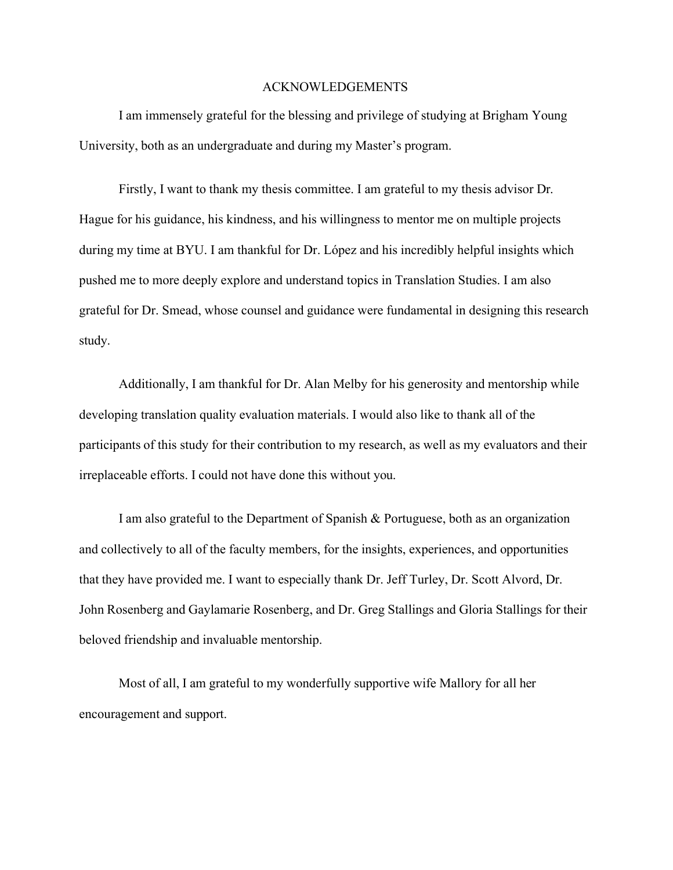## ACKNOWLEDGEMENTS

I am immensely grateful for the blessing and privilege of studying at Brigham Young University, both as an undergraduate and during my Master's program.

Firstly, I want to thank my thesis committee. I am grateful to my thesis advisor Dr. Hague for his guidance, his kindness, and his willingness to mentor me on multiple projects during my time at BYU. I am thankful for Dr. López and his incredibly helpful insights which pushed me to more deeply explore and understand topics in Translation Studies. I am also grateful for Dr. Smead, whose counsel and guidance were fundamental in designing this research study.

Additionally, I am thankful for Dr. Alan Melby for his generosity and mentorship while developing translation quality evaluation materials. I would also like to thank all of the participants of this study for their contribution to my research, as well as my evaluators and their irreplaceable efforts. I could not have done this without you.

I am also grateful to the Department of Spanish & Portuguese, both as an organization and collectively to all of the faculty members, for the insights, experiences, and opportunities that they have provided me. I want to especially thank Dr. Jeff Turley, Dr. Scott Alvord, Dr. John Rosenberg and Gaylamarie Rosenberg, and Dr. Greg Stallings and Gloria Stallings for their beloved friendship and invaluable mentorship.

Most of all, I am grateful to my wonderfully supportive wife Mallory for all her encouragement and support.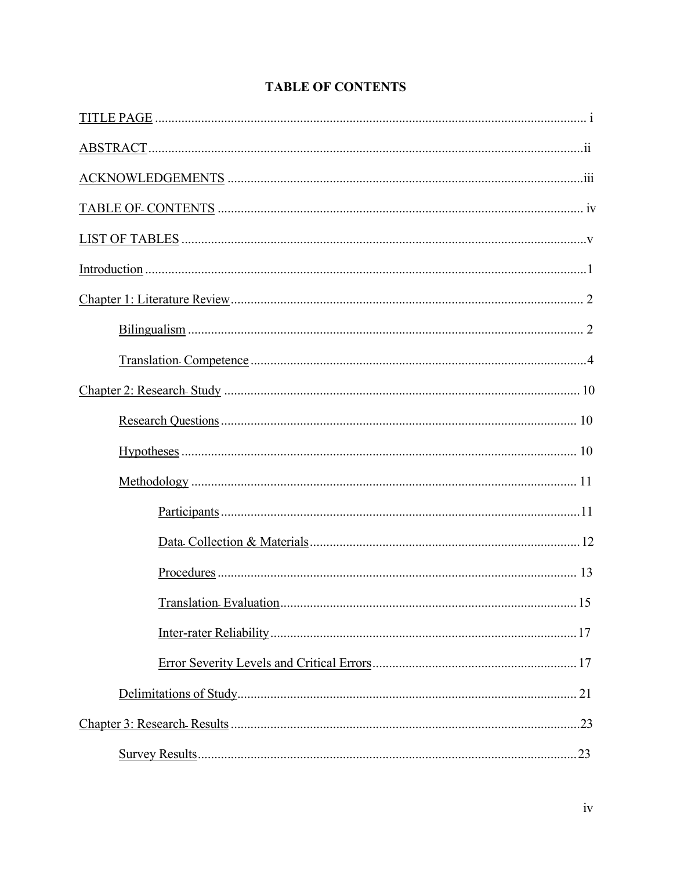## **TABLE OF CONTENTS**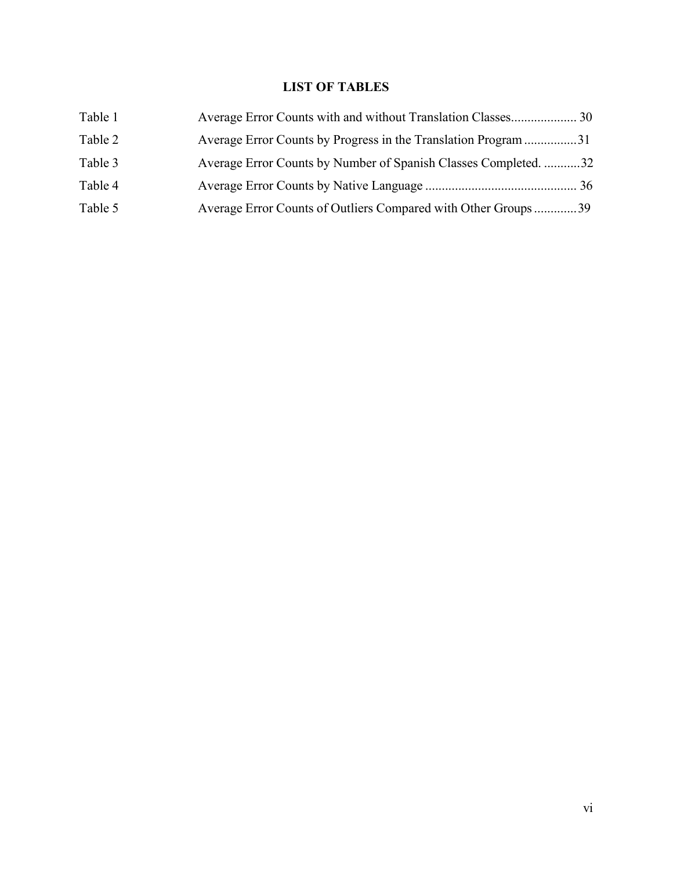## **LIST OF TABLES**

| Table 1 |                                                                |  |
|---------|----------------------------------------------------------------|--|
| Table 2 | Average Error Counts by Progress in the Translation Program 31 |  |
| Table 3 | Average Error Counts by Number of Spanish Classes Completed32  |  |
| Table 4 |                                                                |  |
| Table 5 | Average Error Counts of Outliers Compared with Other Groups39  |  |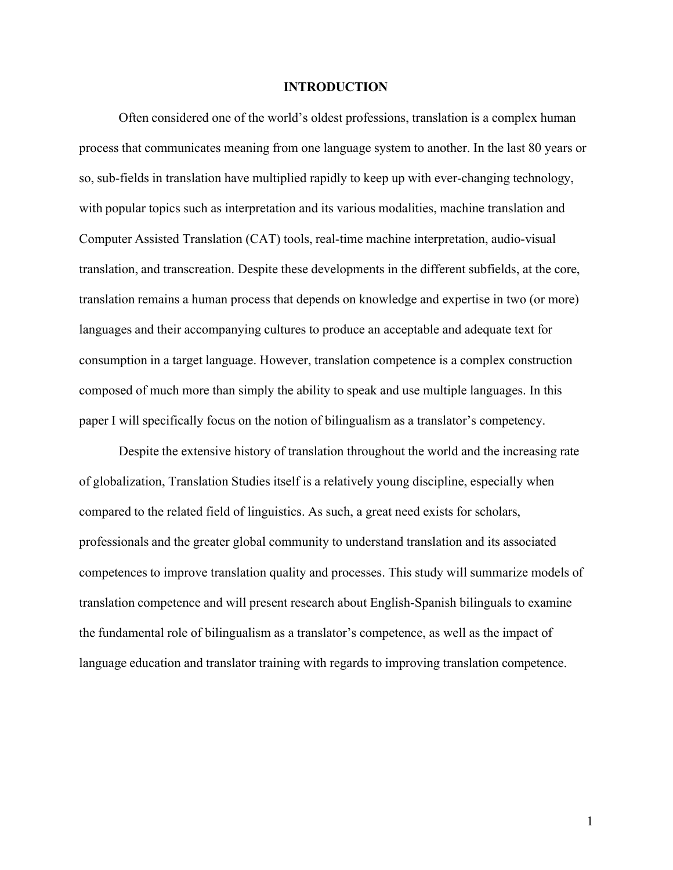## **INTRODUCTION**

Often considered one of the world's oldest professions, translation is a complex human process that communicates meaning from one language system to another. In the last 80 years or so, sub-fields in translation have multiplied rapidly to keep up with ever-changing technology, with popular topics such as interpretation and its various modalities, machine translation and Computer Assisted Translation (CAT) tools, real-time machine interpretation, audio-visual translation, and transcreation. Despite these developments in the different subfields, at the core, translation remains a human process that depends on knowledge and expertise in two (or more) languages and their accompanying cultures to produce an acceptable and adequate text for consumption in a target language. However, translation competence is a complex construction composed of much more than simply the ability to speak and use multiple languages. In this paper I will specifically focus on the notion of bilingualism as a translator's competency.

Despite the extensive history of translation throughout the world and the increasing rate of globalization, Translation Studies itself is a relatively young discipline, especially when compared to the related field of linguistics. As such, a great need exists for scholars, professionals and the greater global community to understand translation and its associated competences to improve translation quality and processes. This study will summarize models of translation competence and will present research about English-Spanish bilinguals to examine the fundamental role of bilingualism as a translator's competence, as well as the impact of language education and translator training with regards to improving translation competence.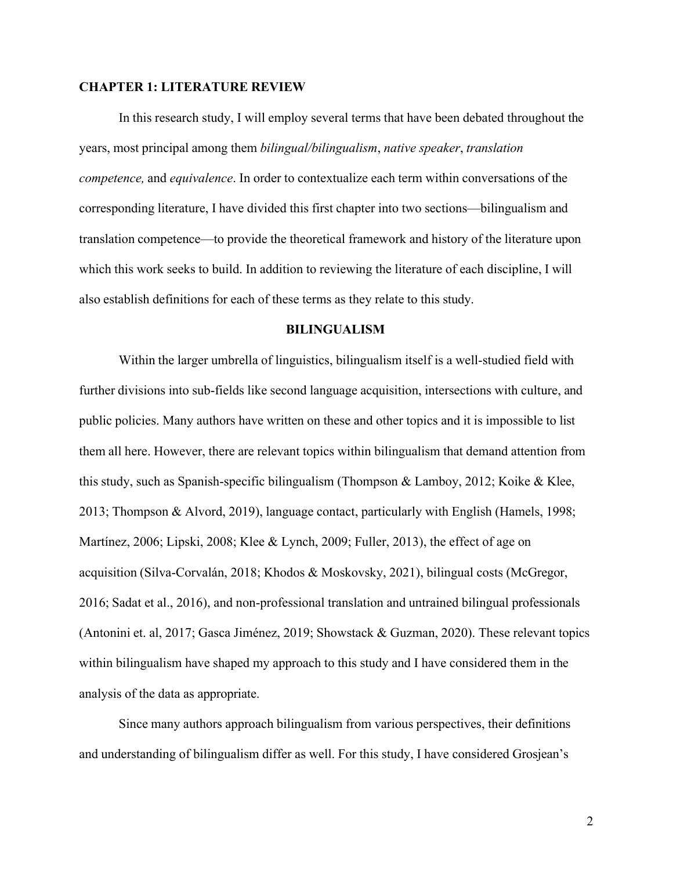## **CHAPTER 1: LITERATURE REVIEW**

In this research study, I will employ several terms that have been debated throughout the years, most principal among them *bilingual/bilingualism*, *native speaker*, *translation competence,* and *equivalence*. In order to contextualize each term within conversations of the corresponding literature, I have divided this first chapter into two sections—bilingualism and translation competence—to provide the theoretical framework and history of the literature upon which this work seeks to build. In addition to reviewing the literature of each discipline, I will also establish definitions for each of these terms as they relate to this study.

## **BILINGUALISM**

Within the larger umbrella of linguistics, bilingualism itself is a well-studied field with further divisions into sub-fields like second language acquisition, intersections with culture, and public policies. Many authors have written on these and other topics and it is impossible to list them all here. However, there are relevant topics within bilingualism that demand attention from this study, such as Spanish-specific bilingualism (Thompson & Lamboy, 2012; Koike & Klee, 2013; Thompson & Alvord, 2019), language contact, particularly with English (Hamels, 1998; Martínez, 2006; Lipski, 2008; Klee & Lynch, 2009; Fuller, 2013), the effect of age on acquisition (Silva-Corvalán, 2018; Khodos & Moskovsky, 2021), bilingual costs (McGregor, 2016; Sadat et al., 2016), and non-professional translation and untrained bilingual professionals (Antonini et. al, 2017; Gasca Jiménez, 2019; Showstack & Guzman, 2020). These relevant topics within bilingualism have shaped my approach to this study and I have considered them in the analysis of the data as appropriate.

Since many authors approach bilingualism from various perspectives, their definitions and understanding of bilingualism differ as well. For this study, I have considered Grosjean's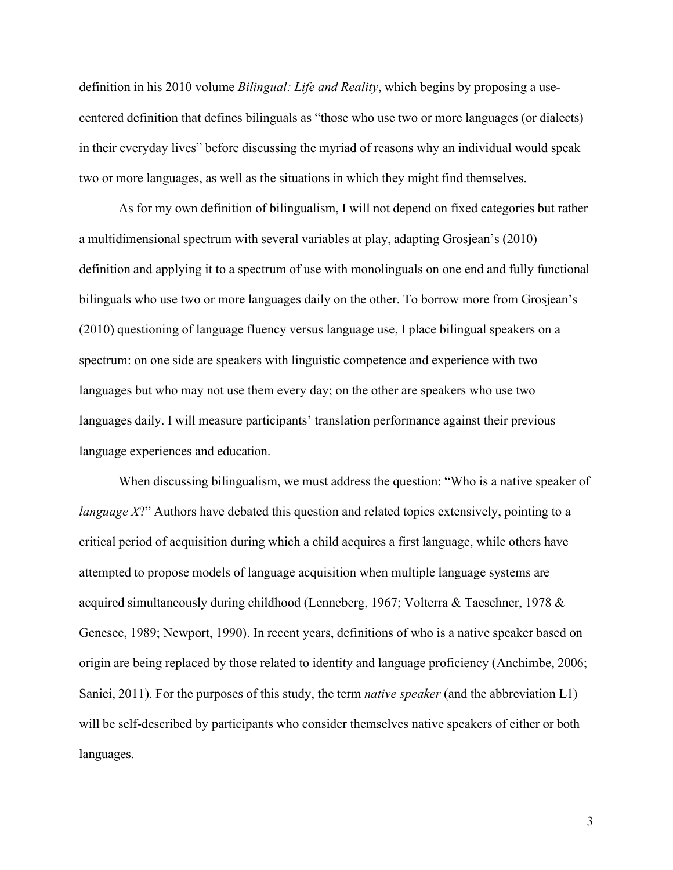definition in his 2010 volume *Bilingual: Life and Reality*, which begins by proposing a usecentered definition that defines bilinguals as "those who use two or more languages (or dialects) in their everyday lives" before discussing the myriad of reasons why an individual would speak two or more languages, as well as the situations in which they might find themselves.

As for my own definition of bilingualism, I will not depend on fixed categories but rather a multidimensional spectrum with several variables at play, adapting Grosjean's (2010) definition and applying it to a spectrum of use with monolinguals on one end and fully functional bilinguals who use two or more languages daily on the other. To borrow more from Grosjean's (2010) questioning of language fluency versus language use, I place bilingual speakers on a spectrum: on one side are speakers with linguistic competence and experience with two languages but who may not use them every day; on the other are speakers who use two languages daily. I will measure participants' translation performance against their previous language experiences and education.

When discussing bilingualism, we must address the question: "Who is a native speaker of *language X*?" Authors have debated this question and related topics extensively, pointing to a critical period of acquisition during which a child acquires a first language, while others have attempted to propose models of language acquisition when multiple language systems are acquired simultaneously during childhood (Lenneberg, 1967; Volterra & Taeschner, 1978 & Genesee, 1989; Newport, 1990). In recent years, definitions of who is a native speaker based on origin are being replaced by those related to identity and language proficiency (Anchimbe, 2006; Saniei, 2011). For the purposes of this study, the term *native speaker* (and the abbreviation L1) will be self-described by participants who consider themselves native speakers of either or both languages.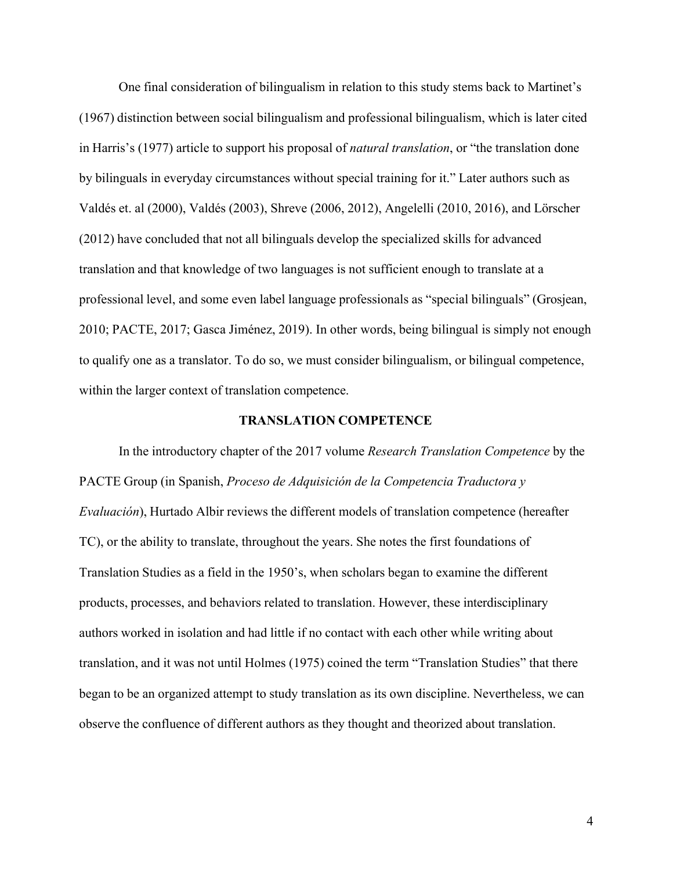One final consideration of bilingualism in relation to this study stems back to Martinet's (1967) distinction between social bilingualism and professional bilingualism, which is later cited in Harris's (1977) article to support his proposal of *natural translation*, or "the translation done by bilinguals in everyday circumstances without special training for it." Later authors such as Valdés et. al (2000), Valdés (2003), Shreve (2006, 2012), Angelelli (2010, 2016), and Lörscher (2012) have concluded that not all bilinguals develop the specialized skills for advanced translation and that knowledge of two languages is not sufficient enough to translate at a professional level, and some even label language professionals as "special bilinguals" (Grosjean, 2010; PACTE, 2017; Gasca Jiménez, 2019). In other words, being bilingual is simply not enough to qualify one as a translator. To do so, we must consider bilingualism, or bilingual competence, within the larger context of translation competence.

## **TRANSLATION COMPETENCE**

In the introductory chapter of the 2017 volume *Research Translation Competence* by the PACTE Group (in Spanish, *Proceso de Adquisición de la Competencia Traductora y Evaluación*), Hurtado Albir reviews the different models of translation competence (hereafter TC), or the ability to translate, throughout the years. She notes the first foundations of Translation Studies as a field in the 1950's, when scholars began to examine the different products, processes, and behaviors related to translation. However, these interdisciplinary authors worked in isolation and had little if no contact with each other while writing about translation, and it was not until Holmes (1975) coined the term "Translation Studies" that there began to be an organized attempt to study translation as its own discipline. Nevertheless, we can observe the confluence of different authors as they thought and theorized about translation.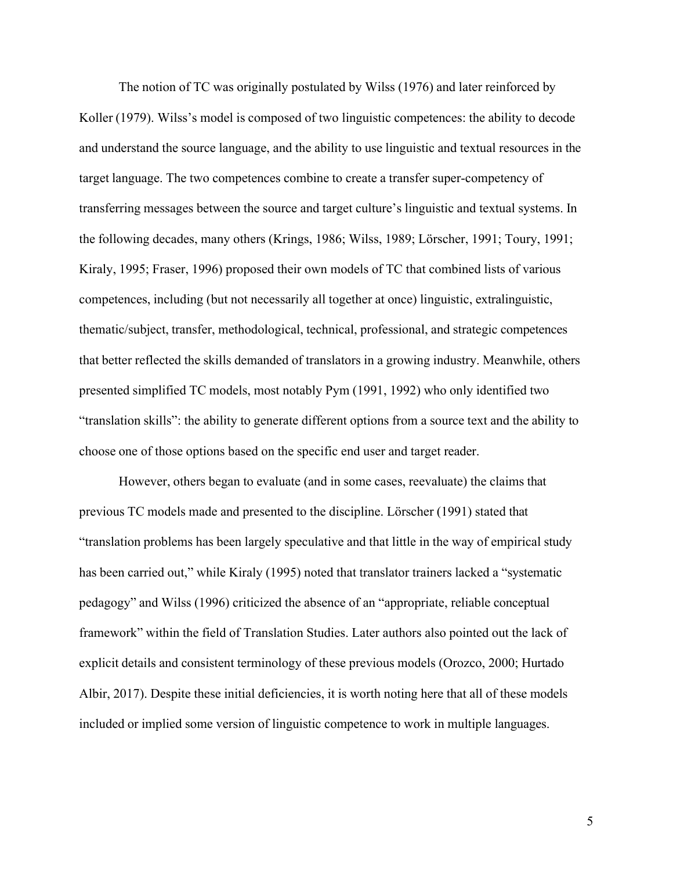The notion of TC was originally postulated by Wilss (1976) and later reinforced by Koller (1979). Wilss's model is composed of two linguistic competences: the ability to decode and understand the source language, and the ability to use linguistic and textual resources in the target language. The two competences combine to create a transfer super-competency of transferring messages between the source and target culture's linguistic and textual systems. In the following decades, many others (Krings, 1986; Wilss, 1989; Lörscher, 1991; Toury, 1991; Kiraly, 1995; Fraser, 1996) proposed their own models of TC that combined lists of various competences, including (but not necessarily all together at once) linguistic, extralinguistic, thematic/subject, transfer, methodological, technical, professional, and strategic competences that better reflected the skills demanded of translators in a growing industry. Meanwhile, others presented simplified TC models, most notably Pym (1991, 1992) who only identified two "translation skills": the ability to generate different options from a source text and the ability to choose one of those options based on the specific end user and target reader.

However, others began to evaluate (and in some cases, reevaluate) the claims that previous TC models made and presented to the discipline. Lörscher (1991) stated that "translation problems has been largely speculative and that little in the way of empirical study has been carried out," while Kiraly (1995) noted that translator trainers lacked a "systematic pedagogy" and Wilss (1996) criticized the absence of an "appropriate, reliable conceptual framework" within the field of Translation Studies. Later authors also pointed out the lack of explicit details and consistent terminology of these previous models (Orozco, 2000; Hurtado Albir, 2017). Despite these initial deficiencies, it is worth noting here that all of these models included or implied some version of linguistic competence to work in multiple languages.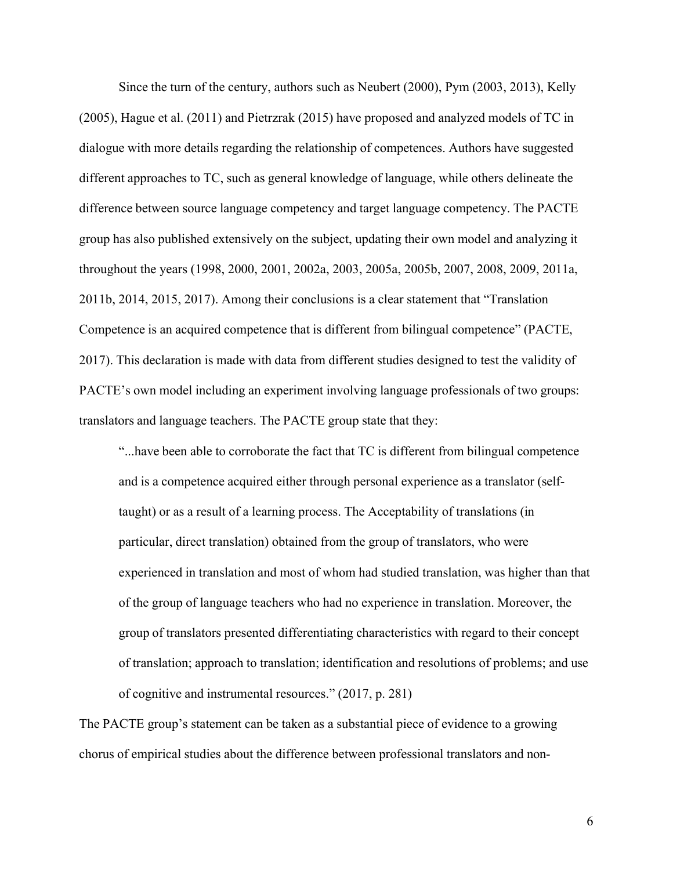Since the turn of the century, authors such as Neubert (2000), Pym (2003, 2013), Kelly (2005), Hague et al. (2011) and Pietrzrak (2015) have proposed and analyzed models of TC in dialogue with more details regarding the relationship of competences. Authors have suggested different approaches to TC, such as general knowledge of language, while others delineate the difference between source language competency and target language competency. The PACTE group has also published extensively on the subject, updating their own model and analyzing it throughout the years (1998, 2000, 2001, 2002a, 2003, 2005a, 2005b, 2007, 2008, 2009, 2011a, 2011b, 2014, 2015, 2017). Among their conclusions is a clear statement that "Translation Competence is an acquired competence that is different from bilingual competence" (PACTE, 2017). This declaration is made with data from different studies designed to test the validity of PACTE's own model including an experiment involving language professionals of two groups: translators and language teachers. The PACTE group state that they:

"...have been able to corroborate the fact that TC is different from bilingual competence and is a competence acquired either through personal experience as a translator (selftaught) or as a result of a learning process. The Acceptability of translations (in particular, direct translation) obtained from the group of translators, who were experienced in translation and most of whom had studied translation, was higher than that of the group of language teachers who had no experience in translation. Moreover, the group of translators presented differentiating characteristics with regard to their concept of translation; approach to translation; identification and resolutions of problems; and use of cognitive and instrumental resources." (2017, p. 281)

The PACTE group's statement can be taken as a substantial piece of evidence to a growing chorus of empirical studies about the difference between professional translators and non-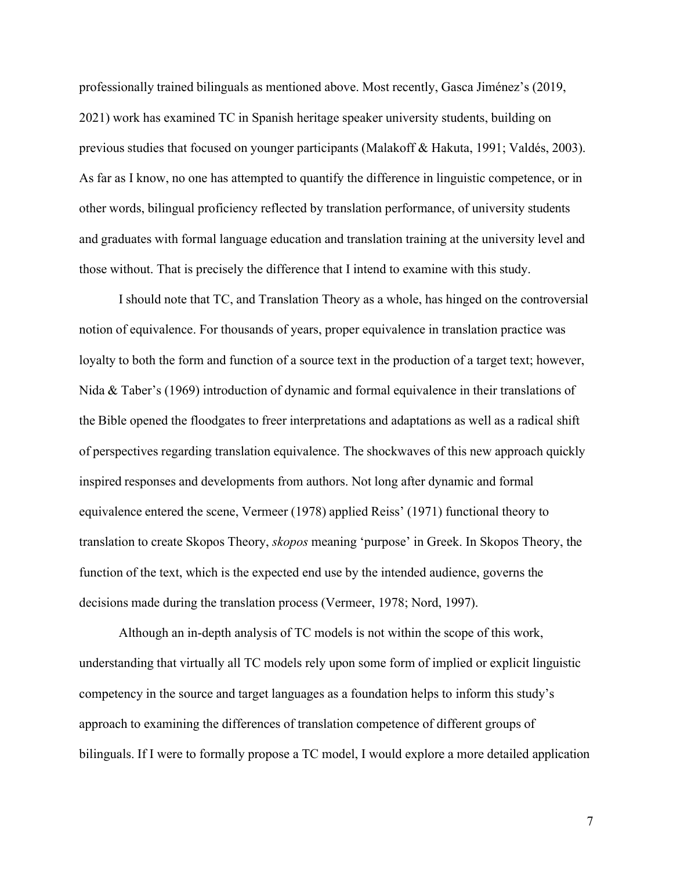professionally trained bilinguals as mentioned above. Most recently, Gasca Jiménez's (2019, 2021) work has examined TC in Spanish heritage speaker university students, building on previous studies that focused on younger participants (Malakoff & Hakuta, 1991; Valdés, 2003). As far as I know, no one has attempted to quantify the difference in linguistic competence, or in other words, bilingual proficiency reflected by translation performance, of university students and graduates with formal language education and translation training at the university level and those without. That is precisely the difference that I intend to examine with this study.

I should note that TC, and Translation Theory as a whole, has hinged on the controversial notion of equivalence. For thousands of years, proper equivalence in translation practice was loyalty to both the form and function of a source text in the production of a target text; however, Nida & Taber's (1969) introduction of dynamic and formal equivalence in their translations of the Bible opened the floodgates to freer interpretations and adaptations as well as a radical shift of perspectives regarding translation equivalence. The shockwaves of this new approach quickly inspired responses and developments from authors. Not long after dynamic and formal equivalence entered the scene, Vermeer (1978) applied Reiss' (1971) functional theory to translation to create Skopos Theory, *skopos* meaning 'purpose' in Greek. In Skopos Theory, the function of the text, which is the expected end use by the intended audience, governs the decisions made during the translation process (Vermeer, 1978; Nord, 1997).

Although an in-depth analysis of TC models is not within the scope of this work, understanding that virtually all TC models rely upon some form of implied or explicit linguistic competency in the source and target languages as a foundation helps to inform this study's approach to examining the differences of translation competence of different groups of bilinguals. If I were to formally propose a TC model, I would explore a more detailed application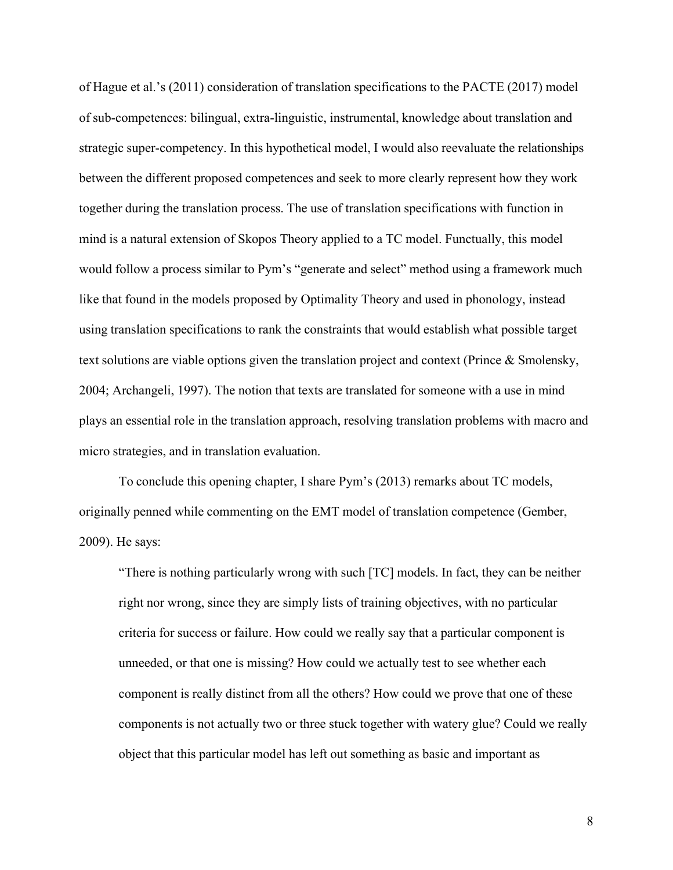of Hague et al.'s (2011) consideration of translation specifications to the PACTE (2017) model of sub-competences: bilingual, extra-linguistic, instrumental, knowledge about translation and strategic super-competency. In this hypothetical model, I would also reevaluate the relationships between the different proposed competences and seek to more clearly represent how they work together during the translation process. The use of translation specifications with function in mind is a natural extension of Skopos Theory applied to a TC model. Functually, this model would follow a process similar to Pym's "generate and select" method using a framework much like that found in the models proposed by Optimality Theory and used in phonology, instead using translation specifications to rank the constraints that would establish what possible target text solutions are viable options given the translation project and context (Prince & Smolensky, 2004; Archangeli, 1997). The notion that texts are translated for someone with a use in mind plays an essential role in the translation approach, resolving translation problems with macro and micro strategies, and in translation evaluation.

To conclude this opening chapter, I share Pym's (2013) remarks about TC models, originally penned while commenting on the EMT model of translation competence (Gember, 2009). He says:

"There is nothing particularly wrong with such [TC] models. In fact, they can be neither right nor wrong, since they are simply lists of training objectives, with no particular criteria for success or failure. How could we really say that a particular component is unneeded, or that one is missing? How could we actually test to see whether each component is really distinct from all the others? How could we prove that one of these components is not actually two or three stuck together with watery glue? Could we really object that this particular model has left out something as basic and important as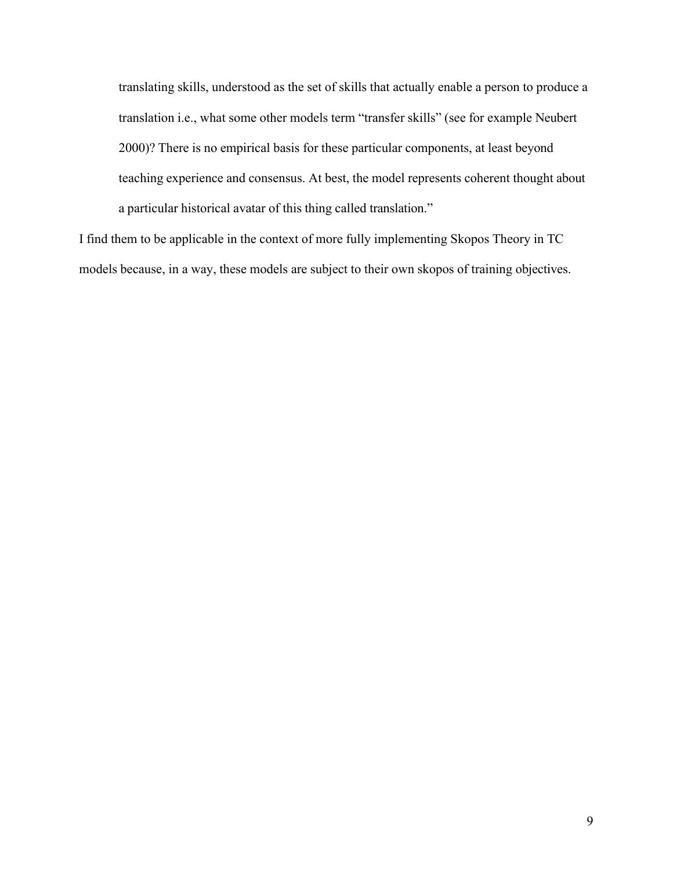translating skills, understood as the set of skills that actually enable a person to produce a translation i.e., what some other models term "transfer skills" (see for example Neubert 2000)? There is no empirical basis for these particular components, at least beyond teaching experience and consensus. At best, the model represents coherent thought about a particular historical avatar of this thing called translation."

I find them to be applicable in the context of more fully implementing Skopos Theory in TC models because, in a way, these models are subject to their own skopos of training objectives.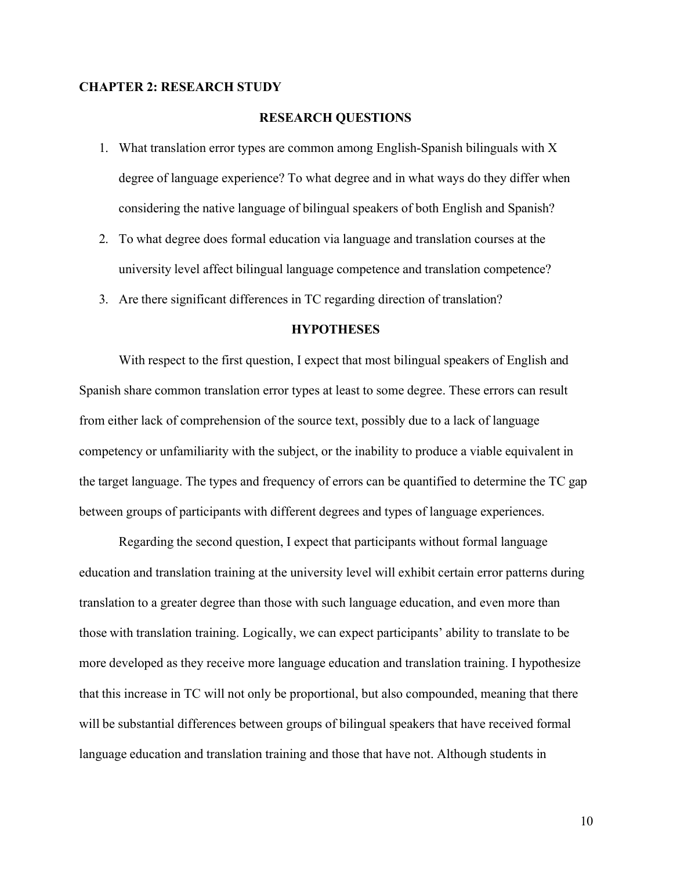## **CHAPTER 2: RESEARCH STUDY**

## **RESEARCH QUESTIONS**

- 1. What translation error types are common among English-Spanish bilinguals with X degree of language experience? To what degree and in what ways do they differ when considering the native language of bilingual speakers of both English and Spanish?
- 2. To what degree does formal education via language and translation courses at the university level affect bilingual language competence and translation competence?
- 3. Are there significant differences in TC regarding direction of translation?

## **HYPOTHESES**

With respect to the first question, I expect that most bilingual speakers of English and Spanish share common translation error types at least to some degree. These errors can result from either lack of comprehension of the source text, possibly due to a lack of language competency or unfamiliarity with the subject, or the inability to produce a viable equivalent in the target language. The types and frequency of errors can be quantified to determine the TC gap between groups of participants with different degrees and types of language experiences.

Regarding the second question, I expect that participants without formal language education and translation training at the university level will exhibit certain error patterns during translation to a greater degree than those with such language education, and even more than those with translation training. Logically, we can expect participants' ability to translate to be more developed as they receive more language education and translation training. I hypothesize that this increase in TC will not only be proportional, but also compounded, meaning that there will be substantial differences between groups of bilingual speakers that have received formal language education and translation training and those that have not. Although students in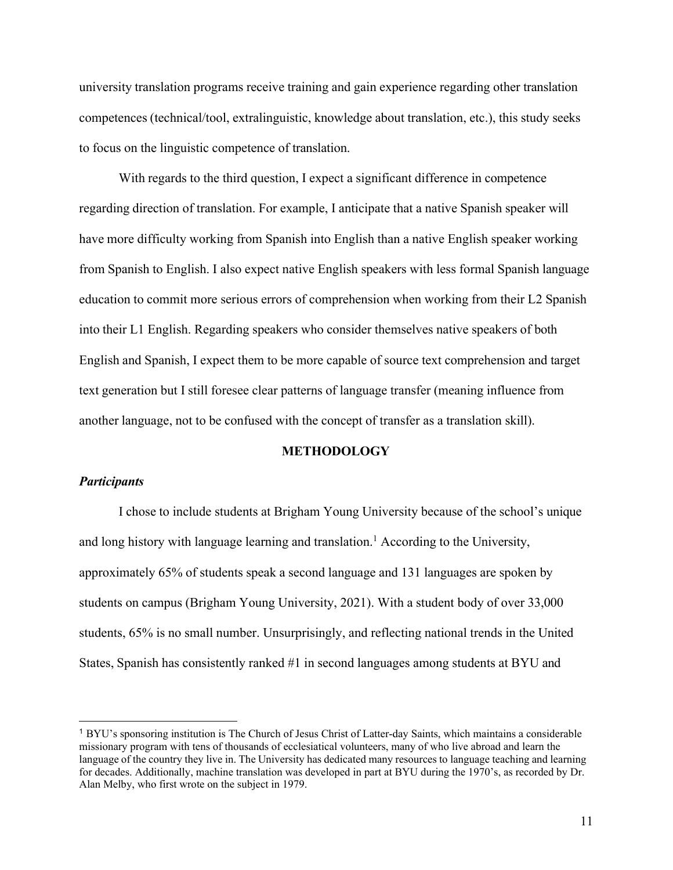university translation programs receive training and gain experience regarding other translation competences (technical/tool, extralinguistic, knowledge about translation, etc.), this study seeks to focus on the linguistic competence of translation.

With regards to the third question, I expect a significant difference in competence regarding direction of translation. For example, I anticipate that a native Spanish speaker will have more difficulty working from Spanish into English than a native English speaker working from Spanish to English. I also expect native English speakers with less formal Spanish language education to commit more serious errors of comprehension when working from their L2 Spanish into their L1 English. Regarding speakers who consider themselves native speakers of both English and Spanish, I expect them to be more capable of source text comprehension and target text generation but I still foresee clear patterns of language transfer (meaning influence from another language, not to be confused with the concept of transfer as a translation skill).

## **METHODOLOGY**

#### *Participants*

I chose to include students at Brigham Young University because of the school's unique and long history with language learning and translation.<sup>1</sup> According to the University, approximately 65% of students speak a second language and 131 languages are spoken by students on campus (Brigham Young University, 2021). With a student body of over 33,000 students, 65% is no small number. Unsurprisingly, and reflecting national trends in the United States, Spanish has consistently ranked #1 in second languages among students at BYU and

<sup>1</sup> BYU's sponsoring institution is The Church of Jesus Christ of Latter-day Saints, which maintains a considerable missionary program with tens of thousands of ecclesiatical volunteers, many of who live abroad and learn the language of the country they live in. The University has dedicated many resources to language teaching and learning for decades. Additionally, machine translation was developed in part at BYU during the 1970's, as recorded by Dr. Alan Melby, who first wrote on the subject in 1979.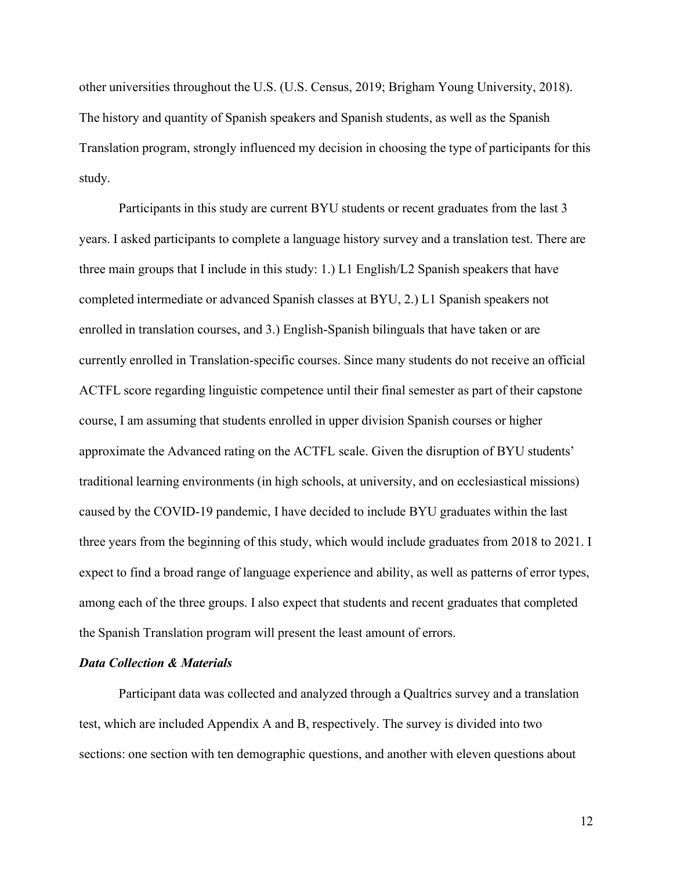other universities throughout the U.S. (U.S. Census, 2019; Brigham Young University, 2018). The history and quantity of Spanish speakers and Spanish students, as well as the Spanish Translation program, strongly influenced my decision in choosing the type of participants for this study.

Participants in this study are current BYU students or recent graduates from the last 3 years. I asked participants to complete a language history survey and a translation test. There are three main groups that I include in this study: 1.) L1 English/L2 Spanish speakers that have completed intermediate or advanced Spanish classes at BYU, 2.) L1 Spanish speakers not enrolled in translation courses, and 3.) English-Spanish bilinguals that have taken or are currently enrolled in Translation-specific courses. Since many students do not receive an official ACTFL score regarding linguistic competence until their final semester as part of their capstone course, I am assuming that students enrolled in upper division Spanish courses or higher approximate the Advanced rating on the ACTFL scale. Given the disruption of BYU students' traditional learning environments (in high schools, at university, and on ecclesiastical missions) caused by the COVID-19 pandemic, I have decided to include BYU graduates within the last three years from the beginning of this study, which would include graduates from 2018 to 2021. I expect to find a broad range of language experience and ability, as well as patterns of error types, among each of the three groups. I also expect that students and recent graduates that completed the Spanish Translation program will present the least amount of errors.

## *Data Collection & Materials*

Participant data was collected and analyzed through a Qualtrics survey and a translation test, which are included Appendix A and B, respectively. The survey is divided into two sections: one section with ten demographic questions, and another with eleven questions about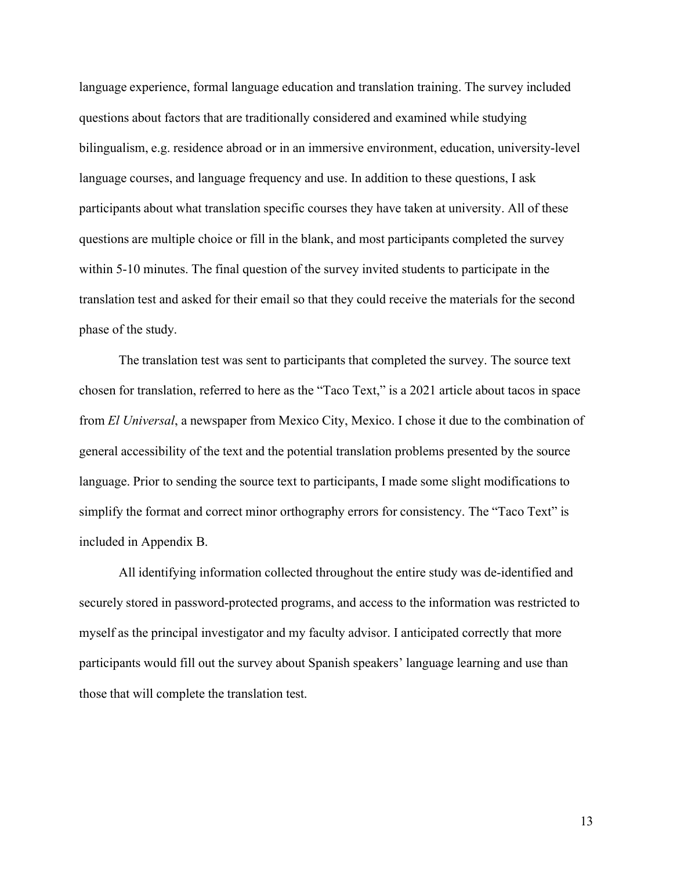language experience, formal language education and translation training. The survey included questions about factors that are traditionally considered and examined while studying bilingualism, e.g. residence abroad or in an immersive environment, education, university-level language courses, and language frequency and use. In addition to these questions, I ask participants about what translation specific courses they have taken at university. All of these questions are multiple choice or fill in the blank, and most participants completed the survey within 5-10 minutes. The final question of the survey invited students to participate in the translation test and asked for their email so that they could receive the materials for the second phase of the study.

The translation test was sent to participants that completed the survey. The source text chosen for translation, referred to here as the "Taco Text," is a 2021 article about tacos in space from *El Universal*, a newspaper from Mexico City, Mexico. I chose it due to the combination of general accessibility of the text and the potential translation problems presented by the source language. Prior to sending the source text to participants, I made some slight modifications to simplify the format and correct minor orthography errors for consistency. The "Taco Text" is included in Appendix B.

All identifying information collected throughout the entire study was de-identified and securely stored in password-protected programs, and access to the information was restricted to myself as the principal investigator and my faculty advisor. I anticipated correctly that more participants would fill out the survey about Spanish speakers' language learning and use than those that will complete the translation test.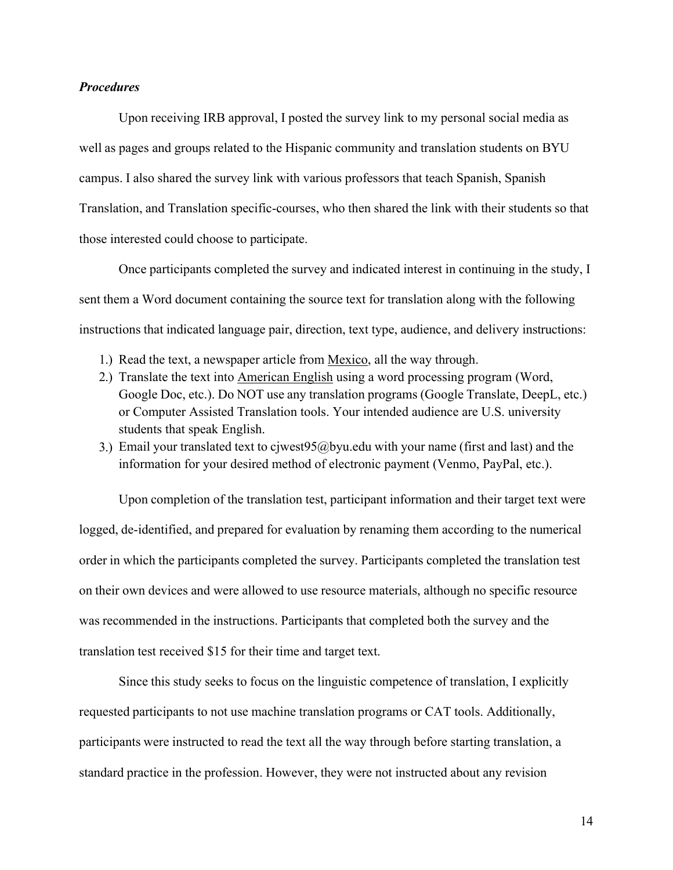## *Procedures*

Upon receiving IRB approval, I posted the survey link to my personal social media as well as pages and groups related to the Hispanic community and translation students on BYU campus. I also shared the survey link with various professors that teach Spanish, Spanish Translation, and Translation specific-courses, who then shared the link with their students so that those interested could choose to participate.

Once participants completed the survey and indicated interest in continuing in the study, I sent them a Word document containing the source text for translation along with the following instructions that indicated language pair, direction, text type, audience, and delivery instructions:

- 1.) Read the text, a newspaper article from Mexico, all the way through.
- 2.) Translate the text into **American English** using a word processing program (Word, Google Doc, etc.). Do NOT use any translation programs (Google Translate, DeepL, etc.) or Computer Assisted Translation tools. Your intended audience are U.S. university students that speak English.
- 3.) Email your translated text to cjwest $95@$  byu.edu with your name (first and last) and the information for your desired method of electronic payment (Venmo, PayPal, etc.).

Upon completion of the translation test, participant information and their target text were logged, de-identified, and prepared for evaluation by renaming them according to the numerical order in which the participants completed the survey. Participants completed the translation test on their own devices and were allowed to use resource materials, although no specific resource was recommended in the instructions. Participants that completed both the survey and the translation test received \$15 for their time and target text.

Since this study seeks to focus on the linguistic competence of translation, I explicitly requested participants to not use machine translation programs or CAT tools. Additionally, participants were instructed to read the text all the way through before starting translation, a standard practice in the profession. However, they were not instructed about any revision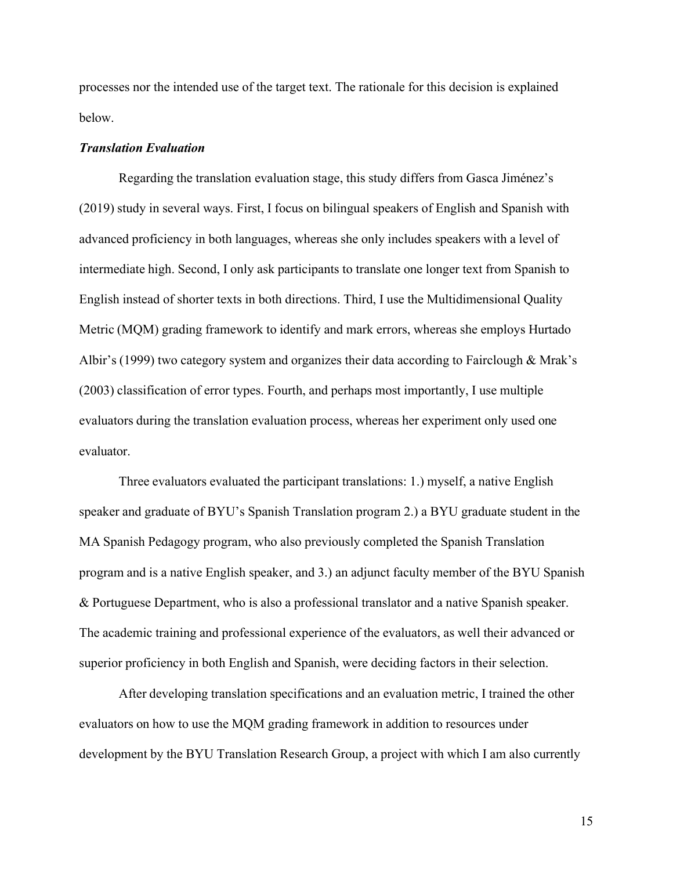processes nor the intended use of the target text. The rationale for this decision is explained below.

### *Translation Evaluation*

Regarding the translation evaluation stage, this study differs from Gasca Jiménez's (2019) study in several ways. First, I focus on bilingual speakers of English and Spanish with advanced proficiency in both languages, whereas she only includes speakers with a level of intermediate high. Second, I only ask participants to translate one longer text from Spanish to English instead of shorter texts in both directions. Third, I use the Multidimensional Quality Metric (MQM) grading framework to identify and mark errors, whereas she employs Hurtado Albir's (1999) two category system and organizes their data according to Fairclough & Mrak's (2003) classification of error types. Fourth, and perhaps most importantly, I use multiple evaluators during the translation evaluation process, whereas her experiment only used one evaluator.

Three evaluators evaluated the participant translations: 1.) myself, a native English speaker and graduate of BYU's Spanish Translation program 2.) a BYU graduate student in the MA Spanish Pedagogy program, who also previously completed the Spanish Translation program and is a native English speaker, and 3.) an adjunct faculty member of the BYU Spanish & Portuguese Department, who is also a professional translator and a native Spanish speaker. The academic training and professional experience of the evaluators, as well their advanced or superior proficiency in both English and Spanish, were deciding factors in their selection.

After developing translation specifications and an evaluation metric, I trained the other evaluators on how to use the MQM grading framework in addition to resources under development by the BYU Translation Research Group, a project with which I am also currently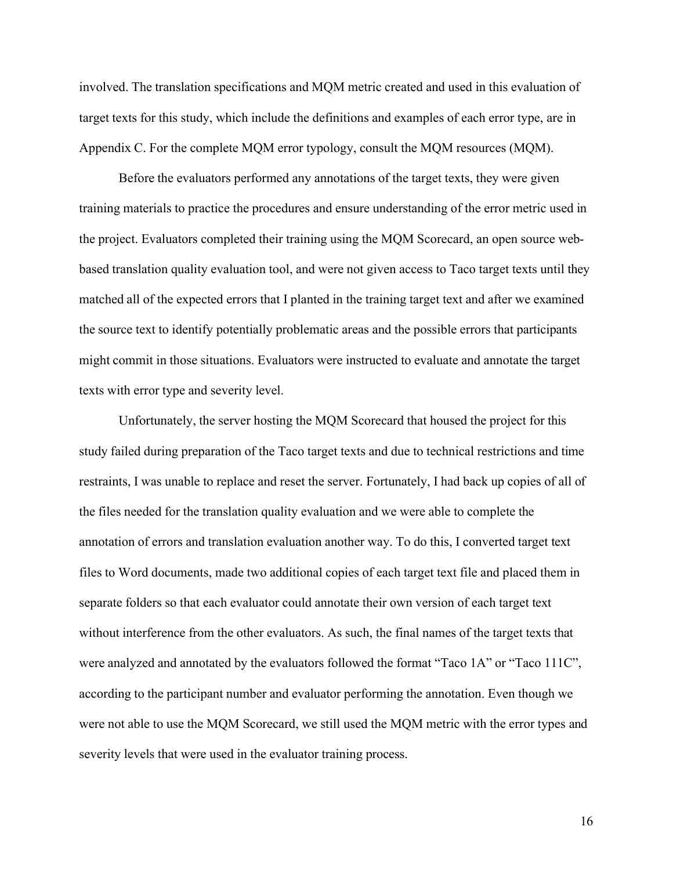involved. The translation specifications and MQM metric created and used in this evaluation of target texts for this study, which include the definitions and examples of each error type, are in Appendix C. For the complete MQM error typology, consult the MQM resources (MQM).

Before the evaluators performed any annotations of the target texts, they were given training materials to practice the procedures and ensure understanding of the error metric used in the project. Evaluators completed their training using the MQM Scorecard, an open source webbased translation quality evaluation tool, and were not given access to Taco target texts until they matched all of the expected errors that I planted in the training target text and after we examined the source text to identify potentially problematic areas and the possible errors that participants might commit in those situations. Evaluators were instructed to evaluate and annotate the target texts with error type and severity level.

Unfortunately, the server hosting the MQM Scorecard that housed the project for this study failed during preparation of the Taco target texts and due to technical restrictions and time restraints, I was unable to replace and reset the server. Fortunately, I had back up copies of all of the files needed for the translation quality evaluation and we were able to complete the annotation of errors and translation evaluation another way. To do this, I converted target text files to Word documents, made two additional copies of each target text file and placed them in separate folders so that each evaluator could annotate their own version of each target text without interference from the other evaluators. As such, the final names of the target texts that were analyzed and annotated by the evaluators followed the format "Taco 1A" or "Taco 111C", according to the participant number and evaluator performing the annotation. Even though we were not able to use the MQM Scorecard, we still used the MQM metric with the error types and severity levels that were used in the evaluator training process.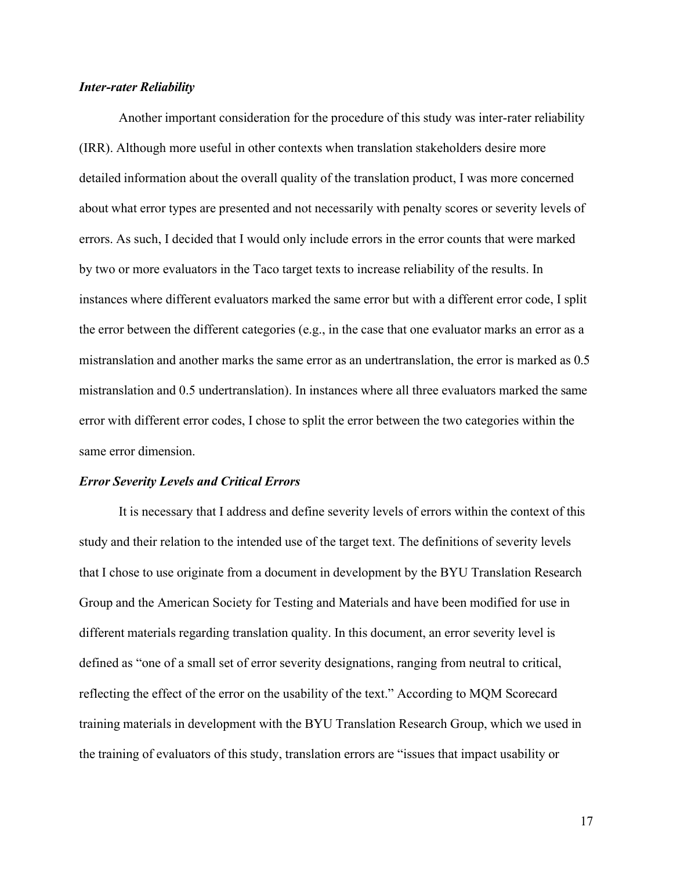#### *Inter-rater Reliability*

Another important consideration for the procedure of this study was inter-rater reliability (IRR). Although more useful in other contexts when translation stakeholders desire more detailed information about the overall quality of the translation product, I was more concerned about what error types are presented and not necessarily with penalty scores or severity levels of errors. As such, I decided that I would only include errors in the error counts that were marked by two or more evaluators in the Taco target texts to increase reliability of the results. In instances where different evaluators marked the same error but with a different error code, I split the error between the different categories (e.g., in the case that one evaluator marks an error as a mistranslation and another marks the same error as an undertranslation, the error is marked as 0.5 mistranslation and 0.5 undertranslation). In instances where all three evaluators marked the same error with different error codes, I chose to split the error between the two categories within the same error dimension.

#### *Error Severity Levels and Critical Errors*

It is necessary that I address and define severity levels of errors within the context of this study and their relation to the intended use of the target text. The definitions of severity levels that I chose to use originate from a document in development by the BYU Translation Research Group and the American Society for Testing and Materials and have been modified for use in different materials regarding translation quality. In this document, an error severity level is defined as "one of a small set of error severity designations, ranging from neutral to critical, reflecting the effect of the error on the usability of the text." According to MQM Scorecard training materials in development with the BYU Translation Research Group, which we used in the training of evaluators of this study, translation errors are "issues that impact usability or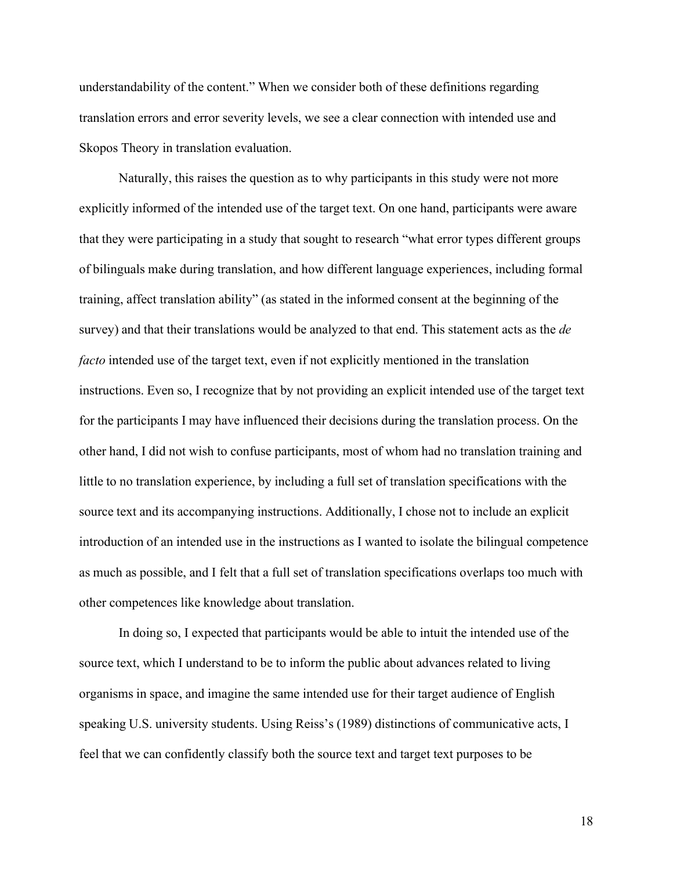understandability of the content." When we consider both of these definitions regarding translation errors and error severity levels, we see a clear connection with intended use and Skopos Theory in translation evaluation.

Naturally, this raises the question as to why participants in this study were not more explicitly informed of the intended use of the target text. On one hand, participants were aware that they were participating in a study that sought to research "what error types different groups of bilinguals make during translation, and how different language experiences, including formal training, affect translation ability" (as stated in the informed consent at the beginning of the survey) and that their translations would be analyzed to that end. This statement acts as the *de facto* intended use of the target text, even if not explicitly mentioned in the translation instructions. Even so, I recognize that by not providing an explicit intended use of the target text for the participants I may have influenced their decisions during the translation process. On the other hand, I did not wish to confuse participants, most of whom had no translation training and little to no translation experience, by including a full set of translation specifications with the source text and its accompanying instructions. Additionally, I chose not to include an explicit introduction of an intended use in the instructions as I wanted to isolate the bilingual competence as much as possible, and I felt that a full set of translation specifications overlaps too much with other competences like knowledge about translation.

In doing so, I expected that participants would be able to intuit the intended use of the source text, which I understand to be to inform the public about advances related to living organisms in space, and imagine the same intended use for their target audience of English speaking U.S. university students. Using Reiss's (1989) distinctions of communicative acts, I feel that we can confidently classify both the source text and target text purposes to be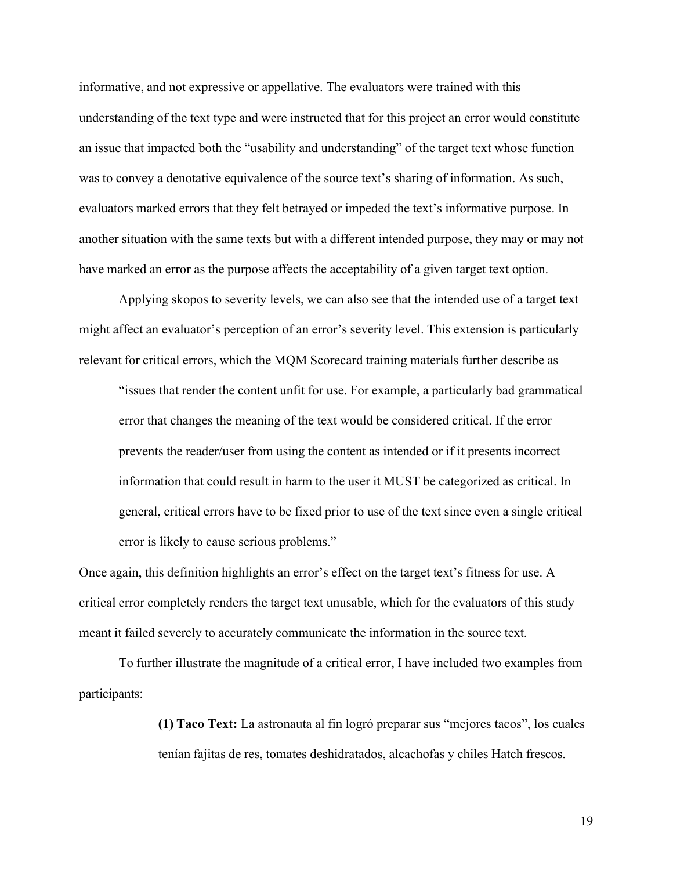informative, and not expressive or appellative. The evaluators were trained with this understanding of the text type and were instructed that for this project an error would constitute an issue that impacted both the "usability and understanding" of the target text whose function was to convey a denotative equivalence of the source text's sharing of information. As such, evaluators marked errors that they felt betrayed or impeded the text's informative purpose. In another situation with the same texts but with a different intended purpose, they may or may not have marked an error as the purpose affects the acceptability of a given target text option.

Applying skopos to severity levels, we can also see that the intended use of a target text might affect an evaluator's perception of an error's severity level. This extension is particularly relevant for critical errors, which the MQM Scorecard training materials further describe as

"issues that render the content unfit for use. For example, a particularly bad grammatical error that changes the meaning of the text would be considered critical. If the error prevents the reader/user from using the content as intended or if it presents incorrect information that could result in harm to the user it MUST be categorized as critical. In general, critical errors have to be fixed prior to use of the text since even a single critical error is likely to cause serious problems."

Once again, this definition highlights an error's effect on the target text's fitness for use. A critical error completely renders the target text unusable, which for the evaluators of this study meant it failed severely to accurately communicate the information in the source text.

To further illustrate the magnitude of a critical error, I have included two examples from participants:

> **(1) Taco Text:** La astronauta al fin logró preparar sus "mejores tacos", los cuales tenían fajitas de res, tomates deshidratados, alcachofas y chiles Hatch frescos.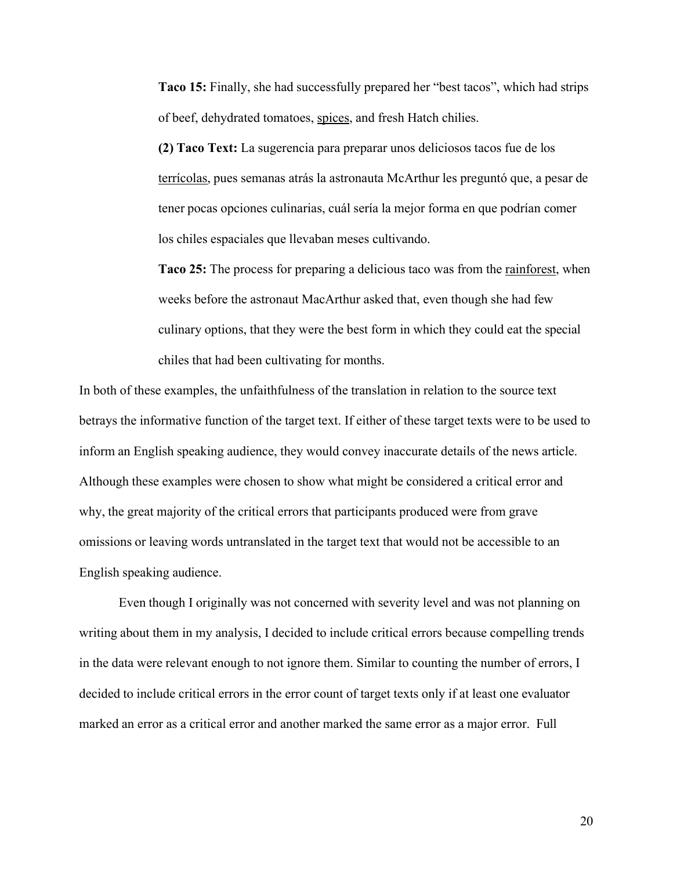**Taco 15:** Finally, she had successfully prepared her "best tacos", which had strips of beef, dehydrated tomatoes, spices, and fresh Hatch chilies.

**(2) Taco Text:** La sugerencia para preparar unos deliciosos tacos fue de los terrícolas, pues semanas atrás la astronauta McArthur les preguntó que, a pesar de tener pocas opciones culinarias, cuál sería la mejor forma en que podrían comer los chiles espaciales que llevaban meses cultivando.

**Taco 25:** The process for preparing a delicious taco was from the rainforest, when weeks before the astronaut MacArthur asked that, even though she had few culinary options, that they were the best form in which they could eat the special chiles that had been cultivating for months.

In both of these examples, the unfaithfulness of the translation in relation to the source text betrays the informative function of the target text. If either of these target texts were to be used to inform an English speaking audience, they would convey inaccurate details of the news article. Although these examples were chosen to show what might be considered a critical error and why, the great majority of the critical errors that participants produced were from grave omissions or leaving words untranslated in the target text that would not be accessible to an English speaking audience.

Even though I originally was not concerned with severity level and was not planning on writing about them in my analysis, I decided to include critical errors because compelling trends in the data were relevant enough to not ignore them. Similar to counting the number of errors, I decided to include critical errors in the error count of target texts only if at least one evaluator marked an error as a critical error and another marked the same error as a major error. Full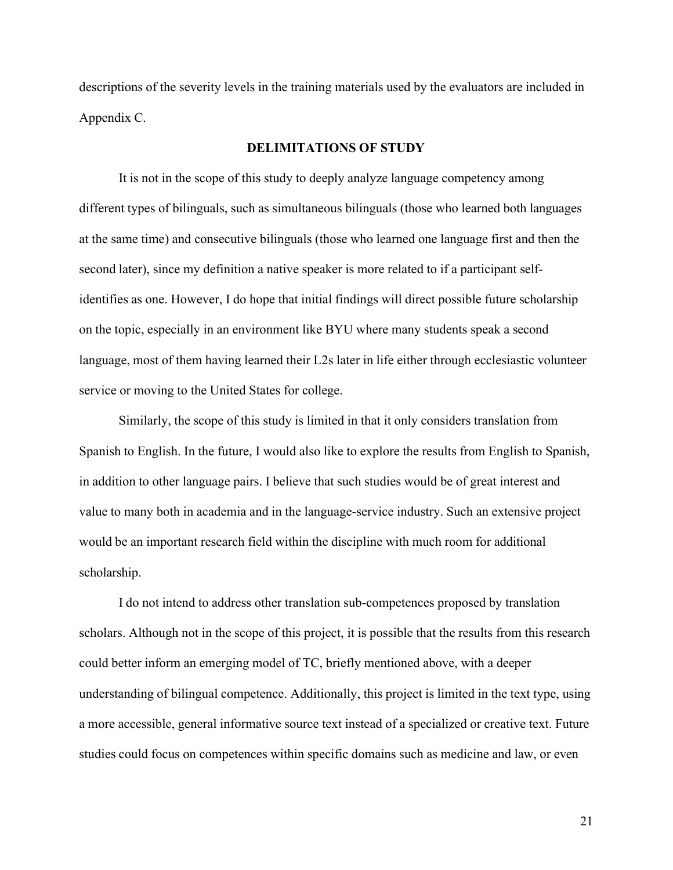descriptions of the severity levels in the training materials used by the evaluators are included in Appendix C.

## **DELIMITATIONS OF STUDY**

It is not in the scope of this study to deeply analyze language competency among different types of bilinguals, such as simultaneous bilinguals (those who learned both languages at the same time) and consecutive bilinguals (those who learned one language first and then the second later), since my definition a native speaker is more related to if a participant selfidentifies as one. However, I do hope that initial findings will direct possible future scholarship on the topic, especially in an environment like BYU where many students speak a second language, most of them having learned their L2s later in life either through ecclesiastic volunteer service or moving to the United States for college.

Similarly, the scope of this study is limited in that it only considers translation from Spanish to English. In the future, I would also like to explore the results from English to Spanish, in addition to other language pairs. I believe that such studies would be of great interest and value to many both in academia and in the language-service industry. Such an extensive project would be an important research field within the discipline with much room for additional scholarship.

I do not intend to address other translation sub-competences proposed by translation scholars. Although not in the scope of this project, it is possible that the results from this research could better inform an emerging model of TC, briefly mentioned above, with a deeper understanding of bilingual competence. Additionally, this project is limited in the text type, using a more accessible, general informative source text instead of a specialized or creative text. Future studies could focus on competences within specific domains such as medicine and law, or even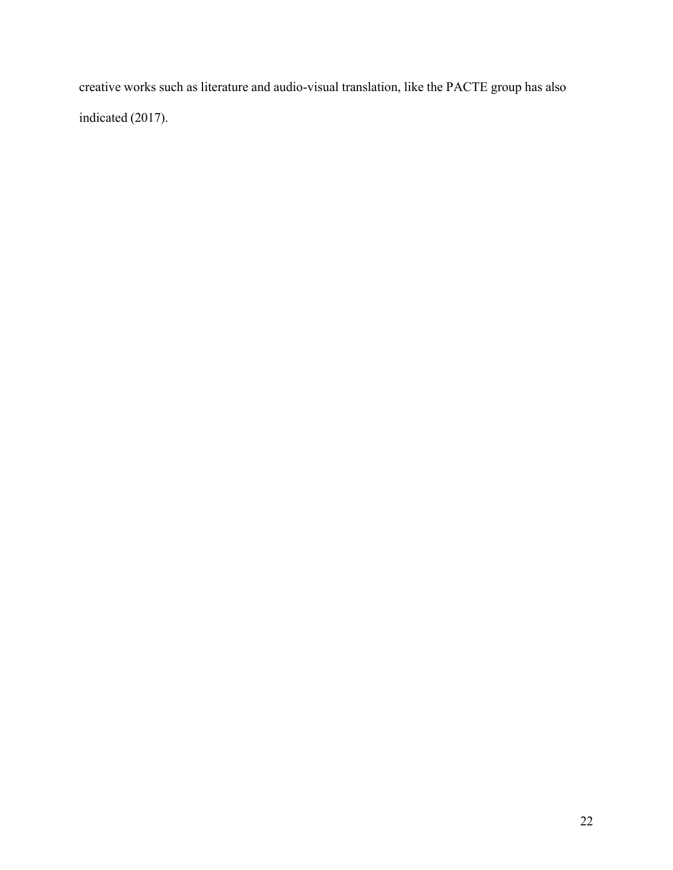creative works such as literature and audio-visual translation, like the PACTE group has also indicated (2017).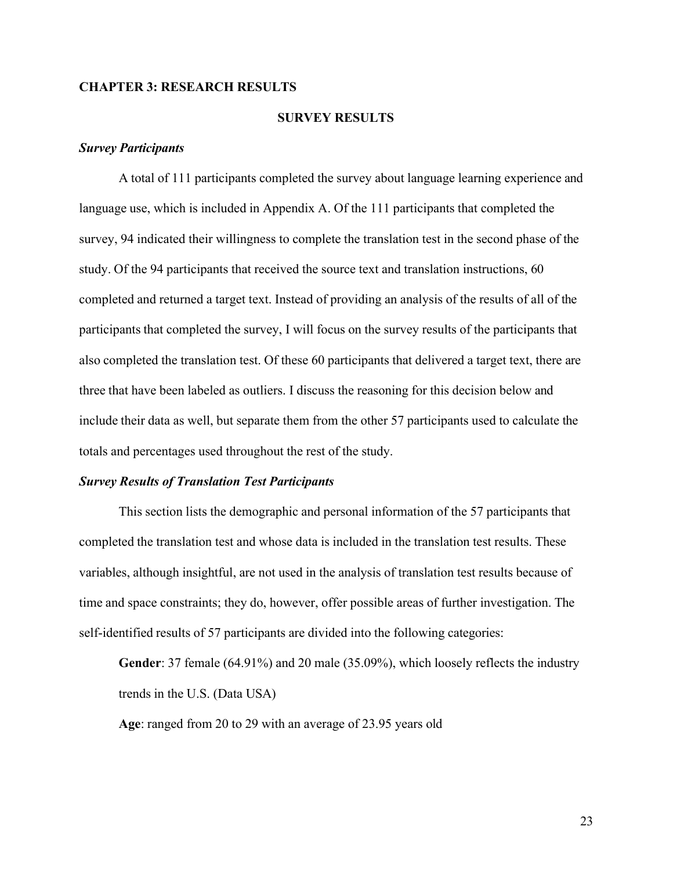## **CHAPTER 3: RESEARCH RESULTS**

## **SURVEY RESULTS**

## *Survey Participants*

A total of 111 participants completed the survey about language learning experience and language use, which is included in Appendix A. Of the 111 participants that completed the survey, 94 indicated their willingness to complete the translation test in the second phase of the study. Of the 94 participants that received the source text and translation instructions, 60 completed and returned a target text. Instead of providing an analysis of the results of all of the participants that completed the survey, I will focus on the survey results of the participants that also completed the translation test. Of these 60 participants that delivered a target text, there are three that have been labeled as outliers. I discuss the reasoning for this decision below and include their data as well, but separate them from the other 57 participants used to calculate the totals and percentages used throughout the rest of the study.

#### *Survey Results of Translation Test Participants*

This section lists the demographic and personal information of the 57 participants that completed the translation test and whose data is included in the translation test results. These variables, although insightful, are not used in the analysis of translation test results because of time and space constraints; they do, however, offer possible areas of further investigation. The self-identified results of 57 participants are divided into the following categories:

**Gender**: 37 female (64.91%) and 20 male (35.09%), which loosely reflects the industry trends in the U.S. (Data USA)

**Age**: ranged from 20 to 29 with an average of 23.95 years old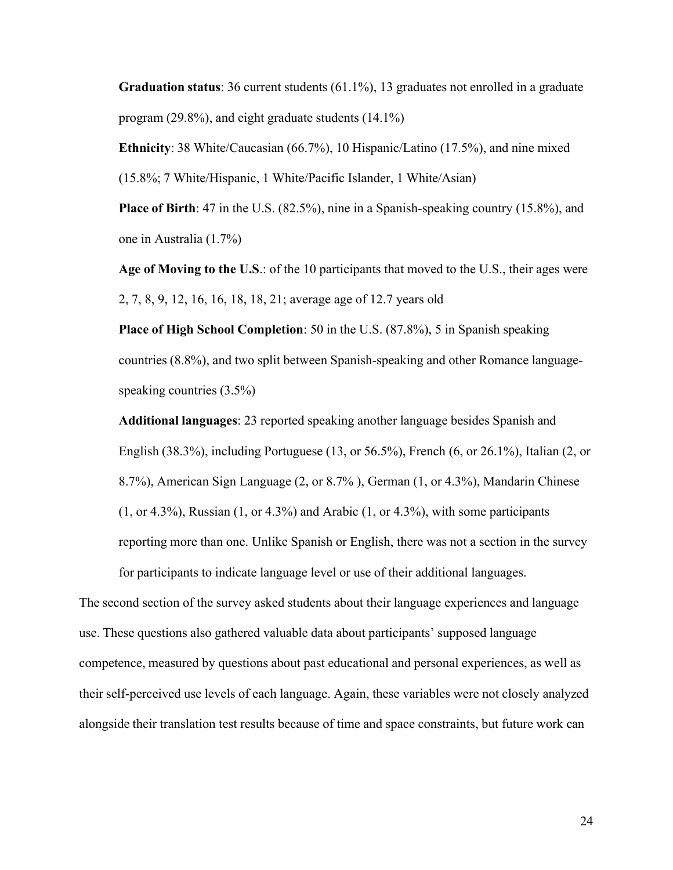**Graduation status**: 36 current students (61.1%), 13 graduates not enrolled in a graduate program (29.8%), and eight graduate students (14.1%)

**Ethnicity**: 38 White/Caucasian (66.7%), 10 Hispanic/Latino (17.5%), and nine mixed (15.8%; 7 White/Hispanic, 1 White/Pacific Islander, 1 White/Asian)

**Place of Birth**: 47 in the U.S. (82.5%), nine in a Spanish-speaking country (15.8%), and one in Australia (1.7%)

**Age of Moving to the U.S**.: of the 10 participants that moved to the U.S., their ages were 2, 7, 8, 9, 12, 16, 16, 18, 18, 21; average age of 12.7 years old

**Place of High School Completion**: 50 in the U.S. (87.8%), 5 in Spanish speaking countries (8.8%), and two split between Spanish-speaking and other Romance languagespeaking countries (3.5%)

**Additional languages**: 23 reported speaking another language besides Spanish and English (38.3%), including Portuguese (13, or 56.5%), French (6, or 26.1%), Italian (2, or 8.7%), American Sign Language (2, or 8.7% ), German (1, or 4.3%), Mandarin Chinese  $(1, or 4.3%)$ , Russian  $(1, or 4.3%)$  and Arabic  $(1, or 4.3%)$ , with some participants reporting more than one. Unlike Spanish or English, there was not a section in the survey for participants to indicate language level or use of their additional languages.

The second section of the survey asked students about their language experiences and language use. These questions also gathered valuable data about participants' supposed language competence, measured by questions about past educational and personal experiences, as well as their self-perceived use levels of each language. Again, these variables were not closely analyzed alongside their translation test results because of time and space constraints, but future work can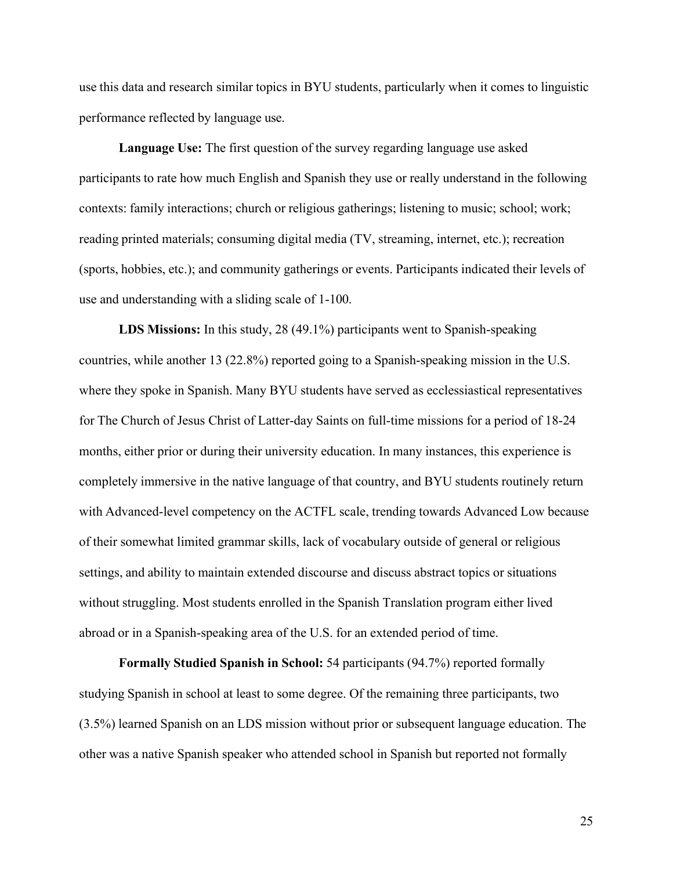use this data and research similar topics in BYU students, particularly when it comes to linguistic performance reflected by language use.

**Language Use:** The first question of the survey regarding language use asked participants to rate how much English and Spanish they use or really understand in the following contexts: family interactions; church or religious gatherings; listening to music; school; work; reading printed materials; consuming digital media (TV, streaming, internet, etc.); recreation (sports, hobbies, etc.); and community gatherings or events. Participants indicated their levels of use and understanding with a sliding scale of 1-100.

**LDS Missions:** In this study, 28 (49.1%) participants went to Spanish-speaking countries, while another 13 (22.8%) reported going to a Spanish-speaking mission in the U.S. where they spoke in Spanish. Many BYU students have served as ecclessiastical representatives for The Church of Jesus Christ of Latter-day Saints on full-time missions for a period of 18-24 months, either prior or during their university education. In many instances, this experience is completely immersive in the native language of that country, and BYU students routinely return with Advanced-level competency on the ACTFL scale, trending towards Advanced Low because of their somewhat limited grammar skills, lack of vocabulary outside of general or religious settings, and ability to maintain extended discourse and discuss abstract topics or situations without struggling. Most students enrolled in the Spanish Translation program either lived abroad or in a Spanish-speaking area of the U.S. for an extended period of time.

**Formally Studied Spanish in School:** 54 participants (94.7%) reported formally studying Spanish in school at least to some degree. Of the remaining three participants, two (3.5%) learned Spanish on an LDS mission without prior or subsequent language education. The other was a native Spanish speaker who attended school in Spanish but reported not formally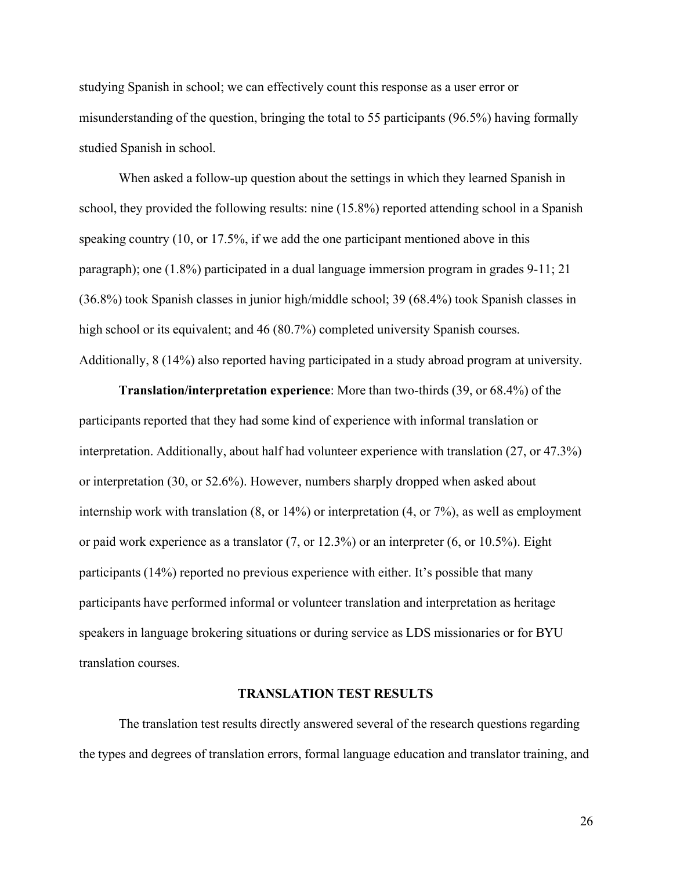studying Spanish in school; we can effectively count this response as a user error or misunderstanding of the question, bringing the total to 55 participants (96.5%) having formally studied Spanish in school.

When asked a follow-up question about the settings in which they learned Spanish in school, they provided the following results: nine (15.8%) reported attending school in a Spanish speaking country (10, or 17.5%, if we add the one participant mentioned above in this paragraph); one (1.8%) participated in a dual language immersion program in grades 9-11; 21 (36.8%) took Spanish classes in junior high/middle school; 39 (68.4%) took Spanish classes in high school or its equivalent; and 46 (80.7%) completed university Spanish courses. Additionally, 8 (14%) also reported having participated in a study abroad program at university.

**Translation/interpretation experience**: More than two-thirds (39, or 68.4%) of the participants reported that they had some kind of experience with informal translation or interpretation. Additionally, about half had volunteer experience with translation (27, or 47.3%) or interpretation (30, or 52.6%). However, numbers sharply dropped when asked about internship work with translation (8, or 14%) or interpretation (4, or 7%), as well as employment or paid work experience as a translator (7, or 12.3%) or an interpreter (6, or 10.5%). Eight participants (14%) reported no previous experience with either. It's possible that many participants have performed informal or volunteer translation and interpretation as heritage speakers in language brokering situations or during service as LDS missionaries or for BYU translation courses.

#### **TRANSLATION TEST RESULTS**

The translation test results directly answered several of the research questions regarding the types and degrees of translation errors, formal language education and translator training, and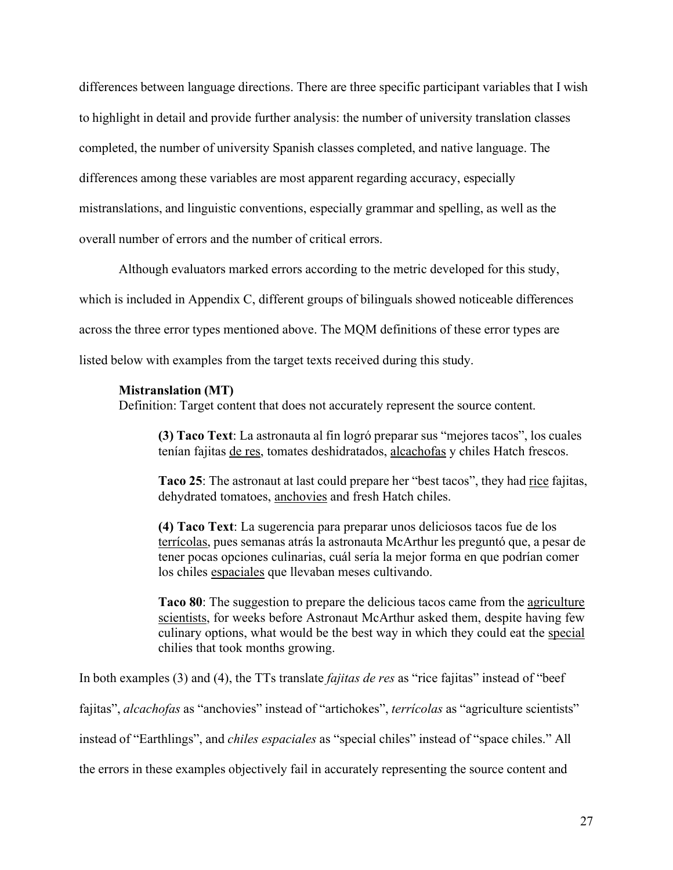differences between language directions. There are three specific participant variables that I wish to highlight in detail and provide further analysis: the number of university translation classes completed, the number of university Spanish classes completed, and native language. The differences among these variables are most apparent regarding accuracy, especially mistranslations, and linguistic conventions, especially grammar and spelling, as well as the overall number of errors and the number of critical errors.

Although evaluators marked errors according to the metric developed for this study,

which is included in Appendix C, different groups of bilinguals showed noticeable differences

across the three error types mentioned above. The MQM definitions of these error types are

listed below with examples from the target texts received during this study.

## **Mistranslation (MT)**

Definition: Target content that does not accurately represent the source content.

**(3) Taco Text**: La astronauta al fin logró preparar sus "mejores tacos", los cuales tenían fajitas de res, tomates deshidratados, alcachofas y chiles Hatch frescos.

**Taco 25**: The astronaut at last could prepare her "best tacos", they had rice fajitas, dehydrated tomatoes, anchovies and fresh Hatch chiles.

**(4) Taco Text**: La sugerencia para preparar unos deliciosos tacos fue de los terrícolas, pues semanas atrás la astronauta McArthur les preguntó que, a pesar de tener pocas opciones culinarias, cuál sería la mejor forma en que podrían comer los chiles espaciales que llevaban meses cultivando.

**Taco 80**: The suggestion to prepare the delicious tacos came from the agriculture scientists, for weeks before Astronaut McArthur asked them, despite having few culinary options, what would be the best way in which they could eat the special chilies that took months growing.

In both examples (3) and (4), the TTs translate *fajitas de res* as "rice fajitas" instead of "beef

fajitas", *alcachofas* as "anchovies" instead of "artichokes", *terrícolas* as "agriculture scientists"

instead of "Earthlings", and *chiles espaciales* as "special chiles" instead of "space chiles." All

the errors in these examples objectively fail in accurately representing the source content and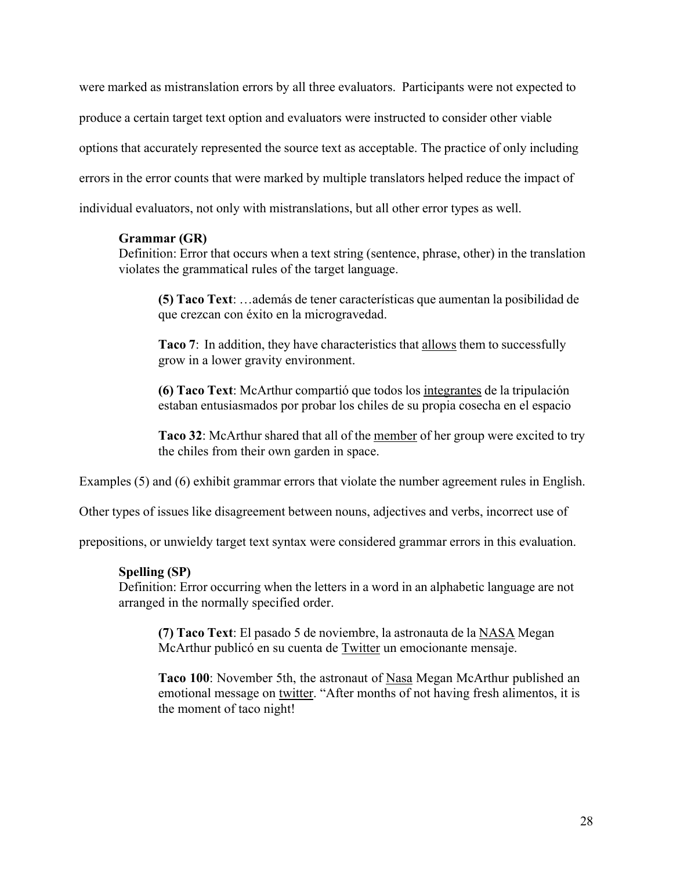were marked as mistranslation errors by all three evaluators. Participants were not expected to produce a certain target text option and evaluators were instructed to consider other viable options that accurately represented the source text as acceptable. The practice of only including errors in the error counts that were marked by multiple translators helped reduce the impact of individual evaluators, not only with mistranslations, but all other error types as well.

## **Grammar (GR)**

Definition: Error that occurs when a text string (sentence, phrase, other) in the translation violates the grammatical rules of the target language.

**(5) Taco Text**: …además de tener características que aumentan la posibilidad de que crezcan con éxito en la microgravedad.

**Taco 7**: In addition, they have characteristics that allows them to successfully grow in a lower gravity environment.

**(6) Taco Text**: McArthur compartió que todos los integrantes de la tripulación estaban entusiasmados por probar los chiles de su propia cosecha en el espacio

**Taco 32**: McArthur shared that all of the member of her group were excited to try the chiles from their own garden in space.

Examples (5) and (6) exhibit grammar errors that violate the number agreement rules in English.

Other types of issues like disagreement between nouns, adjectives and verbs, incorrect use of

prepositions, or unwieldy target text syntax were considered grammar errors in this evaluation.

## **Spelling (SP)**

Definition: Error occurring when the letters in a word in an alphabetic language are not arranged in the normally specified order.

**(7) Taco Text**: El pasado 5 de noviembre, la astronauta de la NASA Megan McArthur publicó en su cuenta de Twitter un emocionante mensaje.

**Taco 100**: November 5th, the astronaut of Nasa Megan McArthur published an emotional message on twitter. "After months of not having fresh alimentos, it is the moment of taco night!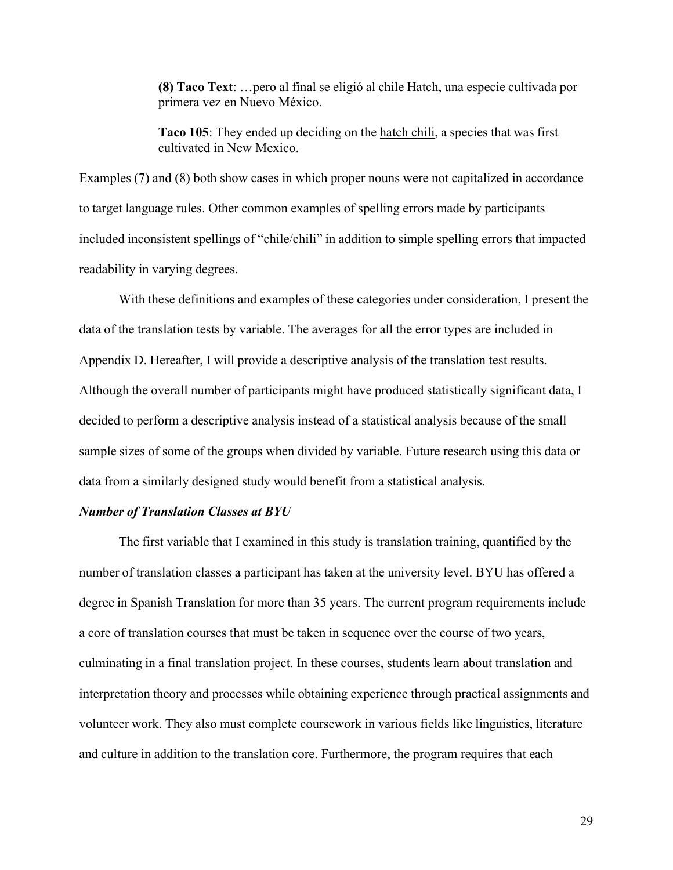**(8) Taco Text**: …pero al final se eligió al chile Hatch, una especie cultivada por primera vez en Nuevo México.

**Taco 105**: They ended up deciding on the hatch chili, a species that was first cultivated in New Mexico.

Examples (7) and (8) both show cases in which proper nouns were not capitalized in accordance to target language rules. Other common examples of spelling errors made by participants included inconsistent spellings of "chile/chili" in addition to simple spelling errors that impacted readability in varying degrees.

With these definitions and examples of these categories under consideration, I present the data of the translation tests by variable. The averages for all the error types are included in Appendix D. Hereafter, I will provide a descriptive analysis of the translation test results. Although the overall number of participants might have produced statistically significant data, I decided to perform a descriptive analysis instead of a statistical analysis because of the small sample sizes of some of the groups when divided by variable. Future research using this data or data from a similarly designed study would benefit from a statistical analysis.

#### *Number of Translation Classes at BYU*

The first variable that I examined in this study is translation training, quantified by the number of translation classes a participant has taken at the university level. BYU has offered a degree in Spanish Translation for more than 35 years. The current program requirements include a core of translation courses that must be taken in sequence over the course of two years, culminating in a final translation project. In these courses, students learn about translation and interpretation theory and processes while obtaining experience through practical assignments and volunteer work. They also must complete coursework in various fields like linguistics, literature and culture in addition to the translation core. Furthermore, the program requires that each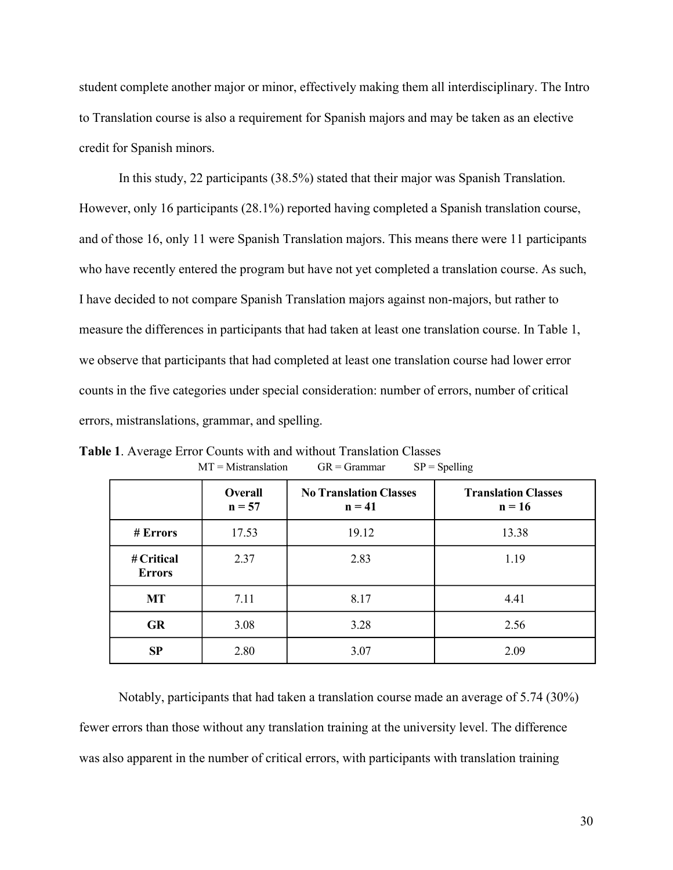student complete another major or minor, effectively making them all interdisciplinary. The Intro to Translation course is also a requirement for Spanish majors and may be taken as an elective credit for Spanish minors.

In this study, 22 participants (38.5%) stated that their major was Spanish Translation. However, only 16 participants (28.1%) reported having completed a Spanish translation course, and of those 16, only 11 were Spanish Translation majors. This means there were 11 participants who have recently entered the program but have not yet completed a translation course. As such, I have decided to not compare Spanish Translation majors against non-majors, but rather to measure the differences in participants that had taken at least one translation course. In Table 1, we observe that participants that had completed at least one translation course had lower error counts in the five categories under special consideration: number of errors, number of critical errors, mistranslations, grammar, and spelling.

|                             | Overall<br>$n = 57$ | <b>No Translation Classes</b><br>$n = 41$ | <b>Translation Classes</b><br>$n = 16$ |  |  |
|-----------------------------|---------------------|-------------------------------------------|----------------------------------------|--|--|
| # Errors                    | 17.53               | 19.12                                     | 13.38                                  |  |  |
| # Critical<br><b>Errors</b> | 2.37                | 2.83                                      | 1.19                                   |  |  |
| <b>MT</b>                   | 7.11                | 8.17                                      | 4.41                                   |  |  |
| GR                          | 3.08                | 3.28                                      | 2.56                                   |  |  |
| SP                          | 2.80                | 3.07                                      | 2.09                                   |  |  |

**Table 1**. Average Error Counts with and without Translation Classes  $MT = Mistranslation$  GR = Grammar SP = Spelling

Notably, participants that had taken a translation course made an average of 5.74 (30%) fewer errors than those without any translation training at the university level. The difference was also apparent in the number of critical errors, with participants with translation training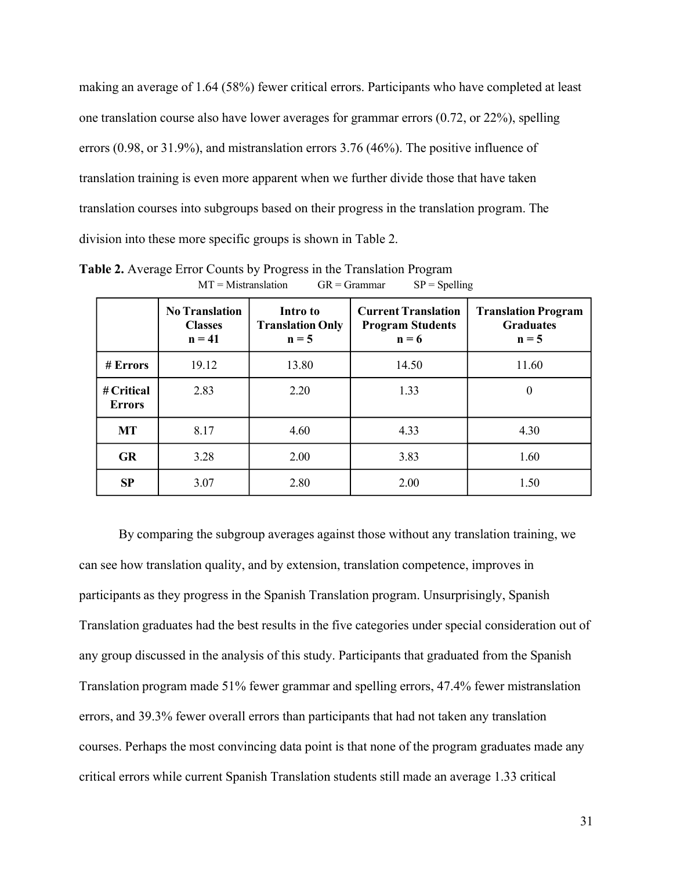making an average of 1.64 (58%) fewer critical errors. Participants who have completed at least one translation course also have lower averages for grammar errors (0.72, or 22%), spelling errors (0.98, or 31.9%), and mistranslation errors 3.76 (46%). The positive influence of translation training is even more apparent when we further divide those that have taken translation courses into subgroups based on their progress in the translation program. The division into these more specific groups is shown in Table 2.

|                             | <b>No Translation</b><br><b>Classes</b><br>$n = 41$ | Intro to<br><b>Translation Only</b><br>$n = 5$ | <b>Current Translation</b><br><b>Program Students</b><br>$n = 6$ | <b>Translation Program</b><br><b>Graduates</b><br>$n = 5$ |  |  |
|-----------------------------|-----------------------------------------------------|------------------------------------------------|------------------------------------------------------------------|-----------------------------------------------------------|--|--|
| # Errors                    | 19.12                                               | 13.80                                          | 14.50                                                            | 11.60                                                     |  |  |
| # Critical<br><b>Errors</b> | 2.83                                                | 2.20                                           | 1.33                                                             | $\theta$                                                  |  |  |
| MT                          | 8.17                                                | 4.60                                           | 4.33                                                             | 4.30                                                      |  |  |
| <b>GR</b>                   | 3.28                                                | 2.00                                           | 3.83                                                             | 1.60                                                      |  |  |
| SP                          | 3.07                                                | 2.80                                           | 2.00                                                             | 1.50                                                      |  |  |

**Table 2.** Average Error Counts by Progress in the Translation Program  $MT = Mistranslation$  GR = Grammar SP = Spelling

By comparing the subgroup averages against those without any translation training, we can see how translation quality, and by extension, translation competence, improves in participants as they progress in the Spanish Translation program. Unsurprisingly, Spanish Translation graduates had the best results in the five categories under special consideration out of any group discussed in the analysis of this study. Participants that graduated from the Spanish Translation program made 51% fewer grammar and spelling errors, 47.4% fewer mistranslation errors, and 39.3% fewer overall errors than participants that had not taken any translation courses. Perhaps the most convincing data point is that none of the program graduates made any critical errors while current Spanish Translation students still made an average 1.33 critical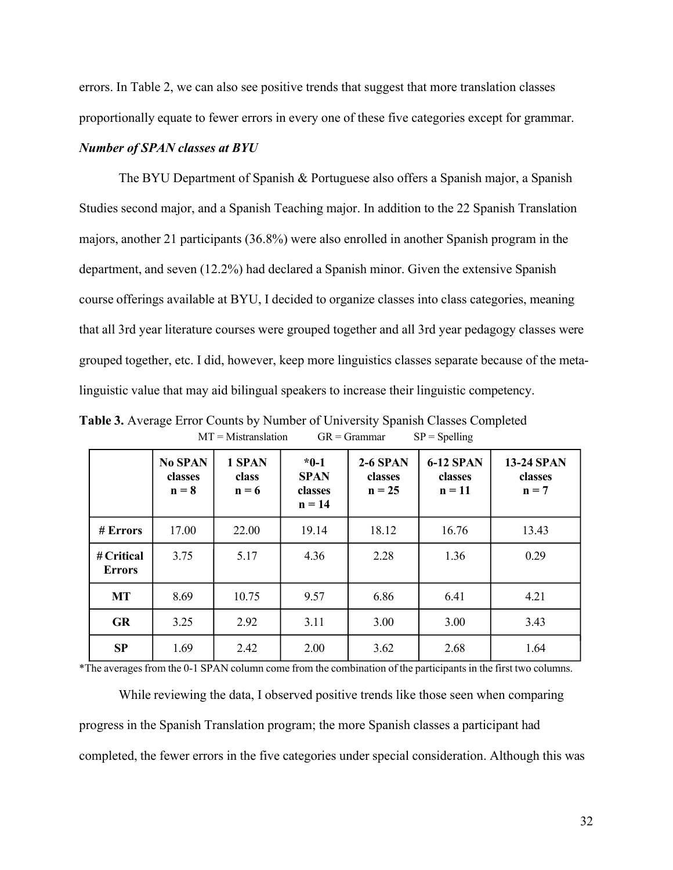errors. In Table 2, we can also see positive trends that suggest that more translation classes proportionally equate to fewer errors in every one of these five categories except for grammar.

### *Number of SPAN classes at BYU*

The BYU Department of Spanish & Portuguese also offers a Spanish major, a Spanish Studies second major, and a Spanish Teaching major. In addition to the 22 Spanish Translation majors, another 21 participants (36.8%) were also enrolled in another Spanish program in the department, and seven (12.2%) had declared a Spanish minor. Given the extensive Spanish course offerings available at BYU, I decided to organize classes into class categories, meaning that all 3rd year literature courses were grouped together and all 3rd year pedagogy classes were grouped together, etc. I did, however, keep more linguistics classes separate because of the metalinguistic value that may aid bilingual speakers to increase their linguistic competency.

|                             | <b>No SPAN</b><br>classes<br>$n = 8$ | 1 SPAN<br>class<br>$n = 6$ | $*0-1$<br><b>SPAN</b><br>classes<br>$n = 14$ | $2-6$ SPAN<br>classes<br>$n = 25$ | <b>6-12 SPAN</b><br>classes<br>$n = 11$ | <b>13-24 SPAN</b><br>classes<br>$n = 7$ |
|-----------------------------|--------------------------------------|----------------------------|----------------------------------------------|-----------------------------------|-----------------------------------------|-----------------------------------------|
| # Errors                    | 17.00                                | 22.00                      | 19.14                                        | 18.12                             | 16.76                                   | 13.43                                   |
| # Critical<br><b>Errors</b> | 3.75                                 | 5.17                       | 4.36                                         | 2.28                              | 1.36                                    | 0.29                                    |
| <b>MT</b>                   | 8.69                                 | 10.75                      | 9.57                                         | 6.86                              | 6.41                                    | 4.21                                    |
| <b>GR</b>                   | 3.25                                 | 2.92                       | 3.11                                         | 3.00                              | 3.00                                    | 3.43                                    |
| <b>SP</b>                   | 1.69                                 | 2.42                       | 2.00                                         | 3.62                              | 2.68                                    | 1.64                                    |

**Table 3.** Average Error Counts by Number of University Spanish Classes Completed  $MT = Mistranslation$  GR = Grammar SP = Spelling

\*The averages from the 0-1 SPAN column come from the combination of the participants in the first two columns.

While reviewing the data, I observed positive trends like those seen when comparing progress in the Spanish Translation program; the more Spanish classes a participant had completed, the fewer errors in the five categories under special consideration. Although this was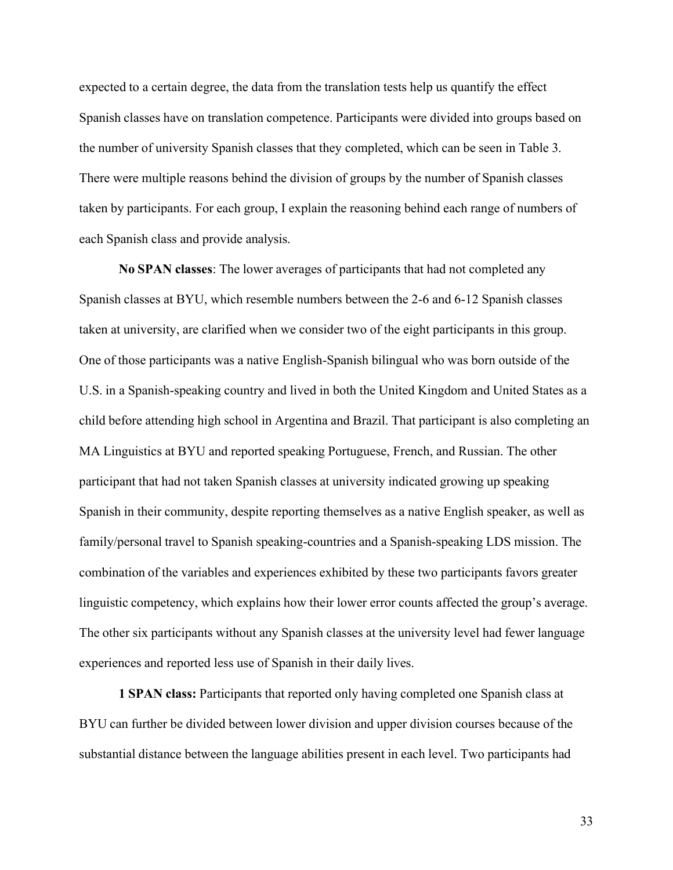expected to a certain degree, the data from the translation tests help us quantify the effect Spanish classes have on translation competence. Participants were divided into groups based on the number of university Spanish classes that they completed, which can be seen in Table 3. There were multiple reasons behind the division of groups by the number of Spanish classes taken by participants. For each group, I explain the reasoning behind each range of numbers of each Spanish class and provide analysis.

**No SPAN classes**: The lower averages of participants that had not completed any Spanish classes at BYU, which resemble numbers between the 2-6 and 6-12 Spanish classes taken at university, are clarified when we consider two of the eight participants in this group. One of those participants was a native English-Spanish bilingual who was born outside of the U.S. in a Spanish-speaking country and lived in both the United Kingdom and United States as a child before attending high school in Argentina and Brazil. That participant is also completing an MA Linguistics at BYU and reported speaking Portuguese, French, and Russian. The other participant that had not taken Spanish classes at university indicated growing up speaking Spanish in their community, despite reporting themselves as a native English speaker, as well as family/personal travel to Spanish speaking-countries and a Spanish-speaking LDS mission. The combination of the variables and experiences exhibited by these two participants favors greater linguistic competency, which explains how their lower error counts affected the group's average. The other six participants without any Spanish classes at the university level had fewer language experiences and reported less use of Spanish in their daily lives.

**1 SPAN class:** Participants that reported only having completed one Spanish class at BYU can further be divided between lower division and upper division courses because of the substantial distance between the language abilities present in each level. Two participants had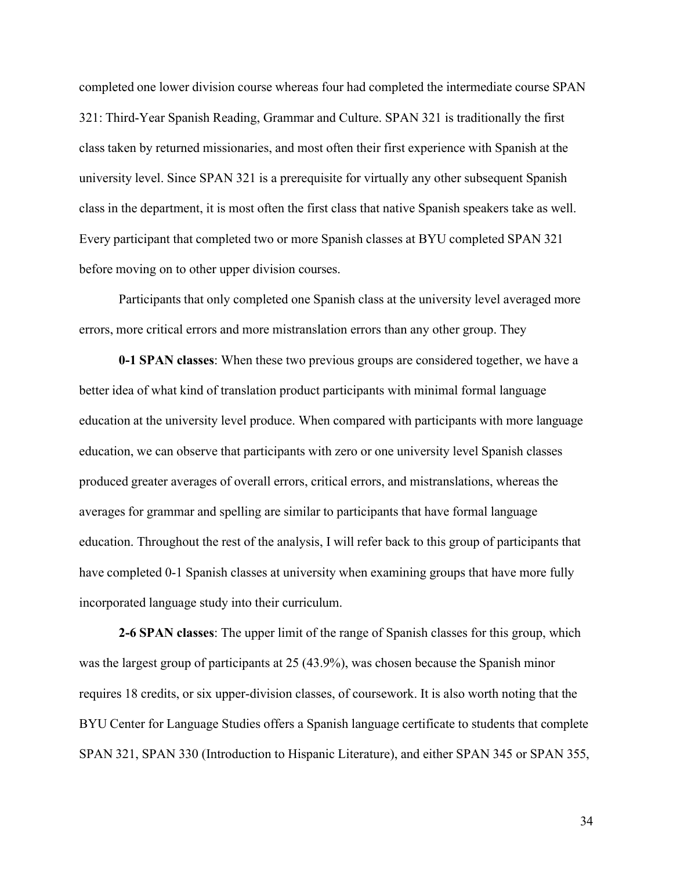completed one lower division course whereas four had completed the intermediate course SPAN 321: Third-Year Spanish Reading, Grammar and Culture. SPAN 321 is traditionally the first class taken by returned missionaries, and most often their first experience with Spanish at the university level. Since SPAN 321 is a prerequisite for virtually any other subsequent Spanish class in the department, it is most often the first class that native Spanish speakers take as well. Every participant that completed two or more Spanish classes at BYU completed SPAN 321 before moving on to other upper division courses.

Participants that only completed one Spanish class at the university level averaged more errors, more critical errors and more mistranslation errors than any other group. They

**0-1 SPAN classes**: When these two previous groups are considered together, we have a better idea of what kind of translation product participants with minimal formal language education at the university level produce. When compared with participants with more language education, we can observe that participants with zero or one university level Spanish classes produced greater averages of overall errors, critical errors, and mistranslations, whereas the averages for grammar and spelling are similar to participants that have formal language education. Throughout the rest of the analysis, I will refer back to this group of participants that have completed 0-1 Spanish classes at university when examining groups that have more fully incorporated language study into their curriculum.

**2-6 SPAN classes**: The upper limit of the range of Spanish classes for this group, which was the largest group of participants at 25 (43.9%), was chosen because the Spanish minor requires 18 credits, or six upper-division classes, of coursework. It is also worth noting that the BYU Center for Language Studies offers a Spanish language certificate to students that complete SPAN 321, SPAN 330 (Introduction to Hispanic Literature), and either SPAN 345 or SPAN 355,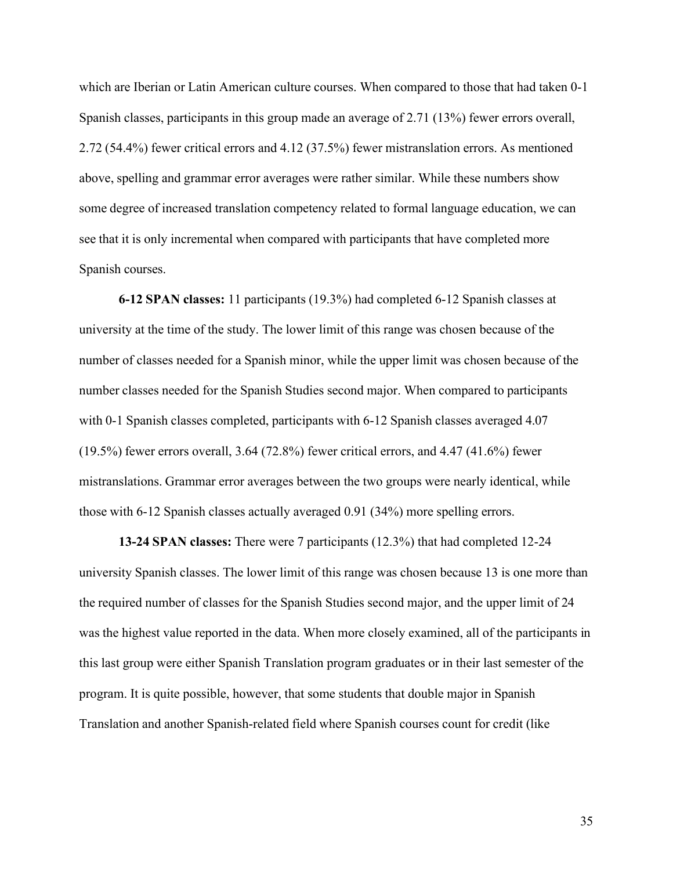which are Iberian or Latin American culture courses. When compared to those that had taken 0-1 Spanish classes, participants in this group made an average of 2.71 (13%) fewer errors overall, 2.72 (54.4%) fewer critical errors and 4.12 (37.5%) fewer mistranslation errors. As mentioned above, spelling and grammar error averages were rather similar. While these numbers show some degree of increased translation competency related to formal language education, we can see that it is only incremental when compared with participants that have completed more Spanish courses.

**6-12 SPAN classes:** 11 participants (19.3%) had completed 6-12 Spanish classes at university at the time of the study. The lower limit of this range was chosen because of the number of classes needed for a Spanish minor, while the upper limit was chosen because of the number classes needed for the Spanish Studies second major. When compared to participants with 0-1 Spanish classes completed, participants with 6-12 Spanish classes averaged 4.07 (19.5%) fewer errors overall, 3.64 (72.8%) fewer critical errors, and 4.47 (41.6%) fewer mistranslations. Grammar error averages between the two groups were nearly identical, while those with 6-12 Spanish classes actually averaged 0.91 (34%) more spelling errors.

**13-24 SPAN classes:** There were 7 participants (12.3%) that had completed 12-24 university Spanish classes. The lower limit of this range was chosen because 13 is one more than the required number of classes for the Spanish Studies second major, and the upper limit of 24 was the highest value reported in the data. When more closely examined, all of the participants in this last group were either Spanish Translation program graduates or in their last semester of the program. It is quite possible, however, that some students that double major in Spanish Translation and another Spanish-related field where Spanish courses count for credit (like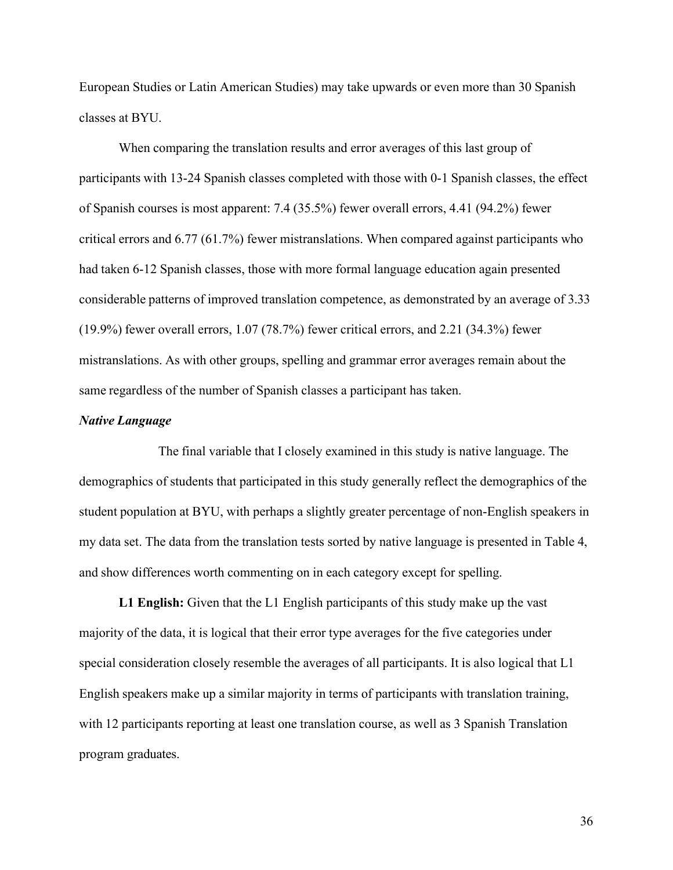European Studies or Latin American Studies) may take upwards or even more than 30 Spanish classes at BYU.

When comparing the translation results and error averages of this last group of participants with 13-24 Spanish classes completed with those with 0-1 Spanish classes, the effect of Spanish courses is most apparent: 7.4 (35.5%) fewer overall errors, 4.41 (94.2%) fewer critical errors and 6.77 (61.7%) fewer mistranslations. When compared against participants who had taken 6-12 Spanish classes, those with more formal language education again presented considerable patterns of improved translation competence, as demonstrated by an average of 3.33 (19.9%) fewer overall errors, 1.07 (78.7%) fewer critical errors, and 2.21 (34.3%) fewer mistranslations. As with other groups, spelling and grammar error averages remain about the same regardless of the number of Spanish classes a participant has taken.

### *Native Language*

The final variable that I closely examined in this study is native language. The demographics of students that participated in this study generally reflect the demographics of the student population at BYU, with perhaps a slightly greater percentage of non-English speakers in my data set. The data from the translation tests sorted by native language is presented in Table 4, and show differences worth commenting on in each category except for spelling.

**L1 English:** Given that the L1 English participants of this study make up the vast majority of the data, it is logical that their error type averages for the five categories under special consideration closely resemble the averages of all participants. It is also logical that L1 English speakers make up a similar majority in terms of participants with translation training, with 12 participants reporting at least one translation course, as well as 3 Spanish Translation program graduates.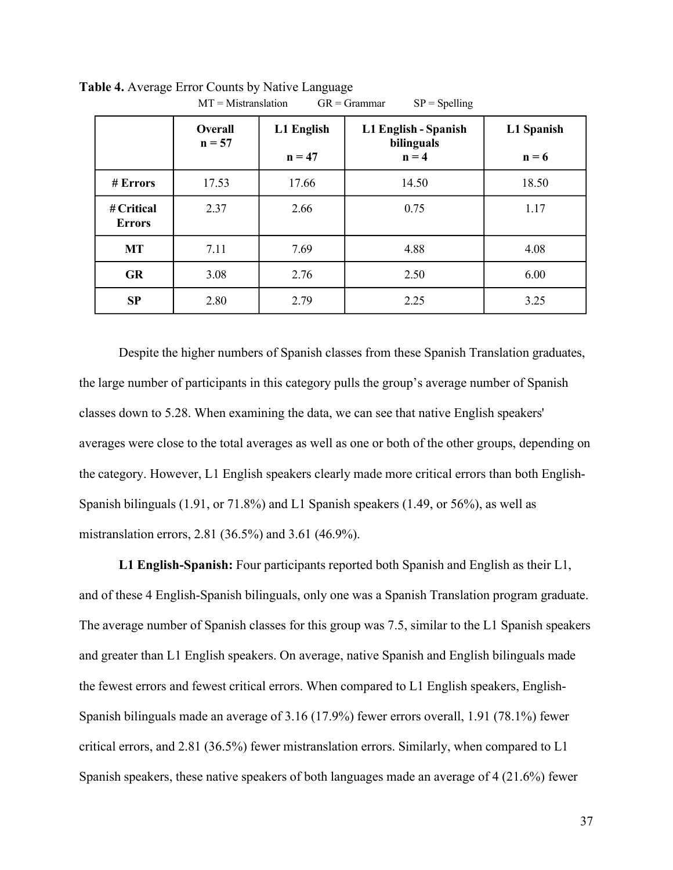|                             | Overall<br>$n = 57$ | L1 English<br>$n = 47$ | L1 English - Spanish<br>bilinguals<br>$n = 4$ | L1 Spanish<br>$n = 6$ |  |  |  |
|-----------------------------|---------------------|------------------------|-----------------------------------------------|-----------------------|--|--|--|
| # Errors                    | 17.53<br>17.66      |                        | 14.50                                         | 18.50                 |  |  |  |
| # Critical<br><b>Errors</b> | 2.37<br>2.66        |                        | 0.75                                          | 1.17                  |  |  |  |
| <b>MT</b>                   | 7.11                | 7.69                   | 4.88                                          | 4.08                  |  |  |  |
| <b>GR</b>                   | 3.08                | 2.76                   | 2.50                                          | 6.00                  |  |  |  |
| SP                          | 2.80<br>2.79        |                        | 2.25                                          | 3.25                  |  |  |  |

**Table 4.** Average Error Counts by Native Language  $MT = Mistranslation$  GR = Grammar SP = Spelling

Despite the higher numbers of Spanish classes from these Spanish Translation graduates, the large number of participants in this category pulls the group's average number of Spanish classes down to 5.28. When examining the data, we can see that native English speakers' averages were close to the total averages as well as one or both of the other groups, depending on the category. However, L1 English speakers clearly made more critical errors than both English-Spanish bilinguals (1.91, or 71.8%) and L1 Spanish speakers (1.49, or 56%), as well as mistranslation errors, 2.81 (36.5%) and 3.61 (46.9%).

**L1 English-Spanish:** Four participants reported both Spanish and English as their L1, and of these 4 English-Spanish bilinguals, only one was a Spanish Translation program graduate. The average number of Spanish classes for this group was 7.5, similar to the L1 Spanish speakers and greater than L1 English speakers. On average, native Spanish and English bilinguals made the fewest errors and fewest critical errors. When compared to L1 English speakers, English-Spanish bilinguals made an average of 3.16 (17.9%) fewer errors overall, 1.91 (78.1%) fewer critical errors, and 2.81 (36.5%) fewer mistranslation errors. Similarly, when compared to L1 Spanish speakers, these native speakers of both languages made an average of 4 (21.6%) fewer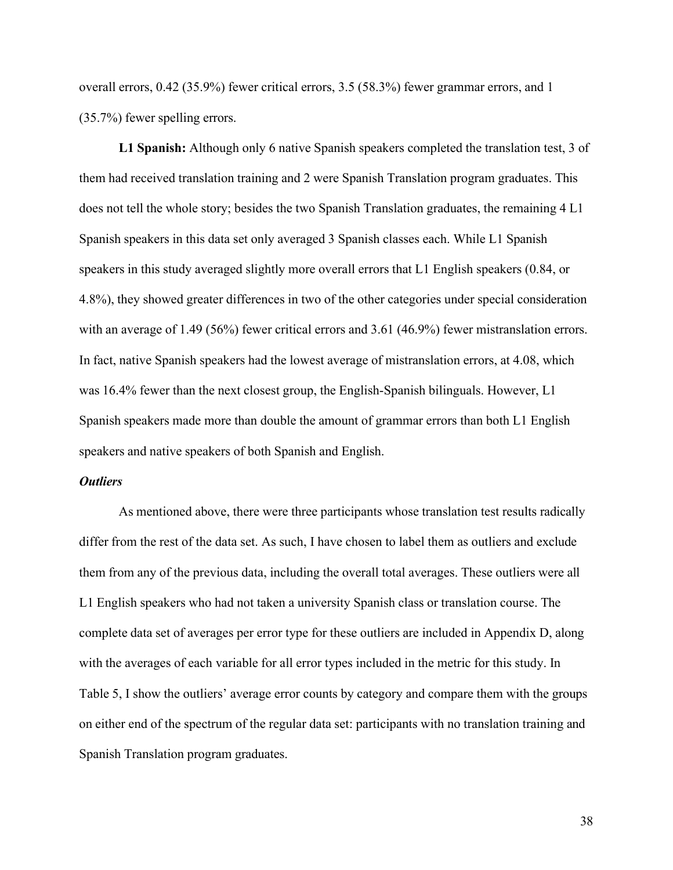overall errors, 0.42 (35.9%) fewer critical errors, 3.5 (58.3%) fewer grammar errors, and 1 (35.7%) fewer spelling errors.

**L1 Spanish:** Although only 6 native Spanish speakers completed the translation test, 3 of them had received translation training and 2 were Spanish Translation program graduates. This does not tell the whole story; besides the two Spanish Translation graduates, the remaining 4 L1 Spanish speakers in this data set only averaged 3 Spanish classes each. While L1 Spanish speakers in this study averaged slightly more overall errors that L1 English speakers (0.84, or 4.8%), they showed greater differences in two of the other categories under special consideration with an average of 1.49 (56%) fewer critical errors and 3.61 (46.9%) fewer mistranslation errors. In fact, native Spanish speakers had the lowest average of mistranslation errors, at 4.08, which was 16.4% fewer than the next closest group, the English-Spanish bilinguals. However, L1 Spanish speakers made more than double the amount of grammar errors than both L1 English speakers and native speakers of both Spanish and English.

#### *Outliers*

As mentioned above, there were three participants whose translation test results radically differ from the rest of the data set. As such, I have chosen to label them as outliers and exclude them from any of the previous data, including the overall total averages. These outliers were all L1 English speakers who had not taken a university Spanish class or translation course. The complete data set of averages per error type for these outliers are included in Appendix D, along with the averages of each variable for all error types included in the metric for this study. In Table 5, I show the outliers' average error counts by category and compare them with the groups on either end of the spectrum of the regular data set: participants with no translation training and Spanish Translation program graduates.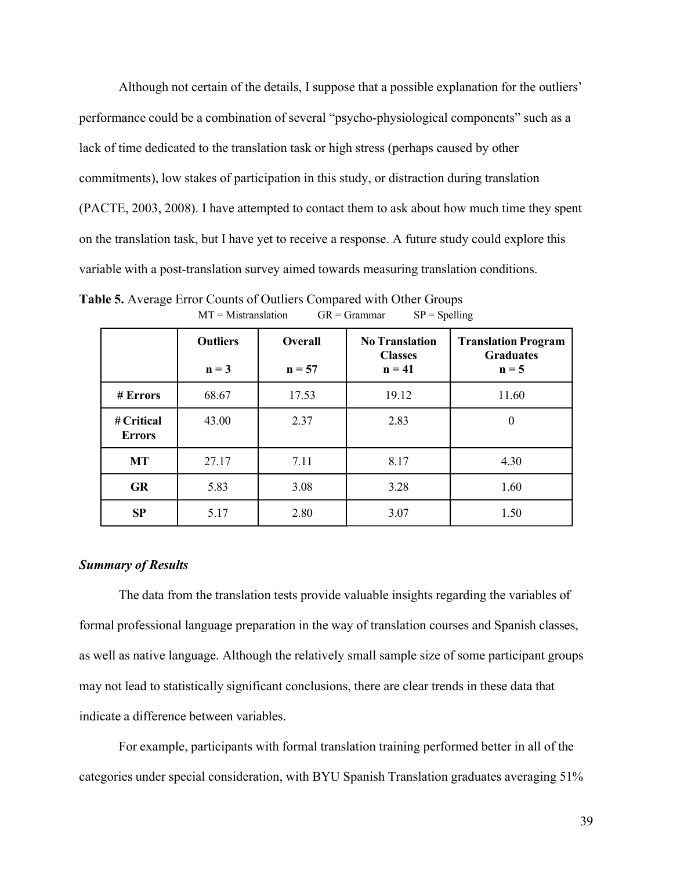Although not certain of the details, I suppose that a possible explanation for the outliers' performance could be a combination of several "psycho-physiological components" such as a lack of time dedicated to the translation task or high stress (perhaps caused by other commitments), low stakes of participation in this study, or distraction during translation (PACTE, 2003, 2008). I have attempted to contact them to ask about how much time they spent on the translation task, but I have yet to receive a response. A future study could explore this variable with a post-translation survey aimed towards measuring translation conditions.

|                             | <b>Outliers</b><br>$n = 3$ | <b>Overall</b><br>$n = 57$ | <b>No Translation</b><br><b>Classes</b><br>$n = 41$ | <b>Translation Program</b><br><b>Graduates</b><br>$n = 5$ |  |  |
|-----------------------------|----------------------------|----------------------------|-----------------------------------------------------|-----------------------------------------------------------|--|--|
| # Errors                    | 68.67                      | 17.53                      | 19.12                                               | 11.60                                                     |  |  |
| # Critical<br><b>Errors</b> | 43.00                      | 2.37                       | 2.83                                                | $\theta$                                                  |  |  |
| <b>MT</b>                   | 27.17                      | 7.11                       | 8.17                                                | 4.30                                                      |  |  |
| <b>GR</b>                   | 5.83                       | 3.08                       | 3.28                                                | 1.60                                                      |  |  |
| SP                          | 5.17                       | 2.80                       | 3.07                                                | 1.50                                                      |  |  |

**Table 5.** Average Error Counts of Outliers Compared with Other Groups  $MT = Mistranslation$  GR = Grammar SP = Spelling

### *Summary of Results*

The data from the translation tests provide valuable insights regarding the variables of formal professional language preparation in the way of translation courses and Spanish classes, as well as native language. Although the relatively small sample size of some participant groups may not lead to statistically significant conclusions, there are clear trends in these data that indicate a difference between variables.

For example, participants with formal translation training performed better in all of the categories under special consideration, with BYU Spanish Translation graduates averaging 51%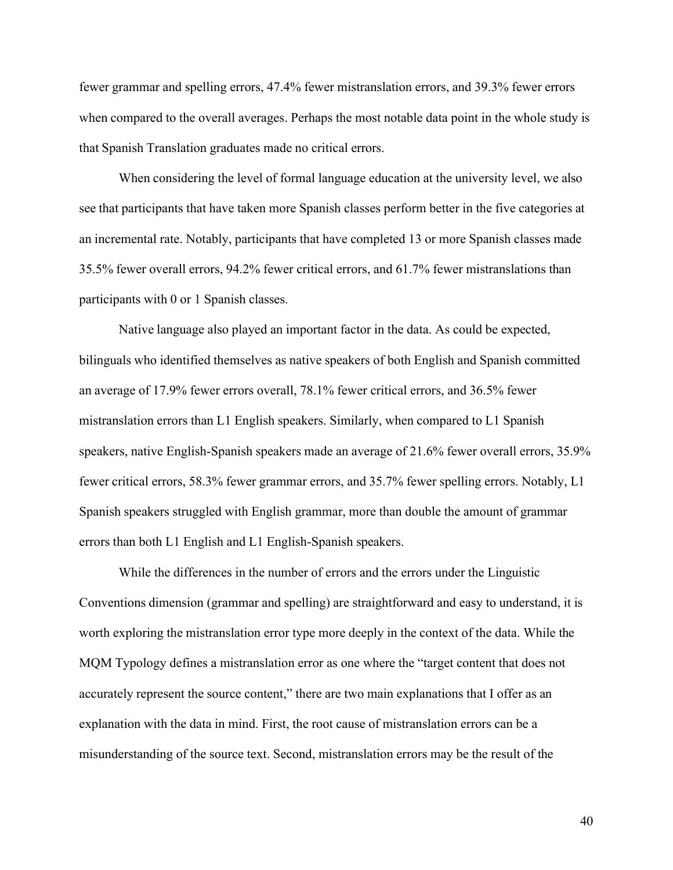fewer grammar and spelling errors, 47.4% fewer mistranslation errors, and 39.3% fewer errors when compared to the overall averages. Perhaps the most notable data point in the whole study is that Spanish Translation graduates made no critical errors.

When considering the level of formal language education at the university level, we also see that participants that have taken more Spanish classes perform better in the five categories at an incremental rate. Notably, participants that have completed 13 or more Spanish classes made 35.5% fewer overall errors, 94.2% fewer critical errors, and 61.7% fewer mistranslations than participants with 0 or 1 Spanish classes.

Native language also played an important factor in the data. As could be expected, bilinguals who identified themselves as native speakers of both English and Spanish committed an average of 17.9% fewer errors overall, 78.1% fewer critical errors, and 36.5% fewer mistranslation errors than L1 English speakers. Similarly, when compared to L1 Spanish speakers, native English-Spanish speakers made an average of 21.6% fewer overall errors, 35.9% fewer critical errors, 58.3% fewer grammar errors, and 35.7% fewer spelling errors. Notably, L1 Spanish speakers struggled with English grammar, more than double the amount of grammar errors than both L1 English and L1 English-Spanish speakers.

While the differences in the number of errors and the errors under the Linguistic Conventions dimension (grammar and spelling) are straightforward and easy to understand, it is worth exploring the mistranslation error type more deeply in the context of the data. While the MQM Typology defines a mistranslation error as one where the "target content that does not accurately represent the source content," there are two main explanations that I offer as an explanation with the data in mind. First, the root cause of mistranslation errors can be a misunderstanding of the source text. Second, mistranslation errors may be the result of the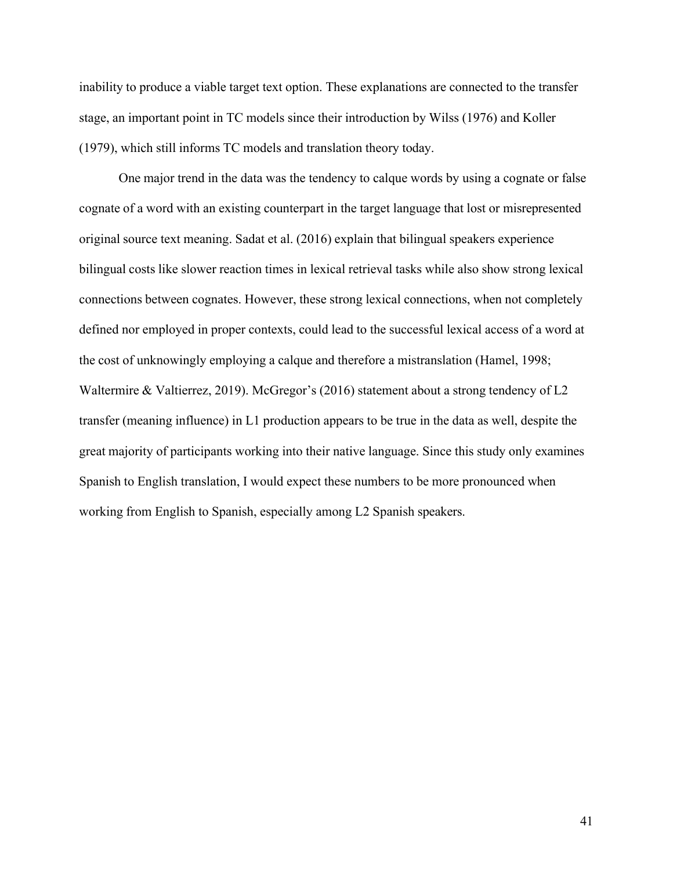inability to produce a viable target text option. These explanations are connected to the transfer stage, an important point in TC models since their introduction by Wilss (1976) and Koller (1979), which still informs TC models and translation theory today.

One major trend in the data was the tendency to calque words by using a cognate or false cognate of a word with an existing counterpart in the target language that lost or misrepresented original source text meaning. Sadat et al. (2016) explain that bilingual speakers experience bilingual costs like slower reaction times in lexical retrieval tasks while also show strong lexical connections between cognates. However, these strong lexical connections, when not completely defined nor employed in proper contexts, could lead to the successful lexical access of a word at the cost of unknowingly employing a calque and therefore a mistranslation (Hamel, 1998; Waltermire & Valtierrez, 2019). McGregor's (2016) statement about a strong tendency of L2 transfer (meaning influence) in L1 production appears to be true in the data as well, despite the great majority of participants working into their native language. Since this study only examines Spanish to English translation, I would expect these numbers to be more pronounced when working from English to Spanish, especially among L2 Spanish speakers.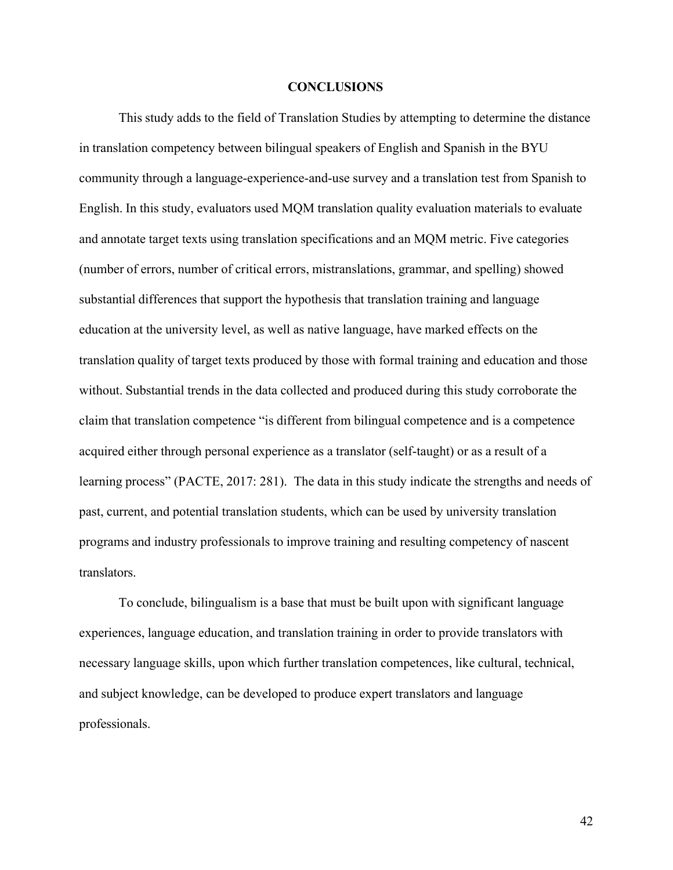### **CONCLUSIONS**

This study adds to the field of Translation Studies by attempting to determine the distance in translation competency between bilingual speakers of English and Spanish in the BYU community through a language-experience-and-use survey and a translation test from Spanish to English. In this study, evaluators used MQM translation quality evaluation materials to evaluate and annotate target texts using translation specifications and an MQM metric. Five categories (number of errors, number of critical errors, mistranslations, grammar, and spelling) showed substantial differences that support the hypothesis that translation training and language education at the university level, as well as native language, have marked effects on the translation quality of target texts produced by those with formal training and education and those without. Substantial trends in the data collected and produced during this study corroborate the claim that translation competence "is different from bilingual competence and is a competence acquired either through personal experience as a translator (self-taught) or as a result of a learning process" (PACTE, 2017: 281). The data in this study indicate the strengths and needs of past, current, and potential translation students, which can be used by university translation programs and industry professionals to improve training and resulting competency of nascent translators.

To conclude, bilingualism is a base that must be built upon with significant language experiences, language education, and translation training in order to provide translators with necessary language skills, upon which further translation competences, like cultural, technical, and subject knowledge, can be developed to produce expert translators and language professionals.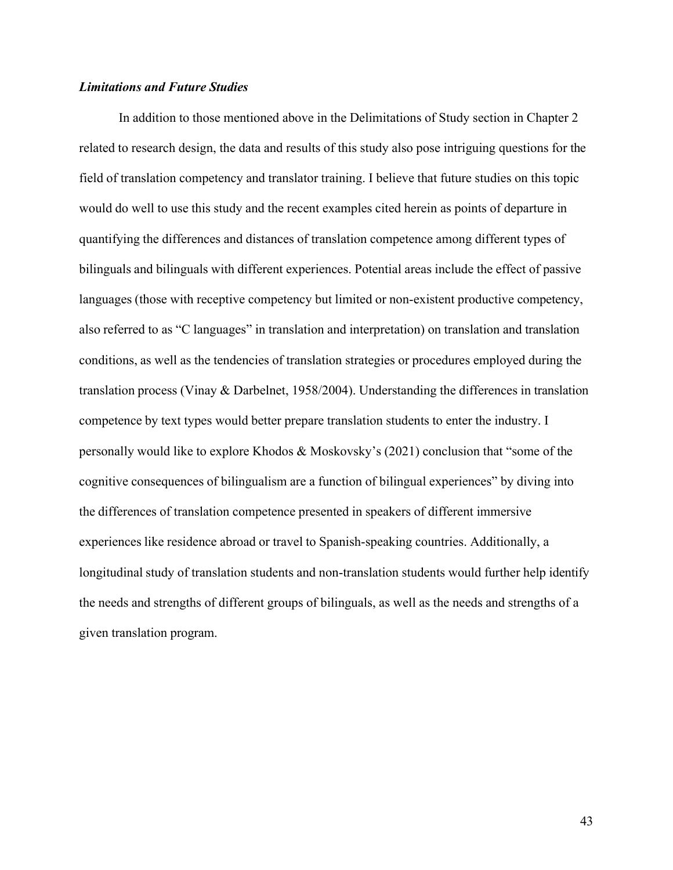## *Limitations and Future Studies*

In addition to those mentioned above in the Delimitations of Study section in Chapter 2 related to research design, the data and results of this study also pose intriguing questions for the field of translation competency and translator training. I believe that future studies on this topic would do well to use this study and the recent examples cited herein as points of departure in quantifying the differences and distances of translation competence among different types of bilinguals and bilinguals with different experiences. Potential areas include the effect of passive languages (those with receptive competency but limited or non-existent productive competency, also referred to as "C languages" in translation and interpretation) on translation and translation conditions, as well as the tendencies of translation strategies or procedures employed during the translation process (Vinay & Darbelnet, 1958/2004). Understanding the differences in translation competence by text types would better prepare translation students to enter the industry. I personally would like to explore Khodos & Moskovsky's (2021) conclusion that "some of the cognitive consequences of bilingualism are a function of bilingual experiences" by diving into the differences of translation competence presented in speakers of different immersive experiences like residence abroad or travel to Spanish-speaking countries. Additionally, a longitudinal study of translation students and non-translation students would further help identify the needs and strengths of different groups of bilinguals, as well as the needs and strengths of a given translation program.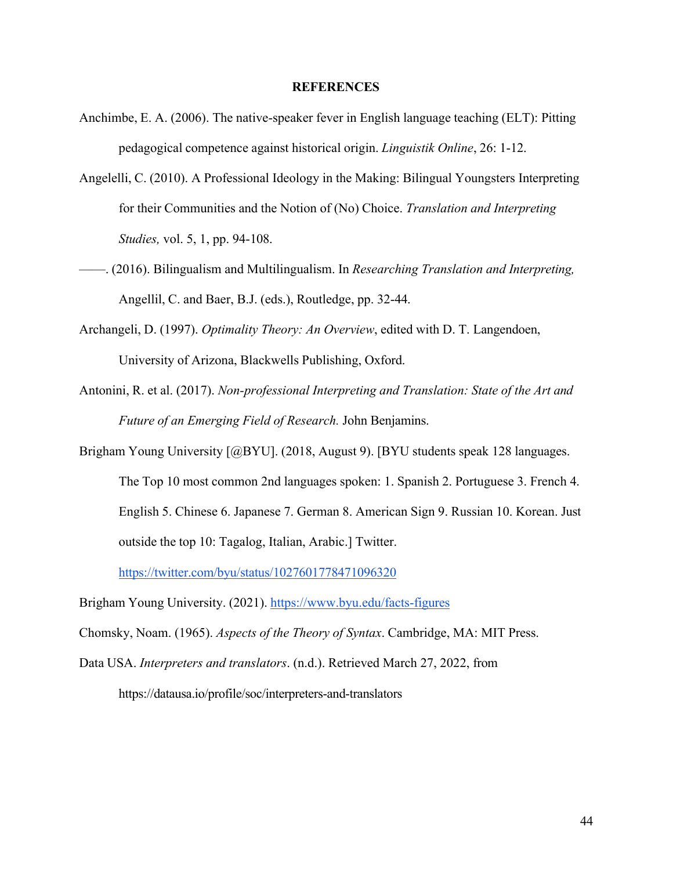#### **REFERENCES**

- Anchimbe, E. A. (2006). The native-speaker fever in English language teaching (ELT): Pitting pedagogical competence against historical origin. *Linguistik Online*, 26: 1-12.
- Angelelli, C. (2010). A Professional Ideology in the Making: Bilingual Youngsters Interpreting for their Communities and the Notion of (No) Choice. *Translation and Interpreting Studies,* vol. 5, 1, pp. 94-108.
- ——. (2016). Bilingualism and Multilingualism. In *Researching Translation and Interpreting,*  Angellil, C. and Baer, B.J. (eds.), Routledge, pp. 32-44.
- Archangeli, D. (1997). *Optimality Theory: An Overview*, edited with D. T. Langendoen, University of Arizona, Blackwells Publishing, Oxford.
- Antonini, R. et al. (2017). *Non-professional Interpreting and Translation: State of the Art and Future of an Emerging Field of Research.* John Benjamins.
- Brigham Young University [@BYU]. (2018, August 9). [BYU students speak 128 languages. The Top 10 most common 2nd languages spoken: 1. Spanish 2. Portuguese 3. French 4. English 5. Chinese 6. Japanese 7. German 8. American Sign 9. Russian 10. Korean. Just outside the top 10: Tagalog, Italian, Arabic.] Twitter.

https://twitter.com/byu/status/1027601778471096320

Brigham Young University. (2021). https://www.byu.edu/facts-figures

Chomsky, Noam. (1965). *Aspects of the Theory of Syntax*. Cambridge, MA: MIT Press.

Data USA. *Interpreters and translators*. (n.d.). Retrieved March 27, 2022, from https://datausa.io/profile/soc/interpreters-and-translators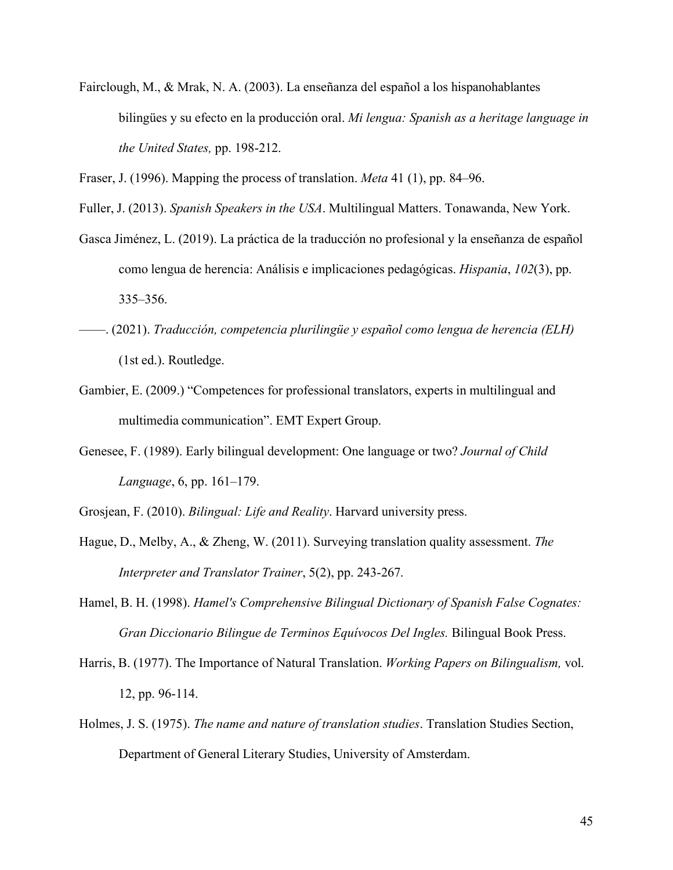Fairclough, M., & Mrak, N. A. (2003). La enseñanza del español a los hispanohablantes bilingües y su efecto en la producción oral. *Mi lengua: Spanish as a heritage language in the United States,* pp. 198-212.

Fraser, J. (1996). Mapping the process of translation. *Meta* 41 (1), pp. 84–96.

Fuller, J. (2013). *Spanish Speakers in the USA*. Multilingual Matters. Tonawanda, New York.

- Gasca Jiménez, L. (2019). La práctica de la traducción no profesional y la enseñanza de español como lengua de herencia: Análisis e implicaciones pedagógicas. *Hispania*, *102*(3), pp. 335–356.
- ——. (2021). *Traducción, competencia plurilingüe y español como lengua de herencia (ELH)*  (1st ed.). Routledge.
- Gambier, E. (2009.) "Competences for professional translators, experts in multilingual and multimedia communication". EMT Expert Group.
- Genesee, F. (1989). Early bilingual development: One language or two? *Journal of Child Language*, 6, pp. 161–179.

Grosjean, F. (2010). *Bilingual: Life and Reality*. Harvard university press.

- Hague, D., Melby, A., & Zheng, W. (2011). Surveying translation quality assessment. *The Interpreter and Translator Trainer*, 5(2), pp. 243-267.
- Hamel, B. H. (1998). *Hamel's Comprehensive Bilingual Dictionary of Spanish False Cognates: Gran Diccionario Bilingue de Terminos Equívocos Del Ingles.* Bilingual Book Press.
- Harris, B. (1977). The Importance of Natural Translation. *Working Papers on Bilingualism,* vol. 12, pp. 96-114.
- Holmes, J. S. (1975). *The name and nature of translation studies*. Translation Studies Section, Department of General Literary Studies, University of Amsterdam.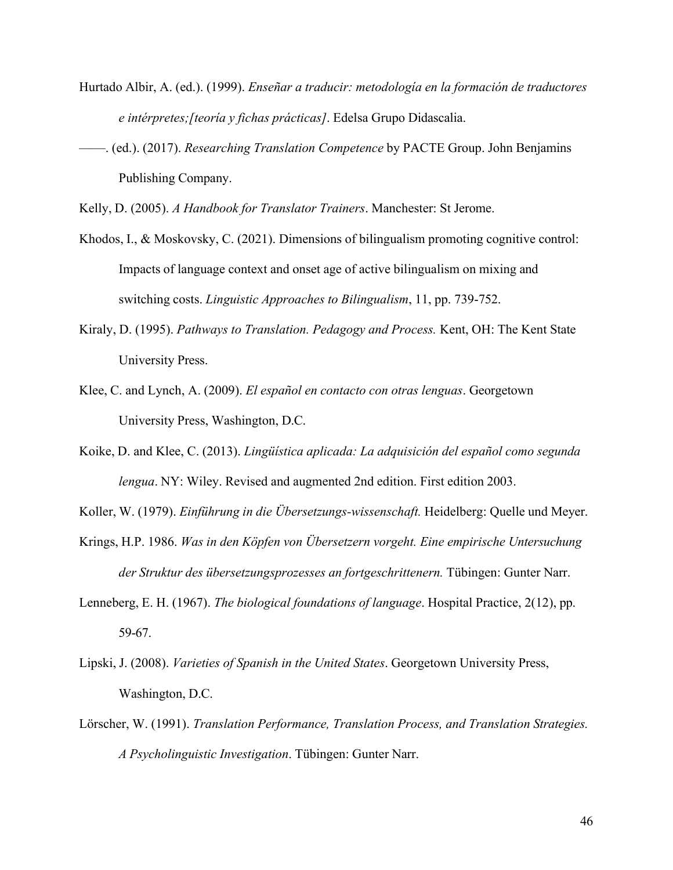- Hurtado Albir, A. (ed.). (1999). *Enseñar a traducir: metodología en la formación de traductores e intérpretes;[teoría y fichas prácticas]*. Edelsa Grupo Didascalia.
- ——. (ed.). (2017). *Researching Translation Competence* by PACTE Group. John Benjamins Publishing Company.

Kelly, D. (2005). *A Handbook for Translator Trainers*. Manchester: St Jerome.

- Khodos, I., & Moskovsky, C. (2021). Dimensions of bilingualism promoting cognitive control: Impacts of language context and onset age of active bilingualism on mixing and switching costs. *Linguistic Approaches to Bilingualism*, 11, pp. 739-752.
- Kiraly, D. (1995). *Pathways to Translation. Pedagogy and Process.* Kent, OH: The Kent State University Press.
- Klee, C. and Lynch, A. (2009). *El español en contacto con otras lenguas*. Georgetown University Press, Washington, D.C.
- Koike, D. and Klee, C. (2013). *Lingüística aplicada: La adquisición del español como segunda lengua*. NY: Wiley. Revised and augmented 2nd edition. First edition 2003.

Koller, W. (1979). *Einführung in die Übersetzungs-wissenschaft.* Heidelberg: Quelle und Meyer.

- Krings, H.P. 1986. *Was in den Köpfen von Übersetzern vorgeht. Eine empirische Untersuchung der Struktur des übersetzungsprozesses an fortgeschrittenern.* Tübingen: Gunter Narr.
- Lenneberg, E. H. (1967). *The biological foundations of language*. Hospital Practice, 2(12), pp. 59-67.
- Lipski, J. (2008). *Varieties of Spanish in the United States*. Georgetown University Press, Washington, D.C.
- Lörscher, W. (1991). *Translation Performance, Translation Process, and Translation Strategies. A Psycholinguistic Investigation*. Tübingen: Gunter Narr.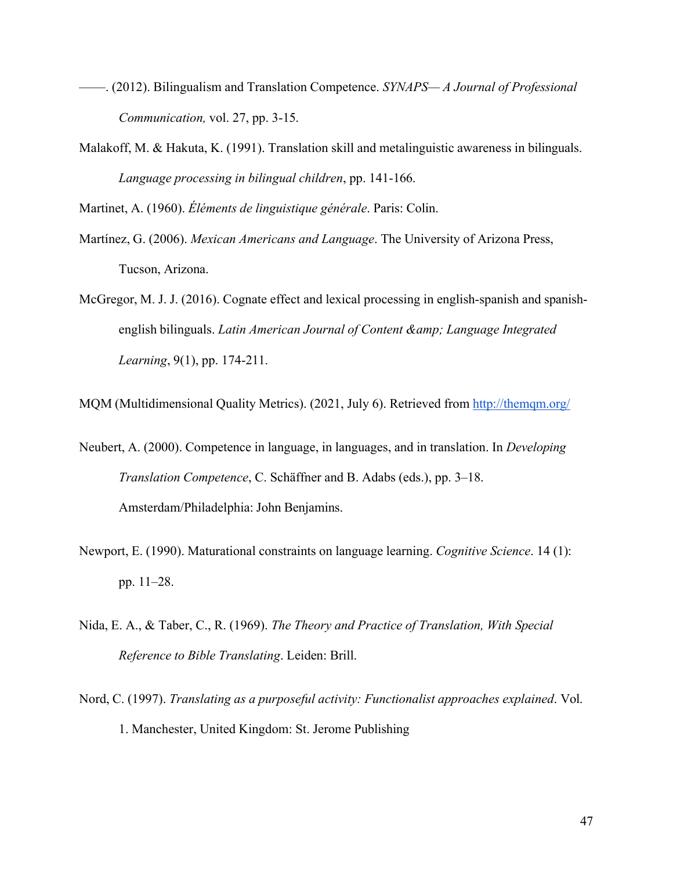- ——. (2012). Bilingualism and Translation Competence. *SYNAPS— A Journal of Professional Communication,* vol. 27, pp. 3-15.
- Malakoff, M. & Hakuta, K. (1991). Translation skill and metalinguistic awareness in bilinguals. *Language processing in bilingual children*, pp. 141-166.

Martinet, A. (1960). *Éléments de linguistique générale*. Paris: Colin.

- Martínez, G. (2006). *Mexican Americans and Language*. The University of Arizona Press, Tucson, Arizona.
- McGregor, M. J. J. (2016). Cognate effect and lexical processing in english-spanish and spanishenglish bilinguals. *Latin American Journal of Content & amp; Language Integrated Learning*, 9(1), pp. 174-211.

MQM (Multidimensional Quality Metrics). (2021, July 6). Retrieved from http://themqm.org/

- Neubert, A. (2000). Competence in language, in languages, and in translation. In *Developing Translation Competence*, C. Schäffner and B. Adabs (eds.), pp. 3–18. Amsterdam/Philadelphia: John Benjamins.
- Newport, E. (1990). Maturational constraints on language learning. *Cognitive Science*. 14 (1): pp. 11–28.
- Nida, E. A., & Taber, C., R. (1969). *The Theory and Practice of Translation, With Special Reference to Bible Translating*. Leiden: Brill.
- Nord, C. (1997). *Translating as a purposeful activity: Functionalist approaches explained*. Vol. 1. Manchester, United Kingdom: St. Jerome Publishing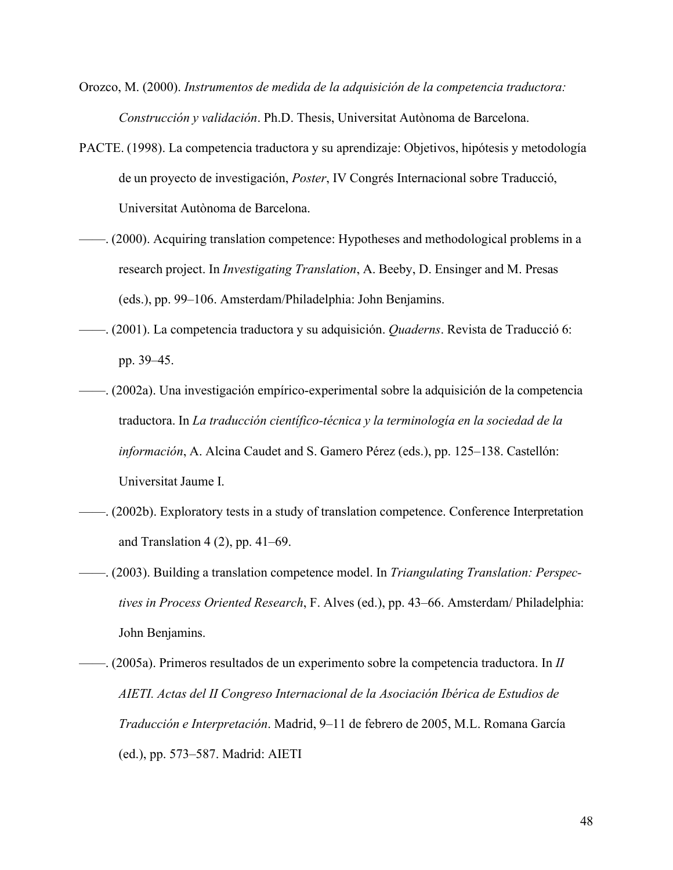- Orozco, M. (2000). *Instrumentos de medida de la adquisición de la competencia traductora: Construcción y validación*. Ph.D. Thesis, Universitat Autònoma de Barcelona.
- PACTE. (1998). La competencia traductora y su aprendizaje: Objetivos, hipótesis y metodología de un proyecto de investigación, *Poster*, IV Congrés Internacional sobre Traducció, Universitat Autònoma de Barcelona.
- ——. (2000). Acquiring translation competence: Hypotheses and methodological problems in a research project. In *Investigating Translation*, A. Beeby, D. Ensinger and M. Presas (eds.), pp. 99–106. Amsterdam/Philadelphia: John Benjamins.
- ——. (2001). La competencia traductora y su adquisición. *Quaderns*. Revista de Traducció 6: pp. 39–45.
- ——. (2002a). Una investigación empírico-experimental sobre la adquisición de la competencia traductora. In *La traducción científico-técnica y la terminología en la sociedad de la información*, A. Alcina Caudet and S. Gamero Pérez (eds.), pp. 125–138. Castellón: Universitat Jaume I.
- ——. (2002b). Exploratory tests in a study of translation competence. Conference Interpretation and Translation  $4(2)$ , pp.  $41-69$ .
- ——. (2003). Building a translation competence model. In *Triangulating Translation: Perspectives in Process Oriented Research*, F. Alves (ed.), pp. 43–66. Amsterdam/ Philadelphia: John Benjamins.
- ——. (2005a). Primeros resultados de un experimento sobre la competencia traductora. In *II AIETI. Actas del II Congreso Internacional de la Asociación Ibérica de Estudios de Traducción e Interpretación*. Madrid, 9–11 de febrero de 2005, M.L. Romana García (ed.), pp. 573–587. Madrid: AIETI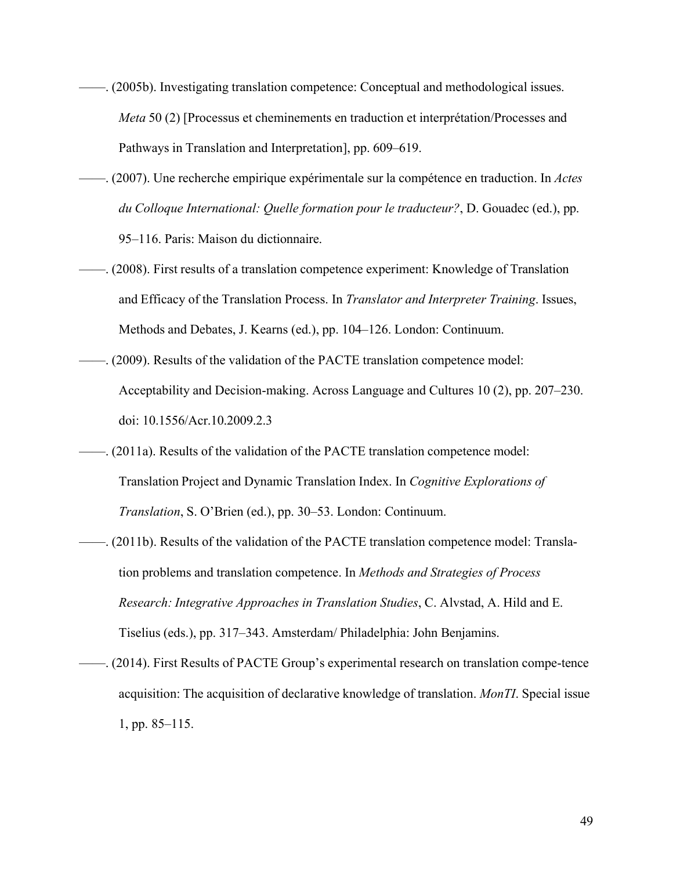- ——. (2005b). Investigating translation competence: Conceptual and methodological issues. *Meta* 50 (2) [Processus et cheminements en traduction et interprétation/Processes and Pathways in Translation and Interpretation], pp. 609–619.
- ——. (2007). Une recherche empirique expérimentale sur la compétence en traduction. In *Actes du Colloque International: Quelle formation pour le traducteur?*, D. Gouadec (ed.), pp. 95–116. Paris: Maison du dictionnaire.
- ——. (2008). First results of a translation competence experiment: Knowledge of Translation and Efficacy of the Translation Process. In *Translator and Interpreter Training*. Issues, Methods and Debates, J. Kearns (ed.), pp. 104–126. London: Continuum.
- ——. (2009). Results of the validation of the PACTE translation competence model: Acceptability and Decision-making. Across Language and Cultures 10 (2), pp. 207–230. doi: 10.1556/Acr.10.2009.2.3
- ——. (2011a). Results of the validation of the PACTE translation competence model: Translation Project and Dynamic Translation Index. In *Cognitive Explorations of Translation*, S. O'Brien (ed.), pp. 30–53. London: Continuum.
- ——. (2011b). Results of the validation of the PACTE translation competence model: Translation problems and translation competence. In *Methods and Strategies of Process Research: Integrative Approaches in Translation Studies*, C. Alvstad, A. Hild and E. Tiselius (eds.), pp. 317–343. Amsterdam/ Philadelphia: John Benjamins.
- ——. (2014). First Results of PACTE Group's experimental research on translation compe-tence acquisition: The acquisition of declarative knowledge of translation. *MonTI*. Special issue 1, pp. 85–115.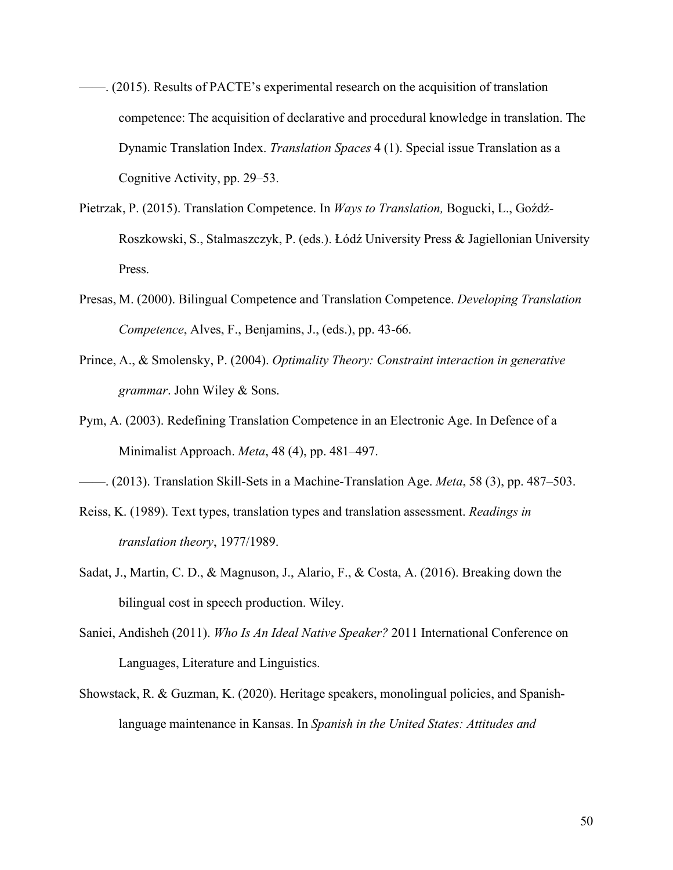- ——. (2015). Results of PACTE's experimental research on the acquisition of translation competence: The acquisition of declarative and procedural knowledge in translation. The Dynamic Translation Index. *Translation Spaces* 4 (1). Special issue Translation as a Cognitive Activity, pp. 29–53.
- Pietrzak, P. (2015). Translation Competence. In *Ways to Translation,* Bogucki, L., Goźdź-Roszkowski, S., Stalmaszczyk, P. (eds.). Łódź University Press & Jagiellonian University Press.
- Presas, M. (2000). Bilingual Competence and Translation Competence. *Developing Translation Competence*, Alves, F., Benjamins, J., (eds.), pp. 43-66.
- Prince, A., & Smolensky, P. (2004). *Optimality Theory: Constraint interaction in generative grammar*. John Wiley & Sons.
- Pym, A. (2003). Redefining Translation Competence in an Electronic Age. In Defence of a Minimalist Approach. *Meta*, 48 (4), pp. 481–497.
- ——. (2013). Translation Skill-Sets in a Machine-Translation Age. *Meta*, 58 (3), pp. 487–503.
- Reiss, K. (1989). Text types, translation types and translation assessment. *Readings in translation theory*, 1977/1989.
- Sadat, J., Martin, C. D., & Magnuson, J., Alario, F., & Costa, A. (2016). Breaking down the bilingual cost in speech production. Wiley.
- Saniei, Andisheh (2011). *Who Is An Ideal Native Speaker?* 2011 International Conference on Languages, Literature and Linguistics.
- Showstack, R. & Guzman, K. (2020). Heritage speakers, monolingual policies, and Spanishlanguage maintenance in Kansas. In *Spanish in the United States: Attitudes and*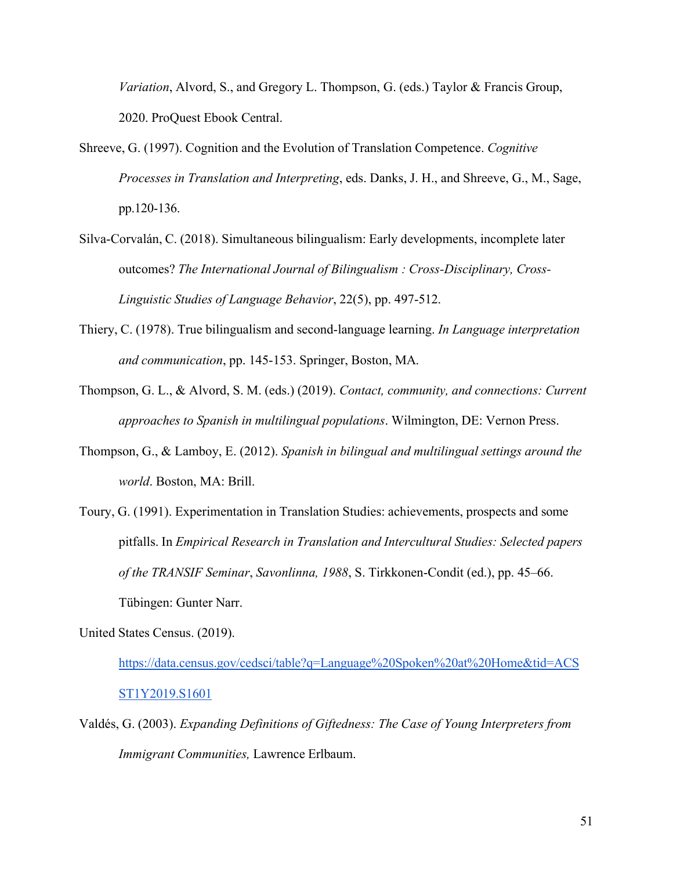*Variation*, Alvord, S., and Gregory L. Thompson, G. (eds.) Taylor & Francis Group, 2020. ProQuest Ebook Central.

- Shreeve, G. (1997). Cognition and the Evolution of Translation Competence. *Cognitive Processes in Translation and Interpreting*, eds. Danks, J. H., and Shreeve, G., M., Sage, pp.120-136.
- Silva-Corvalán, C. (2018). Simultaneous bilingualism: Early developments, incomplete later outcomes? *The International Journal of Bilingualism : Cross-Disciplinary, Cross-Linguistic Studies of Language Behavior*, 22(5), pp. 497-512.
- Thiery, C. (1978). True bilingualism and second-language learning. *In Language interpretation and communication*, pp. 145-153. Springer, Boston, MA.
- Thompson, G. L., & Alvord, S. M. (eds.) (2019). *Contact, community, and connections: Current approaches to Spanish in multilingual populations*. Wilmington, DE: Vernon Press.
- Thompson, G., & Lamboy, E. (2012). *Spanish in bilingual and multilingual settings around the world*. Boston, MA: Brill.
- Toury, G. (1991). Experimentation in Translation Studies: achievements, prospects and some pitfalls. In *Empirical Research in Translation and Intercultural Studies: Selected papers of the TRANSIF Seminar*, *Savonlinna, 1988*, S. Tirkkonen-Condit (ed.), pp. 45–66. Tübingen: Gunter Narr.

United States Census. (2019).

https://data.census.gov/cedsci/table?q=Language%20Spoken%20at%20Home&tid=ACS ST1Y2019.S1601

Valdés, G. (2003). *Expanding Definitions of Giftedness: The Case of Young Interpreters from Immigrant Communities,* Lawrence Erlbaum.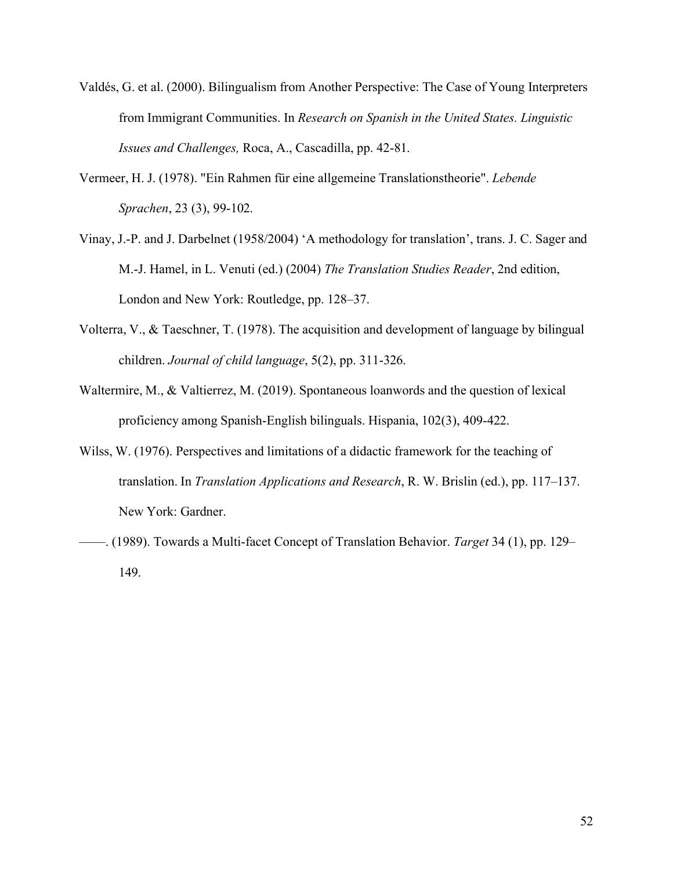- Valdés, G. et al. (2000). Bilingualism from Another Perspective: The Case of Young Interpreters from Immigrant Communities. In *Research on Spanish in the United States. Linguistic Issues and Challenges,* Roca, A., Cascadilla, pp. 42-81.
- Vermeer, H. J. (1978). "Ein Rahmen für eine allgemeine Translationstheorie". *Lebende Sprachen*, 23 (3), 99-102.
- Vinay, J.-P. and J. Darbelnet (1958/2004) 'A methodology for translation', trans. J. C. Sager and M.-J. Hamel, in L. Venuti (ed.) (2004) *The Translation Studies Reader*, 2nd edition, London and New York: Routledge, pp. 128–37.
- Volterra, V., & Taeschner, T. (1978). The acquisition and development of language by bilingual children. *Journal of child language*, 5(2), pp. 311-326.
- Waltermire, M., & Valtierrez, M. (2019). Spontaneous loanwords and the question of lexical proficiency among Spanish-English bilinguals. Hispania, 102(3), 409-422.
- Wilss, W. (1976). Perspectives and limitations of a didactic framework for the teaching of translation. In *Translation Applications and Research*, R. W. Brislin (ed.), pp. 117–137. New York: Gardner.
- ——. (1989). Towards a Multi-facet Concept of Translation Behavior. *Target* 34 (1), pp. 129– 149.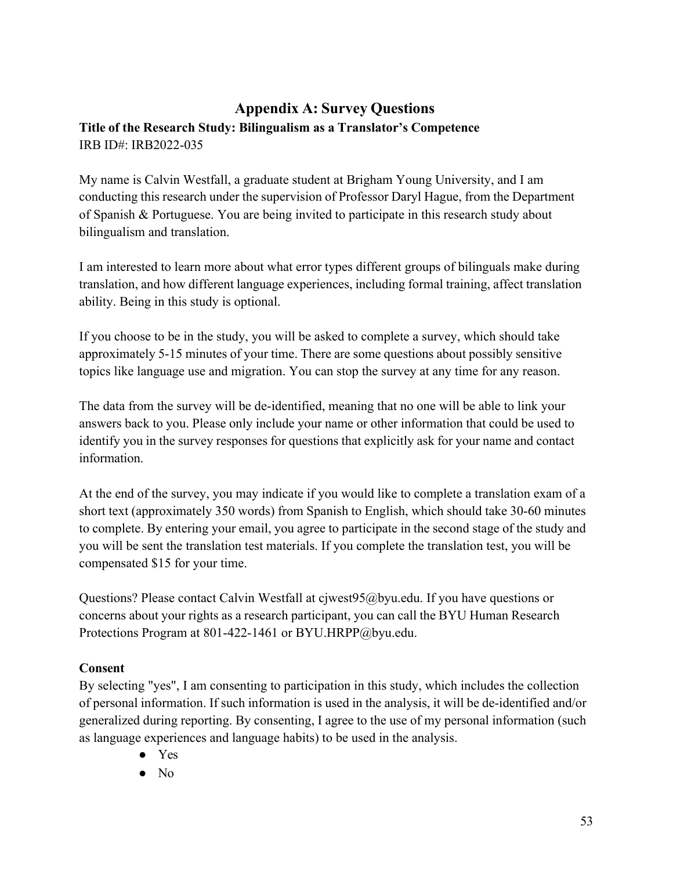# **Appendix A: Survey Questions Title of the Research Study: Bilingualism as a Translator's Competence**  IRB ID#: IRB2022-035

My name is Calvin Westfall, a graduate student at Brigham Young University, and I am conducting this research under the supervision of Professor Daryl Hague, from the Department of Spanish & Portuguese. You are being invited to participate in this research study about bilingualism and translation.

I am interested to learn more about what error types different groups of bilinguals make during translation, and how different language experiences, including formal training, affect translation ability. Being in this study is optional.

If you choose to be in the study, you will be asked to complete a survey, which should take approximately 5-15 minutes of your time. There are some questions about possibly sensitive topics like language use and migration. You can stop the survey at any time for any reason.

The data from the survey will be de-identified, meaning that no one will be able to link your answers back to you. Please only include your name or other information that could be used to identify you in the survey responses for questions that explicitly ask for your name and contact information.

At the end of the survey, you may indicate if you would like to complete a translation exam of a short text (approximately 350 words) from Spanish to English, which should take 30-60 minutes to complete. By entering your email, you agree to participate in the second stage of the study and you will be sent the translation test materials. If you complete the translation test, you will be compensated \$15 for your time.

Questions? Please contact Calvin Westfall at cjwest95@byu.edu. If you have questions or concerns about your rights as a research participant, you can call the BYU Human Research Protections Program at 801-422-1461 or BYU.HRPP@byu.edu.

# **Consent**

By selecting "yes", I am consenting to participation in this study, which includes the collection of personal information. If such information is used in the analysis, it will be de-identified and/or generalized during reporting. By consenting, I agree to the use of my personal information (such as language experiences and language habits) to be used in the analysis.

- Yes
- No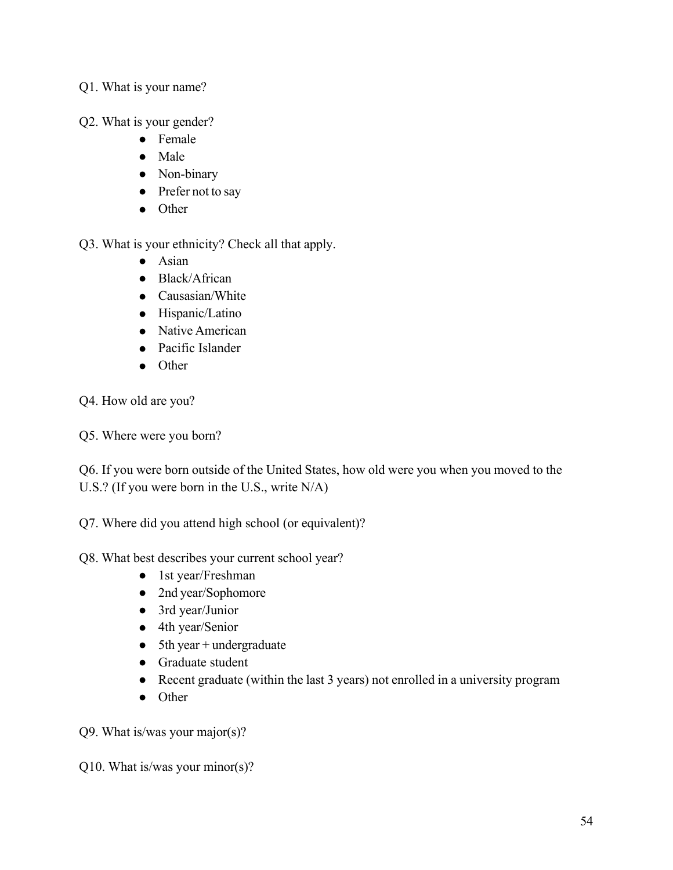# Q1. What is your name?

Q2. What is your gender?

- Female
- Male
- Non-binary
- Prefer not to say
- Other

Q3. What is your ethnicity? Check all that apply.

- Asian
- Black/African
- Causasian/White
- Hispanic/Latino
- Native American
- Pacific Islander
- Other

Q4. How old are you?

Q5. Where were you born?

Q6. If you were born outside of the United States, how old were you when you moved to the U.S.? (If you were born in the U.S., write N/A)

Q7. Where did you attend high school (or equivalent)?

# Q8. What best describes your current school year?

- 1st year/Freshman
- 2nd year/Sophomore
- 3rd year/Junior
- 4th year/Senior
- 5th year + undergraduate
- Graduate student
- Recent graduate (within the last 3 years) not enrolled in a university program
- Other

Q9. What is/was your major(s)?

Q10. What is/was your minor(s)?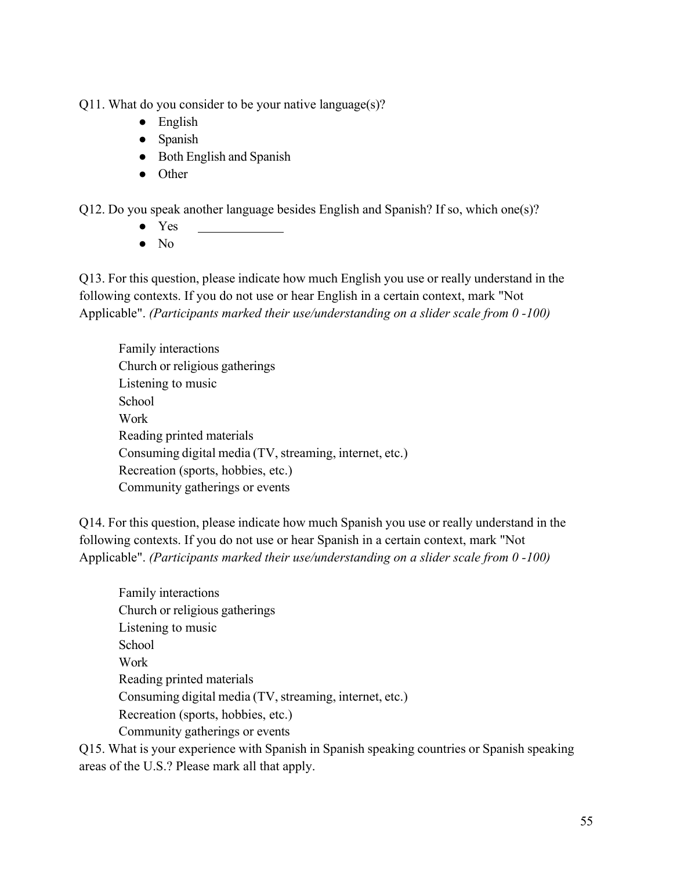Q11. What do you consider to be your native language $(s)$ ?

- English
- Spanish
- Both English and Spanish

 $\overline{a}$ 

● Other

Q12. Do you speak another language besides English and Spanish? If so, which one(s)?

- Yes
- $\bullet$  No

Q13. For this question, please indicate how much English you use or really understand in the following contexts. If you do not use or hear English in a certain context, mark "Not Applicable". *(Participants marked their use/understanding on a slider scale from 0 -100)* 

Family interactions Church or religious gatherings Listening to music **School** Work Reading printed materials Consuming digital media (TV, streaming, internet, etc.) Recreation (sports, hobbies, etc.) Community gatherings or events

Q14. For this question, please indicate how much Spanish you use or really understand in the following contexts. If you do not use or hear Spanish in a certain context, mark "Not Applicable". *(Participants marked their use/understanding on a slider scale from 0 -100)* 

Family interactions Church or religious gatherings Listening to music School Work Reading printed materials Consuming digital media (TV, streaming, internet, etc.) Recreation (sports, hobbies, etc.) Community gatherings or events

Q15. What is your experience with Spanish in Spanish speaking countries or Spanish speaking areas of the U.S.? Please mark all that apply.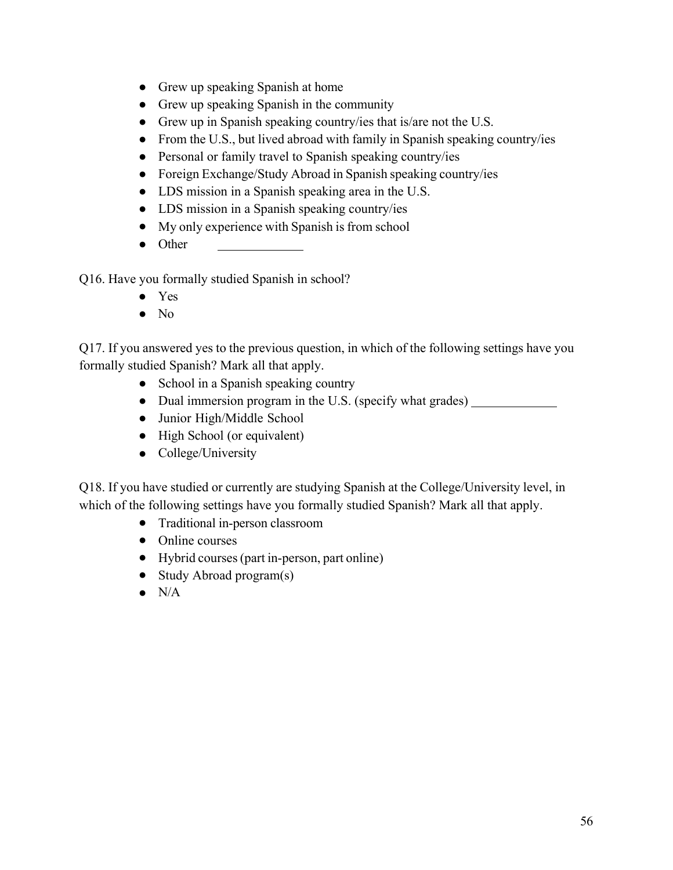- Grew up speaking Spanish at home
- Grew up speaking Spanish in the community
- Grew up in Spanish speaking country/ies that is/are not the U.S.
- From the U.S., but lived abroad with family in Spanish speaking country/ies
- Personal or family travel to Spanish speaking country/ies
- Foreign Exchange/Study Abroad in Spanish speaking country/ies
- LDS mission in a Spanish speaking area in the U.S.
- LDS mission in a Spanish speaking country/ies
- My only experience with Spanish is from school
- Other

Q16. Have you formally studied Spanish in school?

- Yes
- No

Q17. If you answered yes to the previous question, in which of the following settings have you formally studied Spanish? Mark all that apply.

- School in a Spanish speaking country
- Dual immersion program in the U.S. (specify what grades)
- Junior High/Middle School
- High School (or equivalent)
- College/University

Q18. If you have studied or currently are studying Spanish at the College/University level, in which of the following settings have you formally studied Spanish? Mark all that apply.

- Traditional in-person classroom
- Online courses
- Hybrid courses (part in-person, part online)
- Study Abroad program(s)
- $\bullet$  N/A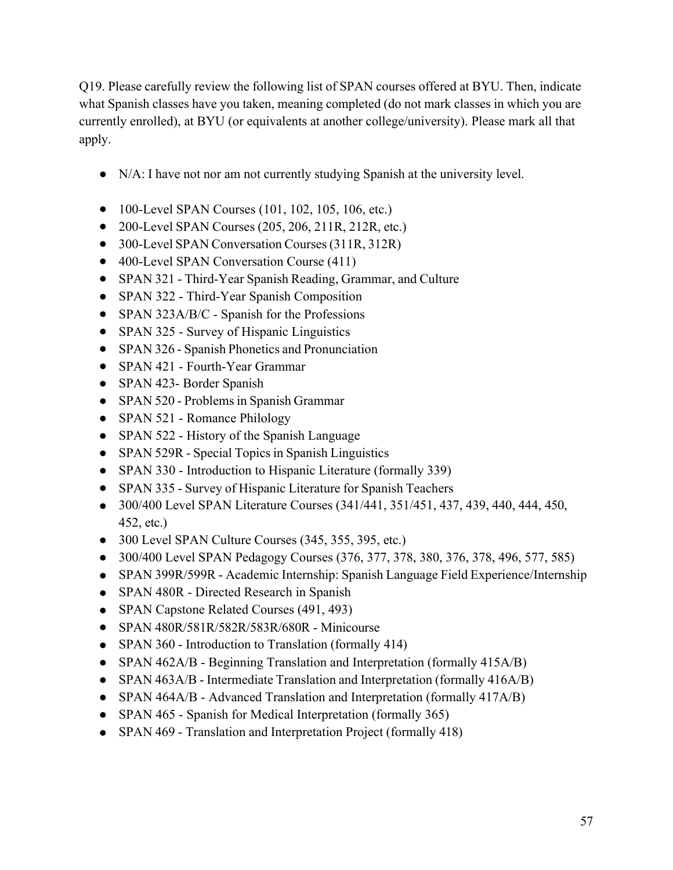Q19. Please carefully review the following list of SPAN courses offered at BYU. Then, indicate what Spanish classes have you taken, meaning completed (do not mark classes in which you are currently enrolled), at BYU (or equivalents at another college/university). Please mark all that apply.

- N/A: I have not nor am not currently studying Spanish at the university level.
- 100-Level SPAN Courses (101, 102, 105, 106, etc.)
- 200-Level SPAN Courses (205, 206, 211R, 212R, etc.)
- 300-Level SPAN Conversation Courses (311R, 312R)
- 400-Level SPAN Conversation Course (411)
- SPAN 321 Third-Year Spanish Reading, Grammar, and Culture
- SPAN 322 Third-Year Spanish Composition
- SPAN 323A/B/C Spanish for the Professions
- SPAN 325 Survey of Hispanic Linguistics
- SPAN 326 Spanish Phonetics and Pronunciation
- SPAN 421 Fourth-Year Grammar
- SPAN 423- Border Spanish
- SPAN 520 Problems in Spanish Grammar
- SPAN 521 Romance Philology
- SPAN 522 History of the Spanish Language
- SPAN 529R Special Topics in Spanish Linguistics
- SPAN 330 Introduction to Hispanic Literature (formally 339)
- SPAN 335 Survey of Hispanic Literature for Spanish Teachers
- 300/400 Level SPAN Literature Courses (341/441, 351/451, 437, 439, 440, 444, 450, 452, etc.)
- 300 Level SPAN Culture Courses (345, 355, 395, etc.)
- 300/400 Level SPAN Pedagogy Courses (376, 377, 378, 380, 376, 378, 496, 577, 585)
- SPAN 399R/599R Academic Internship: Spanish Language Field Experience/Internship
- SPAN 480R Directed Research in Spanish
- SPAN Capstone Related Courses (491, 493)
- SPAN 480R/581R/582R/583R/680R Minicourse
- SPAN 360 Introduction to Translation (formally 414)
- SPAN 462A/B Beginning Translation and Interpretation (formally 415A/B)
- SPAN 463A/B Intermediate Translation and Interpretation (formally 416A/B)
- SPAN 464A/B Advanced Translation and Interpretation (formally 417A/B)
- SPAN 465 Spanish for Medical Interpretation (formally 365)
- SPAN 469 Translation and Interpretation Project (formally 418)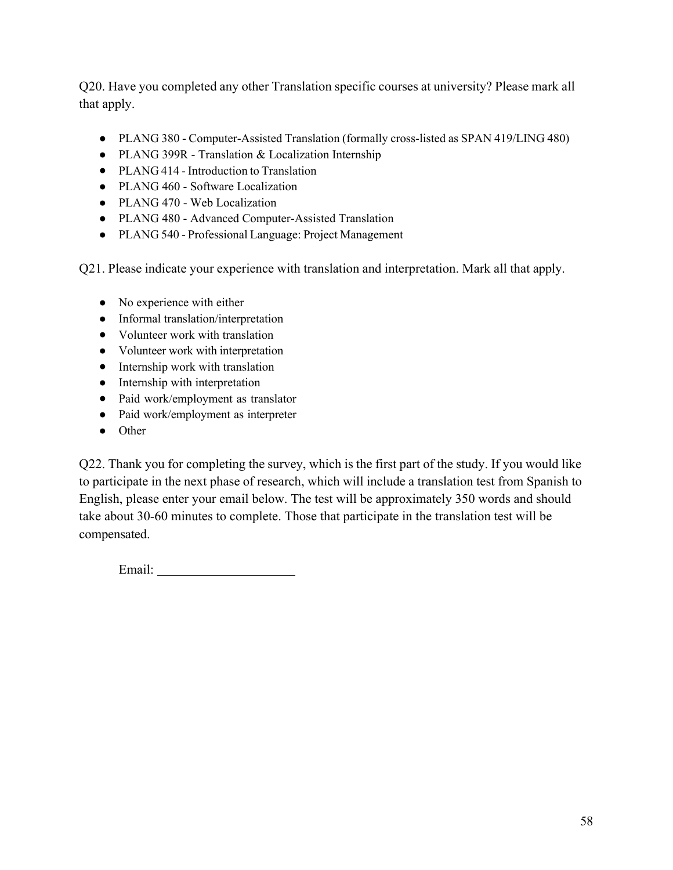Q20. Have you completed any other Translation specific courses at university? Please mark all that apply.

- PLANG 380 Computer-Assisted Translation (formally cross-listed as SPAN 419/LING 480)
- PLANG 399R Translation & Localization Internship
- PLANG 414 Introduction to Translation
- PLANG 460 Software Localization
- PLANG 470 Web Localization
- PLANG 480 Advanced Computer-Assisted Translation
- PLANG 540 Professional Language: Project Management

Q21. Please indicate your experience with translation and interpretation. Mark all that apply.

- No experience with either
- Informal translation/interpretation
- Volunteer work with translation
- Volunteer work with interpretation
- Internship work with translation
- Internship with interpretation
- Paid work/employment as translator
- Paid work/employment as interpreter
- Other

Q22. Thank you for completing the survey, which is the first part of the study. If you would like to participate in the next phase of research, which will include a translation test from Spanish to English, please enter your email below. The test will be approximately 350 words and should take about 30-60 minutes to complete. Those that participate in the translation test will be compensated.

Email: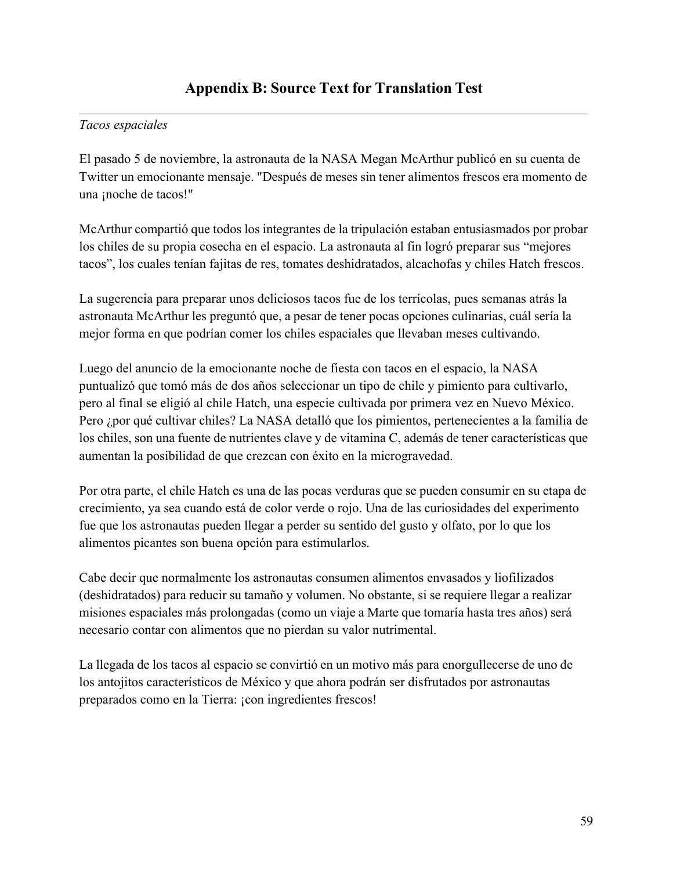# *Tacos espaciales*

El pasado 5 de noviembre, la astronauta de la NASA Megan McArthur publicó en su cuenta de Twitter un emocionante mensaje. "Después de meses sin tener alimentos frescos era momento de una ¡noche de tacos!"

McArthur compartió que todos los integrantes de la tripulación estaban entusiasmados por probar los chiles de su propia cosecha en el espacio. La astronauta al fin logró preparar sus "mejores tacos", los cuales tenían fajitas de res, tomates deshidratados, alcachofas y chiles Hatch frescos.

La sugerencia para preparar unos deliciosos tacos fue de los terrícolas, pues semanas atrás la astronauta McArthur les preguntó que, a pesar de tener pocas opciones culinarias, cuál sería la mejor forma en que podrían comer los chiles espaciales que llevaban meses cultivando.

Luego del anuncio de la emocionante noche de fiesta con tacos en el espacio, la NASA puntualizó que tomó más de dos años seleccionar un tipo de chile y pimiento para cultivarlo, pero al final se eligió al chile Hatch, una especie cultivada por primera vez en Nuevo México. Pero ¿por qué cultivar chiles? La NASA detalló que los pimientos, pertenecientes a la familia de los chiles, son una fuente de nutrientes clave y de vitamina C, además de tener características que aumentan la posibilidad de que crezcan con éxito en la microgravedad.

Por otra parte, el chile Hatch es una de las pocas verduras que se pueden consumir en su etapa de crecimiento, ya sea cuando está de color verde o rojo. Una de las curiosidades del experimento fue que los astronautas pueden llegar a perder su sentido del gusto y olfato, por lo que los alimentos picantes son buena opción para estimularlos.

Cabe decir que normalmente los astronautas consumen alimentos envasados y liofilizados (deshidratados) para reducir su tamaño y volumen. No obstante, si se requiere llegar a realizar misiones espaciales más prolongadas (como un viaje a Marte que tomaría hasta tres años) será necesario contar con alimentos que no pierdan su valor nutrimental.

La llegada de los tacos al espacio se convirtió en un motivo más para enorgullecerse de uno de los antojitos característicos de México y que ahora podrán ser disfrutados por astronautas preparados como en la Tierra: ¡con ingredientes frescos!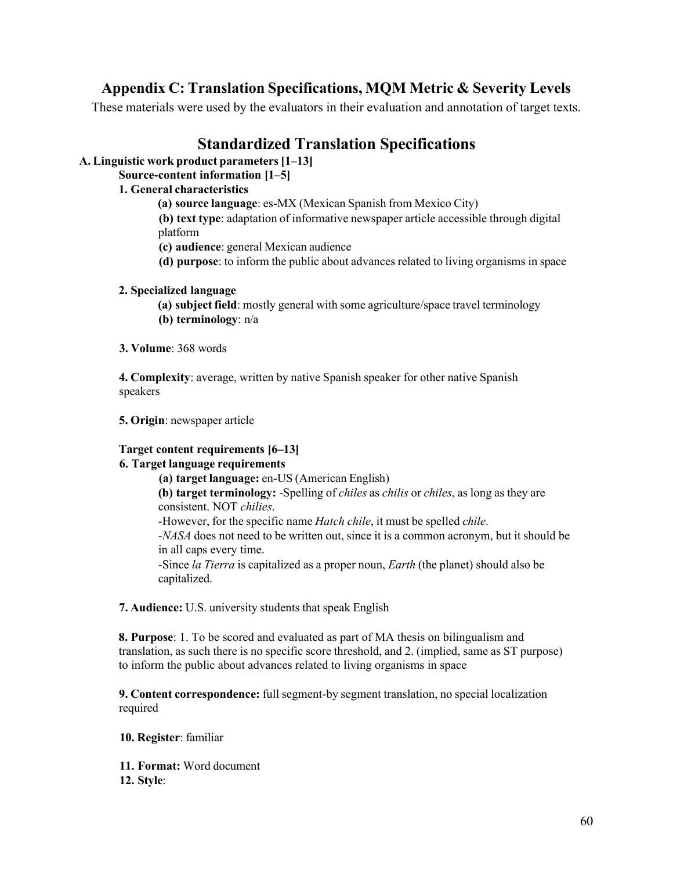# **Appendix C: Translation Specifications, MQM Metric & Severity Levels**

These materials were used by the evaluators in their evaluation and annotation of target texts.

# **Standardized Translation Specifications**

**A. Linguistic work product parameters [1–13]** 

**Source-content information [1–5]** 

# **1. General characteristics**

**(a) source language**: es-MX (Mexican Spanish from Mexico City)

**(b) text type**: adaptation of informative newspaper article accessible through digital platform

**(c) audience**: general Mexican audience

**(d) purpose**: to inform the public about advances related to living organisms in space

# **2. Specialized language**

**(a) subject field**: mostly general with some agriculture/space travel terminology **(b) terminology**: n/a

# **3. Volume**: 368 words

**4. Complexity**: average, written by native Spanish speaker for other native Spanish speakers

**5. Origin**: newspaper article

# **Target content requirements [6–13]**

# **6. Target language requirements**

**(a) target language:** en-US (American English) **(b) target terminology:** -Spelling of *chiles* as *chilis* or *chiles*, as long as they are consistent. NOT *chilies*. -However, for the specific name *Hatch chile*, it must be spelled *chile*. -*NASA* does not need to be written out, since it is a common acronym, but it should be

in all caps every time. -Since *la Tierra* is capitalized as a proper noun, *Earth* (the planet) should also be capitalized.

**7. Audience:** U.S. university students that speak English

**8. Purpose**: 1. To be scored and evaluated as part of MA thesis on bilingualism and translation, as such there is no specific score threshold, and 2. (implied, same as ST purpose) to inform the public about advances related to living organisms in space

**9. Content correspondence:** full segment-by segment translation, no special localization required

**10. Register**: familiar

**11. Format:** Word document

**12. Style**: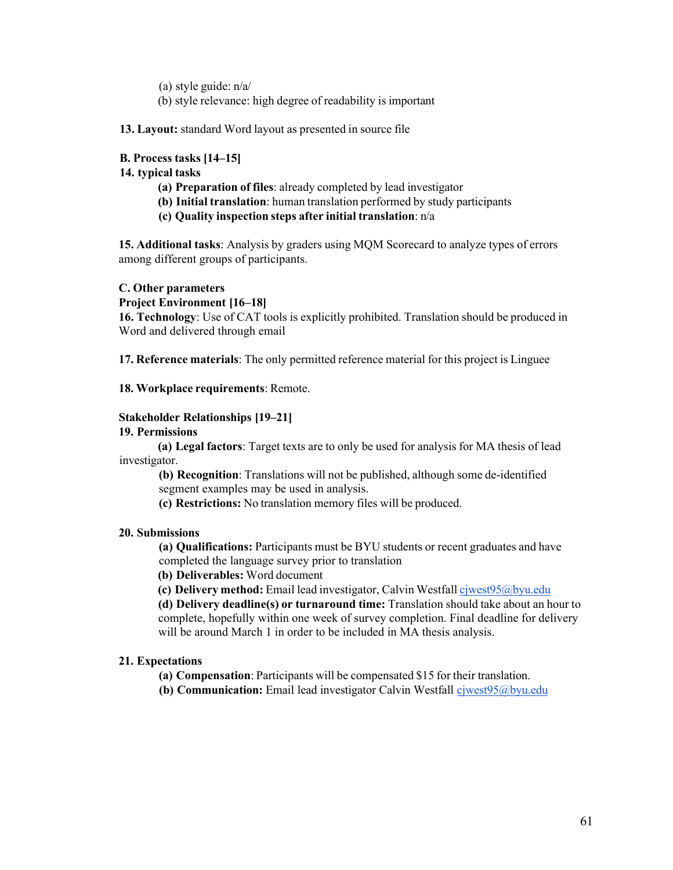- (a) style guide:  $n/a/$
- (b) style relevance: high degree of readability is important

**13. Layout:** standard Word layout as presented in source file

### **B. Process tasks [14–15]**

#### **14. typical tasks**

- **(a) Preparation of files**: already completed by lead investigator
- **(b) Initial translation**: human translation performed by study participants
- **(c) Quality inspection steps after initial translation**: n/a

**15. Additional tasks**: Analysis by graders using MQM Scorecard to analyze types of errors among different groups of participants.

### **C. Other parameters**

**Project Environment [16–18]** 

**16. Technology**: Use of CAT tools is explicitly prohibited. Translation should be produced in Word and delivered through email

**17. Reference materials**: The only permitted reference material for this project is Linguee

### **18. Workplace requirements**: Remote.

### **Stakeholder Relationships [19–21]**

### **19. Permissions**

**(a) Legal factors**: Target texts are to only be used for analysis for MA thesis of lead investigator.

**(b) Recognition**: Translations will not be published, although some de-identified segment examples may be used in analysis.

**(c) Restrictions:** No translation memory files will be produced.

### **20. Submissions**

**(a) Qualifications:** Participants must be BYU students or recent graduates and have completed the language survey prior to translation

**(b) Deliverables:** Word document

**(c) Delivery method:** Email lead investigator, Calvin Westfall cjwest95@byu.edu

**(d) Delivery deadline(s) or turnaround time:** Translation should take about an hour to complete, hopefully within one week of survey completion. Final deadline for delivery will be around March 1 in order to be included in MA thesis analysis.

#### **21. Expectations**

**(a) Compensation**: Participants will be compensated \$15 for their translation.

**(b) Communication:** Email lead investigator Calvin Westfall cjwest95@byu.edu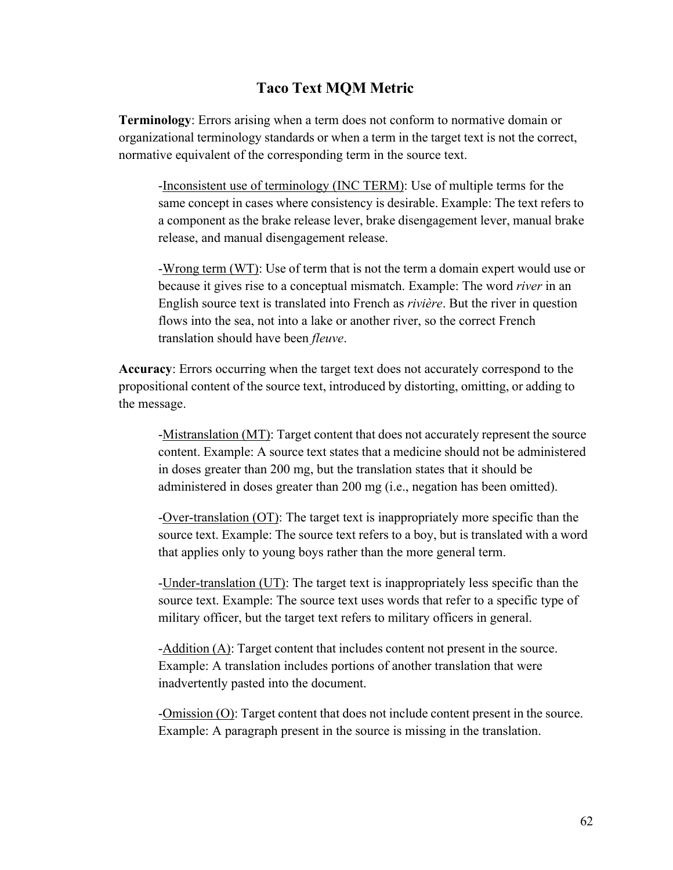# **Taco Text MQM Metric**

**Terminology**: Errors arising when a term does not conform to normative domain or organizational terminology standards or when a term in the target text is not the correct, normative equivalent of the corresponding term in the source text.

-Inconsistent use of terminology (INC TERM): Use of multiple terms for the same concept in cases where consistency is desirable. Example: The text refers to a component as the brake release lever, brake disengagement lever, manual brake release, and manual disengagement release.

-Wrong term  $(WT)$ : Use of term that is not the term a domain expert would use or because it gives rise to a conceptual mismatch. Example: The word *river* in an English source text is translated into French as *rivière*. But the river in question flows into the sea, not into a lake or another river, so the correct French translation should have been *fleuve*.

**Accuracy**: Errors occurring when the target text does not accurately correspond to the propositional content of the source text, introduced by distorting, omitting, or adding to the message.

-Mistranslation (MT): Target content that does not accurately represent the source content. Example: A source text states that a medicine should not be administered in doses greater than 200 mg, but the translation states that it should be administered in doses greater than 200 mg (i.e., negation has been omitted).

-Over-translation (OT): The target text is inappropriately more specific than the source text. Example: The source text refers to a boy, but is translated with a word that applies only to young boys rather than the more general term.

-Under-translation (UT): The target text is inappropriately less specific than the source text. Example: The source text uses words that refer to a specific type of military officer, but the target text refers to military officers in general.

-Addition (A): Target content that includes content not present in the source. Example: A translation includes portions of another translation that were inadvertently pasted into the document.

-Omission (O): Target content that does not include content present in the source. Example: A paragraph present in the source is missing in the translation.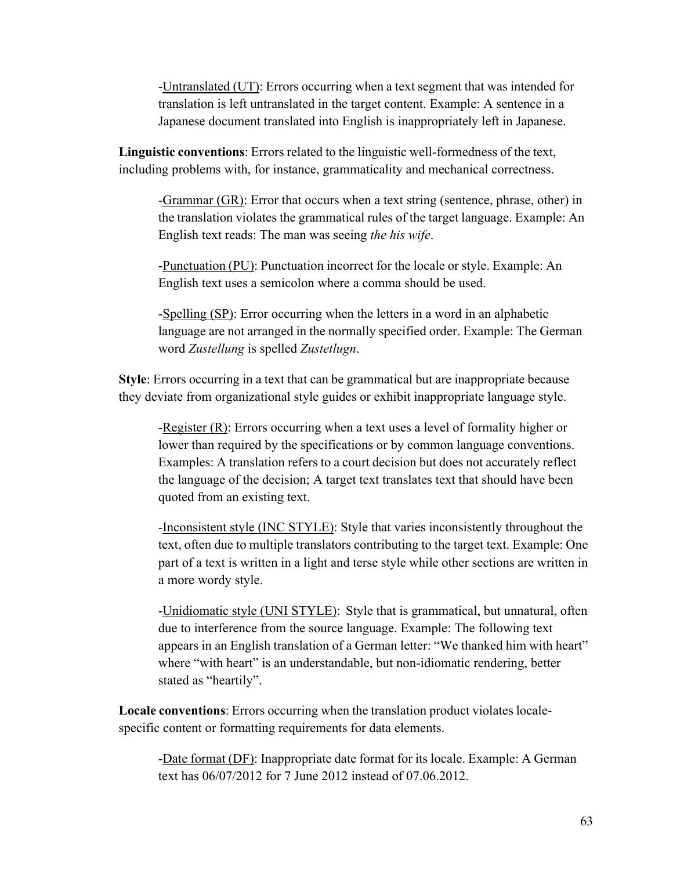-Untranslated (UT): Errors occurring when a text segment that was intended for translation is left untranslated in the target content. Example: A sentence in a Japanese document translated into English is inappropriately left in Japanese.

**Linguistic conventions**: Errors related to the linguistic well-formedness of the text, including problems with, for instance, grammaticality and mechanical correctness.

-Grammar (GR): Error that occurs when a text string (sentence, phrase, other) in the translation violates the grammatical rules of the target language. Example: An English text reads: The man was seeing *the his wife*.

-Punctuation (PU): Punctuation incorrect for the locale or style. Example: An English text uses a semicolon where a comma should be used.

-Spelling (SP): Error occurring when the letters in a word in an alphabetic language are not arranged in the normally specified order. Example: The German word *Zustellung* is spelled *Zustetlugn*.

**Style**: Errors occurring in a text that can be grammatical but are inappropriate because they deviate from organizational style guides or exhibit inappropriate language style.

-Register (R): Errors occurring when a text uses a level of formality higher or lower than required by the specifications or by common language conventions. Examples: A translation refers to a court decision but does not accurately reflect the language of the decision; A target text translates text that should have been quoted from an existing text.

-Inconsistent style (INC STYLE): Style that varies inconsistently throughout the text, often due to multiple translators contributing to the target text. Example: One part of a text is written in a light and terse style while other sections are written in a more wordy style.

-Unidiomatic style (UNI STYLE): Style that is grammatical, but unnatural, often due to interference from the source language. Example: The following text appears in an English translation of a German letter: "We thanked him with heart" where "with heart" is an understandable, but non-idiomatic rendering, better stated as "heartily".

**Locale conventions**: Errors occurring when the translation product violates localespecific content or formatting requirements for data elements.

-Date format (DF): Inappropriate date format for its locale. Example: A German text has 06/07/2012 for 7 June 2012 instead of 07.06.2012.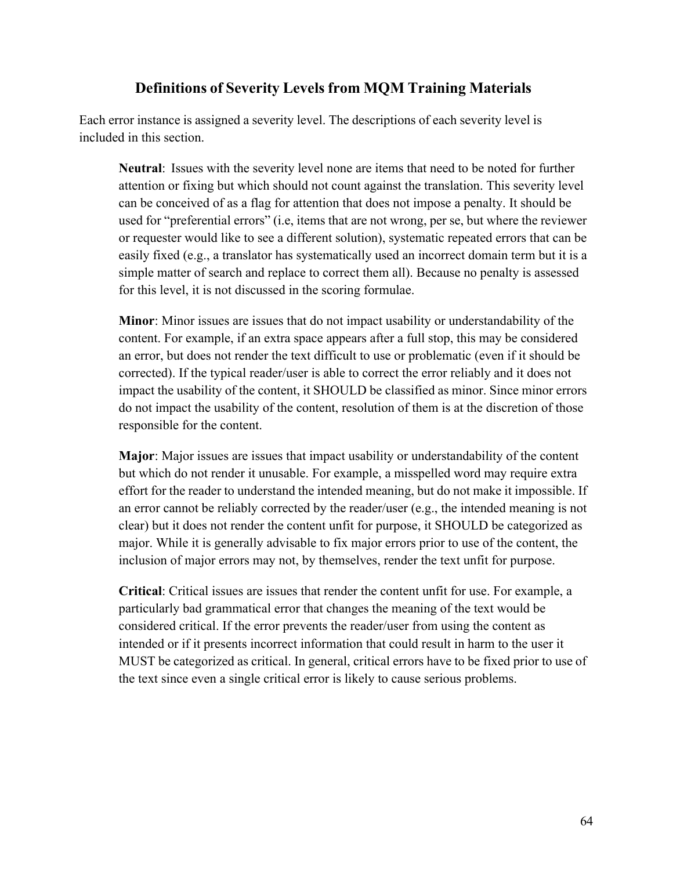# **Definitions of Severity Levels from MQM Training Materials**

Each error instance is assigned a severity level. The descriptions of each severity level is included in this section.

**Neutral**: Issues with the severity level none are items that need to be noted for further attention or fixing but which should not count against the translation. This severity level can be conceived of as a flag for attention that does not impose a penalty. It should be used for "preferential errors" (i.e, items that are not wrong, per se, but where the reviewer or requester would like to see a different solution), systematic repeated errors that can be easily fixed (e.g., a translator has systematically used an incorrect domain term but it is a simple matter of search and replace to correct them all). Because no penalty is assessed for this level, it is not discussed in the scoring formulae.

**Minor**: Minor issues are issues that do not impact usability or understandability of the content. For example, if an extra space appears after a full stop, this may be considered an error, but does not render the text difficult to use or problematic (even if it should be corrected). If the typical reader/user is able to correct the error reliably and it does not impact the usability of the content, it SHOULD be classified as minor. Since minor errors do not impact the usability of the content, resolution of them is at the discretion of those responsible for the content.

**Major**: Major issues are issues that impact usability or understandability of the content but which do not render it unusable. For example, a misspelled word may require extra effort for the reader to understand the intended meaning, but do not make it impossible. If an error cannot be reliably corrected by the reader/user (e.g., the intended meaning is not clear) but it does not render the content unfit for purpose, it SHOULD be categorized as major. While it is generally advisable to fix major errors prior to use of the content, the inclusion of major errors may not, by themselves, render the text unfit for purpose.

**Critical**: Critical issues are issues that render the content unfit for use. For example, a particularly bad grammatical error that changes the meaning of the text would be considered critical. If the error prevents the reader/user from using the content as intended or if it presents incorrect information that could result in harm to the user it MUST be categorized as critical. In general, critical errors have to be fixed prior to use of the text since even a single critical error is likely to cause serious problems.